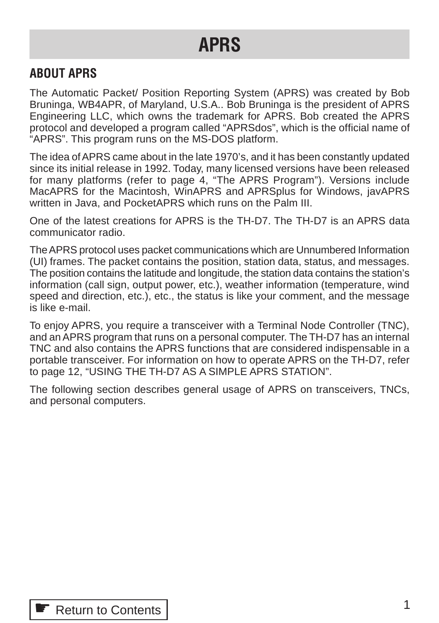# <span id="page-0-0"></span>**APRS**

# **ABOUT APRS**

The Automatic Packet/ Position Reporting System (APRS) was created by Bob Bruninga, WB4APR, of Maryland, U.S.A.. Bob Bruninga is the president of APRS Engineering LLC, which owns the trademark for APRS. Bob created the APRS protocol and developed a program called "APRSdos", which is the official name of "APRS". This program runs on the MS-DOS platform.

The idea of APRS came about in the late 1970's, and it has been constantly updated since its initial release in 1992. Today, many licensed versions have been released for many platforms (refer to page 4, "The APRS Program"). Versions include MacAPRS for the Macintosh, WinAPRS and APRSplus for Windows, javAPRS written in Java, and PocketAPRS which runs on the Palm III.

One of the latest creations for APRS is the TH-D7. The TH-D7 is an APRS data communicator radio.

The APRS protocol uses packet communications which are Unnumbered Information (UI) frames. The packet contains the position, station data, status, and messages. The position contains the latitude and longitude, the station data contains the station's information (call sign, output power, etc.), weather information (temperature, wind speed and direction, etc.), etc., the status is like your comment, and the message is like e-mail.

To enjoy APRS, you require a transceiver with a Terminal Node Controller (TNC), and an APRS program that runs on a personal computer. The TH-D7 has an internal TNC and also contains the APRS functions that are considered indispensable in a portable transceiver. For information on how to operate APRS on the TH-D7, refer to page 12, "USING THE TH-D7 AS A SIMPLE APRS STATION".

The following section describes general usage of APRS on transceivers, TNCs, and personal computers.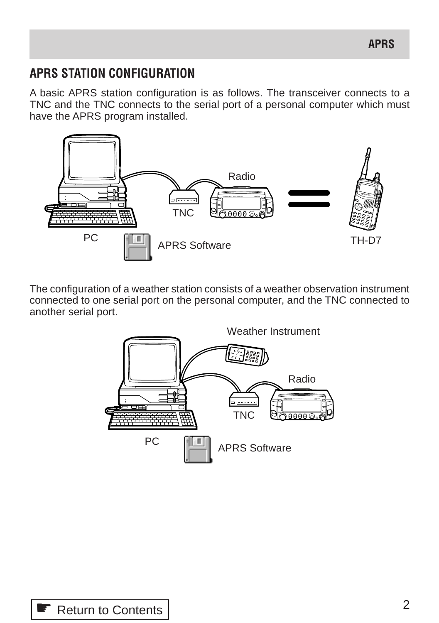# **APRS STATION CONFIGURATION**

A basic APRS station configuration is as follows. The transceiver connects to a TNC and the TNC connects to the serial port of a personal computer which must have the APRS program installed.



The configuration of a weather station consists of a weather observation instrument connected to one serial port on the personal computer, and the TNC connected to another serial port.

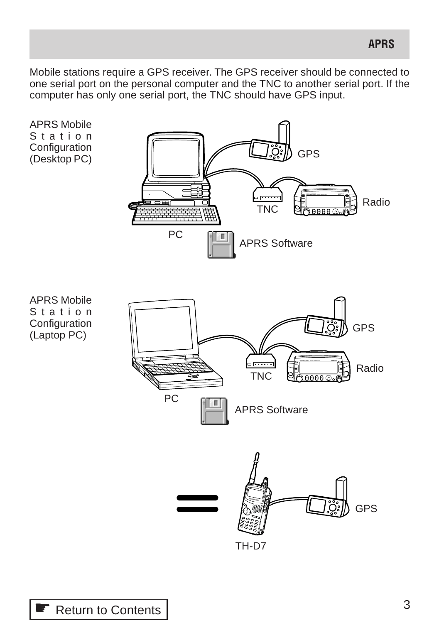Mobile stations require a GPS receiver. The GPS receiver should be connected to one serial port on the personal computer and the TNC to another serial port. If the computer has only one serial port, the TNC should have GPS input.

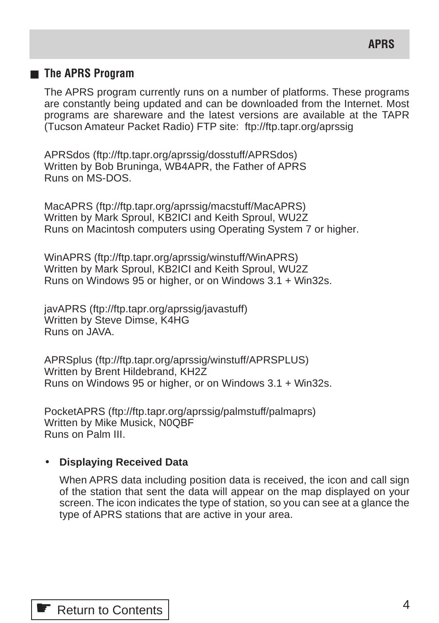# ■ **The APRS Program**

The APRS program currently runs on a number of platforms. These programs are constantly being updated and can be downloaded from the Internet. Most programs are shareware and the latest versions are available at the TAPR (Tucson Amateur Packet Radio) FTP site: ftp://ftp.tapr.org/aprssig

APRSdos (ftp://ftp.tapr.org/aprssig/dosstuff/APRSdos) Written by Bob Bruninga, WB4APR, the Father of APRS Runs on MS-DOS.

MacAPRS (ftp://ftp.tapr.org/aprssig/macstuff/MacAPRS) Written by Mark Sproul, KB2ICI and Keith Sproul, WU2Z Runs on Macintosh computers using Operating System 7 or higher.

WinAPRS (ftp://ftp.tapr.org/aprssig/winstuff/WinAPRS) Written by Mark Sproul, KB2ICI and Keith Sproul, WU2Z Runs on Windows 95 or higher, or on Windows 3.1 + Win32s.

javAPRS (ftp://ftp.tapr.org/aprssig/javastuff) Written by Steve Dimse, K4HG Runs on JAVA.

APRSplus (ftp://ftp.tapr.org/aprssig/winstuff/APRSPLUS) Written by Brent Hildebrand, KH2Z Runs on Windows 95 or higher, or on Windows 3.1 + Win32s.

PocketAPRS (ftp://ftp.tapr.org/aprssig/palmstuff/palmaprs) Written by Mike Musick, N0QBF Runs on Palm III.

#### • **Displaying Received Data**

When APRS data including position data is received, the icon and call sign of the station that sent the data will appear on the map displayed on your screen. The icon indicates the type of station, so you can see at a glance the type of APRS stations that are active in your area.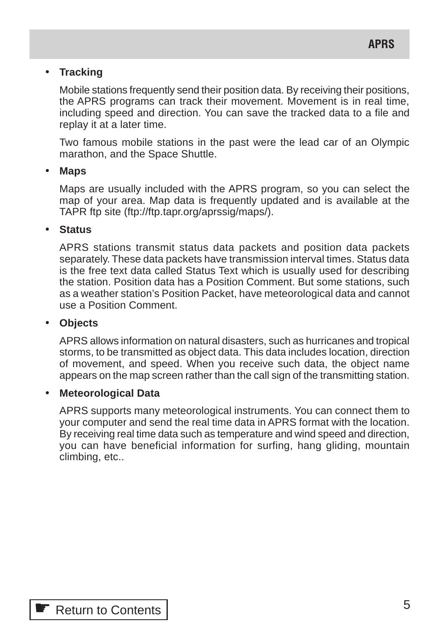#### • **Tracking**

Mobile stations frequently send their position data. By receiving their positions, the APRS programs can track their movement. Movement is in real time, including speed and direction. You can save the tracked data to a file and replay it at a later time.

Two famous mobile stations in the past were the lead car of an Olympic marathon, and the Space Shuttle.

#### • **Maps**

Maps are usually included with the APRS program, so you can select the map of your area. Map data is frequently updated and is available at the TAPR ftp site (ftp://ftp.tapr.org/aprssig/maps/).

#### • **Status**

APRS stations transmit status data packets and position data packets separately. These data packets have transmission interval times. Status data is the free text data called Status Text which is usually used for describing the station. Position data has a Position Comment. But some stations, such as a weather station's Position Packet, have meteorological data and cannot use a Position Comment.

#### • **Objects**

APRS allows information on natural disasters, such as hurricanes and tropical storms, to be transmitted as object data. This data includes location, direction of movement, and speed. When you receive such data, the object name appears on the map screen rather than the call sign of the transmitting station.

#### • **Meteorological Data**

APRS supports many meteorological instruments. You can connect them to your computer and send the real time data in APRS format with the location. By receiving real time data such as temperature and wind speed and direction, you can have beneficial information for surfing, hang gliding, mountain climbing, etc..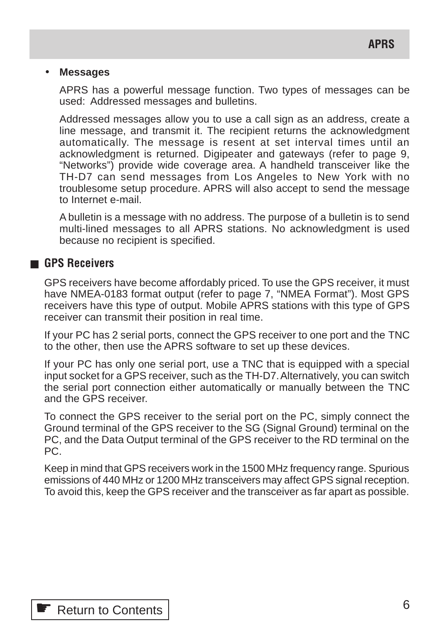#### • **Messages**

APRS has a powerful message function. Two types of messages can be used: Addressed messages and bulletins.

Addressed messages allow you to use a call sign as an address, create a line message, and transmit it. The recipient returns the acknowledgment automatically. The message is resent at set interval times until an acknowledgment is returned. Digipeater and gateways (refer to page 9, "Networks") provide wide coverage area. A handheld transceiver like the TH-D7 can send messages from Los Angeles to New York with no troublesome setup procedure. APRS will also accept to send the message to Internet e-mail.

A bulletin is a message with no address. The purpose of a bulletin is to send multi-lined messages to all APRS stations. No acknowledgment is used because no recipient is specified.

### ■ **GPS Receivers**

GPS receivers have become affordably priced. To use the GPS receiver, it must have NMEA-0183 format output (refer to page 7, "NMEA Format"). Most GPS receivers have this type of output. Mobile APRS stations with this type of GPS receiver can transmit their position in real time.

If your PC has 2 serial ports, connect the GPS receiver to one port and the TNC to the other, then use the APRS software to set up these devices.

If your PC has only one serial port, use a TNC that is equipped with a special input socket for a GPS receiver, such as the TH-D7. Alternatively, you can switch the serial port connection either automatically or manually between the TNC and the GPS receiver.

To connect the GPS receiver to the serial port on the PC, simply connect the Ground terminal of the GPS receiver to the SG (Signal Ground) terminal on the PC, and the Data Output terminal of the GPS receiver to the RD terminal on the PC.

Keep in mind that GPS receivers work in the 1500 MHz frequency range. Spurious emissions of 440 MHz or 1200 MHz transceivers may affect GPS signal reception. To avoid this, keep the GPS receiver and the transceiver as far apart as possible.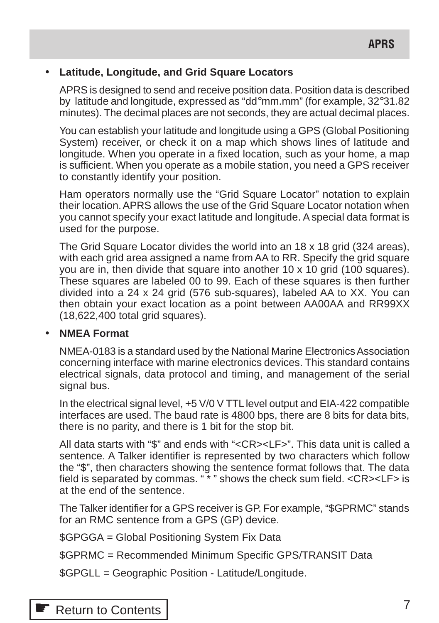# • **Latitude, Longitude, and Grid Square Locators**

APRS is designed to send and receive position data. Position data is described by latitude and longitude, expressed as "dd°mm.mm" (for example, 32°31.82 minutes). The decimal places are not seconds, they are actual decimal places.

You can establish your latitude and longitude using a GPS (Global Positioning System) receiver, or check it on a map which shows lines of latitude and longitude. When you operate in a fixed location, such as your home, a map is sufficient. When you operate as a mobile station, you need a GPS receiver to constantly identify your position.

Ham operators normally use the "Grid Square Locator" notation to explain their location. APRS allows the use of the Grid Square Locator notation when you cannot specify your exact latitude and longitude. A special data format is used for the purpose.

The Grid Square Locator divides the world into an 18 x 18 grid (324 areas), with each grid area assigned a name from AA to RR. Specify the grid square you are in, then divide that square into another 10 x 10 grid (100 squares). These squares are labeled 00 to 99. Each of these squares is then further divided into a 24 x 24 grid (576 sub-squares), labeled AA to XX. You can then obtain your exact location as a point between AA00AA and RR99XX (18,622,400 total grid squares).

# • **NMEA Format**

NMEA-0183 is a standard used by the National Marine Electronics Association concerning interface with marine electronics devices. This standard contains electrical signals, data protocol and timing, and management of the serial signal bus.

In the electrical signal level, +5 V/0 V TTL level output and EIA-422 compatible interfaces are used. The baud rate is 4800 bps, there are 8 bits for data bits, there is no parity, and there is 1 bit for the stop bit.

All data starts with "\$" and ends with "<CR><LF>". This data unit is called a sentence. A Talker identifier is represented by two characters which follow the "\$", then characters showing the sentence format follows that. The data field is separated by commas. " \* " shows the check sum field. <CR><LF> is at the end of the sentence.

The Talker identifier for a GPS receiver is GP. For example, "\$GPRMC" stands for an RMC sentence from a GPS (GP) device.

\$GPGGA = Global Positioning System Fix Data

\$GPRMC = Recommended Minimum Specific GPS/TRANSIT Data

\$GPGLL = Geographic Position - Latitude/Longitude.

**■ [Return to Contents](#page-0-0)**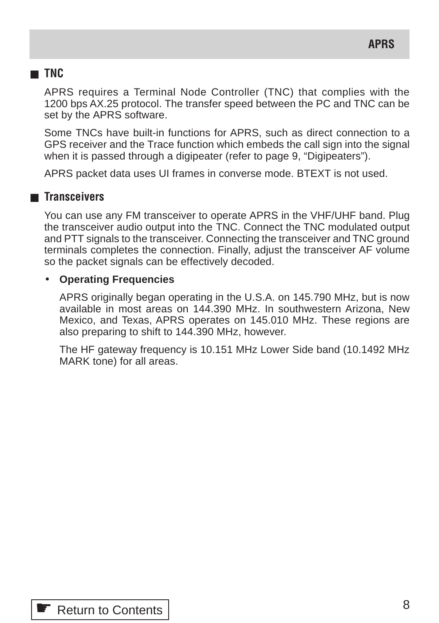# ■ **TNC**

APRS requires a Terminal Node Controller (TNC) that complies with the 1200 bps AX.25 protocol. The transfer speed between the PC and TNC can be set by the APRS software.

Some TNCs have built-in functions for APRS, such as direct connection to a GPS receiver and the Trace function which embeds the call sign into the signal when it is passed through a digipeater (refer to page 9, "Digipeaters").

APRS packet data uses UI frames in converse mode. BTEXT is not used.

# ■ **Transceivers**

You can use any FM transceiver to operate APRS in the VHF/UHF band. Plug the transceiver audio output into the TNC. Connect the TNC modulated output and PTT signals to the transceiver. Connecting the transceiver and TNC ground terminals completes the connection. Finally, adjust the transceiver AF volume so the packet signals can be effectively decoded.

#### • **Operating Frequencies**

APRS originally began operating in the U.S.A. on 145.790 MHz, but is now available in most areas on 144.390 MHz. In southwestern Arizona, New Mexico, and Texas, APRS operates on 145.010 MHz. These regions are also preparing to shift to 144.390 MHz, however.

The HF gateway frequency is 10.151 MHz Lower Side band (10.1492 MHz MARK tone) for all areas.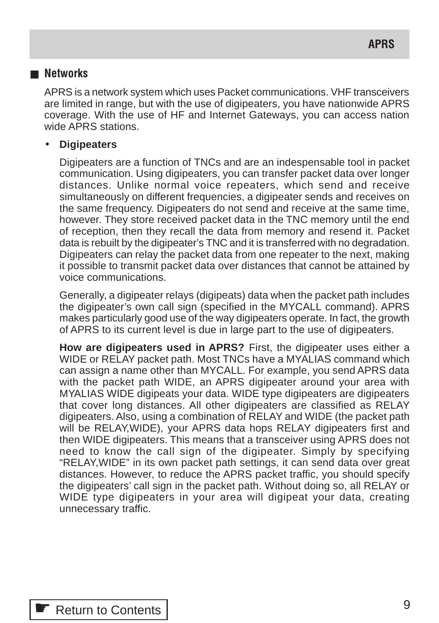#### ■ **Networks**

APRS is a network system which uses Packet communications. VHF transceivers are limited in range, but with the use of digipeaters, you have nationwide APRS coverage. With the use of HF and Internet Gateways, you can access nation wide APRS stations.

#### • **Digipeaters**

Digipeaters are a function of TNCs and are an indespensable tool in packet communication. Using digipeaters, you can transfer packet data over longer distances. Unlike normal voice repeaters, which send and receive simultaneously on different frequencies, a digipeater sends and receives on the same frequency. Digipeaters do not send and receive at the same time, however. They store received packet data in the TNC memory until the end of reception, then they recall the data from memory and resend it. Packet data is rebuilt by the digipeater's TNC and it is transferred with no degradation. Digipeaters can relay the packet data from one repeater to the next, making it possible to transmit packet data over distances that cannot be attained by voice communications.

Generally, a digipeater relays (digipeats) data when the packet path includes the digipeater's own call sign (specified in the MYCALL command). APRS makes particularly good use of the way digipeaters operate. In fact, the growth of APRS to its current level is due in large part to the use of digipeaters.

**How are digipeaters used in APRS?** First, the digipeater uses either a WIDE or RELAY packet path. Most TNCs have a MYALIAS command which can assign a name other than MYCALL. For example, you send APRS data with the packet path WIDE, an APRS digipeater around your area with MYALIAS WIDE digipeats your data. WIDE type digipeaters are digipeaters that cover long distances. All other digipeaters are classified as RELAY digipeaters. Also, using a combination of RELAY and WIDE (the packet path will be RELAY,WIDE), your APRS data hops RELAY digipeaters first and then WIDE digipeaters. This means that a transceiver using APRS does not need to know the call sign of the digipeater. Simply by specifying "RELAY,WIDE" in its own packet path settings, it can send data over great distances. However, to reduce the APRS packet traffic, you should specify the digipeaters' call sign in the packet path. Without doing so, all RELAY or WIDE type digipeaters in your area will digipeat your data, creating unnecessary traffic.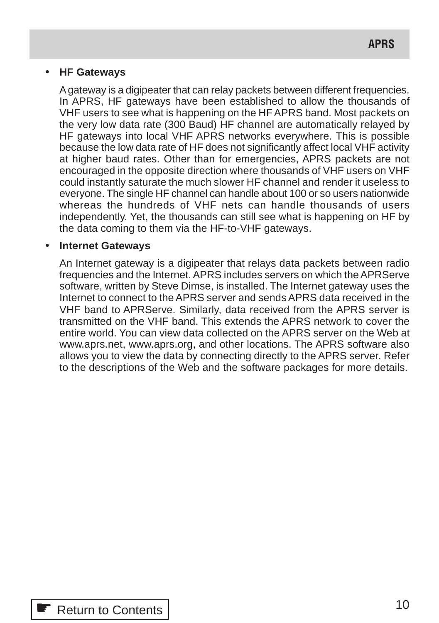#### • **HF Gateways**

A gateway is a digipeater that can relay packets between different frequencies. In APRS, HF gateways have been established to allow the thousands of VHF users to see what is happening on the HF APRS band. Most packets on the very low data rate (300 Baud) HF channel are automatically relayed by HF gateways into local VHF APRS networks everywhere. This is possible because the low data rate of HF does not significantly affect local VHF activity at higher baud rates. Other than for emergencies, APRS packets are not encouraged in the opposite direction where thousands of VHF users on VHF could instantly saturate the much slower HF channel and render it useless to everyone. The single HF channel can handle about 100 or so users nationwide whereas the hundreds of VHF nets can handle thousands of users independently. Yet, the thousands can still see what is happening on HF by the data coming to them via the HF-to-VHF gateways.

#### • **Internet Gateways**

An Internet gateway is a digipeater that relays data packets between radio frequencies and the Internet. APRS includes servers on which the APRServe software, written by Steve Dimse, is installed. The Internet gateway uses the Internet to connect to the APRS server and sends APRS data received in the VHF band to APRServe. Similarly, data received from the APRS server is transmitted on the VHF band. This extends the APRS network to cover the entire world. You can view data collected on the APRS server on the Web at www.aprs.net, www.aprs.org, and other locations. The APRS software also allows you to view the data by connecting directly to the APRS server. Refer to the descriptions of the Web and the software packages for more details.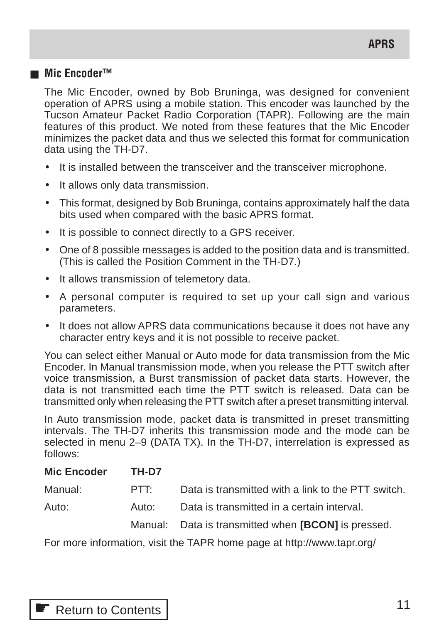### ■ **Mic Encoder™**

The Mic Encoder, owned by Bob Bruninga, was designed for convenient operation of APRS using a mobile station. This encoder was launched by the Tucson Amateur Packet Radio Corporation (TAPR). Following are the main features of this product. We noted from these features that the Mic Encoder minimizes the packet data and thus we selected this format for communication data using the TH-D7.

- It is installed between the transceiver and the transceiver microphone.
- It allows only data transmission.
- This format, designed by Bob Bruninga, contains approximately half the data bits used when compared with the basic APRS format.
- It is possible to connect directly to a GPS receiver.
- One of 8 possible messages is added to the position data and is transmitted. (This is called the Position Comment in the TH-D7.)
- It allows transmission of telemetory data.
- A personal computer is required to set up your call sign and various parameters.
- It does not allow APRS data communications because it does not have any character entry keys and it is not possible to receive packet.

You can select either Manual or Auto mode for data transmission from the Mic Encoder. In Manual transmission mode, when you release the PTT switch after voice transmission, a Burst transmission of packet data starts. However, the data is not transmitted each time the PTT switch is released. Data can be transmitted only when releasing the PTT switch after a preset transmitting interval.

In Auto transmission mode, packet data is transmitted in preset transmitting intervals. The TH-D7 inherits this transmission mode and the mode can be selected in menu 2–9 (DATA TX). In the TH-D7, interrelation is expressed as follows:

| <b>Mic Encoder</b> | TH-D7 |                                                     |
|--------------------|-------|-----------------------------------------------------|
| Manual:            | PTT:  | Data is transmitted with a link to the PTT switch.  |
| Auto:              | Auto: | Data is transmitted in a certain interval.          |
|                    |       | Manual: Data is transmitted when [BCON] is pressed. |

For more information, visit the TAPR home page at http://www.tapr.org/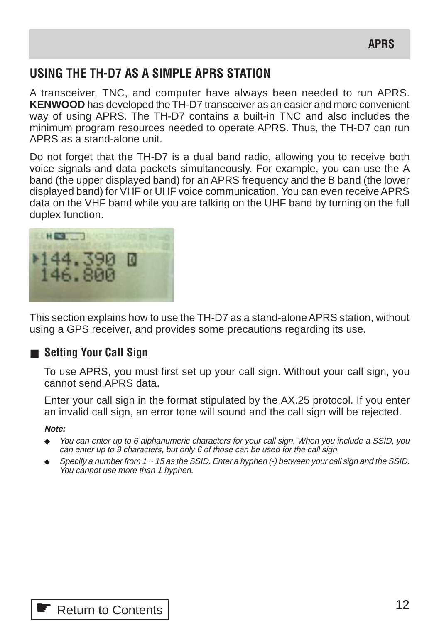# **USING THE TH-D7 AS A SIMPLE APRS STATION**

A transceiver, TNC, and computer have always been needed to run APRS. **KENWOOD** has developed the TH-D7 transceiver as an easier and more convenient way of using APRS. The TH-D7 contains a built-in TNC and also includes the minimum program resources needed to operate APRS. Thus, the TH-D7 can run APRS as a stand-alone unit.

Do not forget that the TH-D7 is a dual band radio, allowing you to receive both voice signals and data packets simultaneously. For example, you can use the A band (the upper displayed band) for an APRS frequency and the B band (the lower displayed band) for VHF or UHF voice communication. You can even receive APRS data on the VHF band while you are talking on the UHF band by turning on the full duplex function.



This section explains how to use the TH-D7 as a stand-alone APRS station, without using a GPS receiver, and provides some precautions regarding its use.

# ■ **Setting Your Call Sign**

To use APRS, you must first set up your call sign. Without your call sign, you cannot send APRS data.

Enter your call sign in the format stipulated by the AX.25 protocol. If you enter an invalid call sign, an error tone will sound and the call sign will be rejected.

**Note:**

- You can enter up to 6 alphanumeric characters for your call sign. When you include a SSID, you can enter up to 9 characters, but only 6 of those can be used for the call sign.
- ◆ Specify a number from  $1 \sim 15$  as the SSID. Enter a hyphen  $\left(\cdot\right)$  between your call sign and the SSID. You cannot use more than 1 hyphen.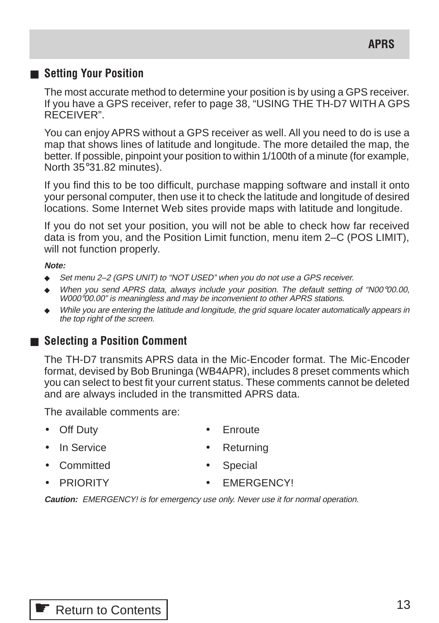# ■ **Setting Your Position**

The most accurate method to determine your position is by using a GPS receiver. If you have a GPS receiver, refer to page 38, "USING THE TH-D7 WITH A GPS RECEIVER".

You can enjoy APRS without a GPS receiver as well. All you need to do is use a map that shows lines of latitude and longitude. The more detailed the map, the better. If possible, pinpoint your position to within 1/100th of a minute (for example, North 35°31.82 minutes).

If you find this to be too difficult, purchase mapping software and install it onto your personal computer, then use it to check the latitude and longitude of desired locations. Some Internet Web sites provide maps with latitude and longitude.

If you do not set your position, you will not be able to check how far received data is from you, and the Position Limit function, menu item 2–C (POS LIMIT), will not function properly.

#### **Note:**

- ◆ Set menu 2–2 (GPS UNIT) to "NOT USED" when you do not use a GPS receiver.
- When you send APRS data, always include your position. The default setting of "N00°00.00, W000°00.00" is meaningless and may be inconvenient to other APRS stations.
- While you are entering the latitude and longitude, the grid square locater automatically appears in the top right of the screen.

# ■ Selecting a Position Comment

The TH-D7 transmits APRS data in the Mic-Encoder format. The Mic-Encoder format, devised by Bob Bruninga (WB4APR), includes 8 preset comments which you can select to best fit your current status. These comments cannot be deleted and are always included in the transmitted APRS data.

The available comments are:

- 
- Off Duty  **Enroute** 
	- In Service **•** Returning
- Committed Special
- 
- 
- **PRIORITY** FMFRGENCYI

**Caution:** EMERGENCY! is for emergency use only. Never use it for normal operation.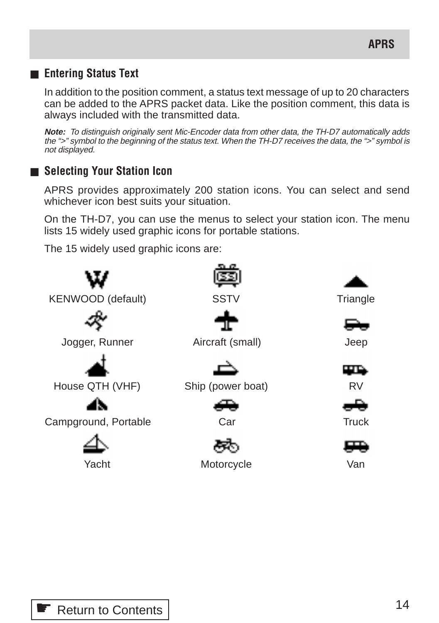# ■ **Entering Status Text**

In addition to the position comment, a status text message of up to 20 characters can be added to the APRS packet data. Like the position comment, this data is always included with the transmitted data.

**Note:** To distinguish originally sent Mic-Encoder data from other data, the TH-D7 automatically adds the ">" symbol to the beginning of the status text. When the TH-D7 receives the data, the ">" symbol is not displayed.

# ■ **Selecting Your Station Icon**

APRS provides approximately 200 station icons. You can select and send whichever icon best suits your situation.

On the TH-D7, you can use the menus to select your station icon. The menu lists 15 widely used graphic icons for portable stations.

The 15 widely used graphic icons are:

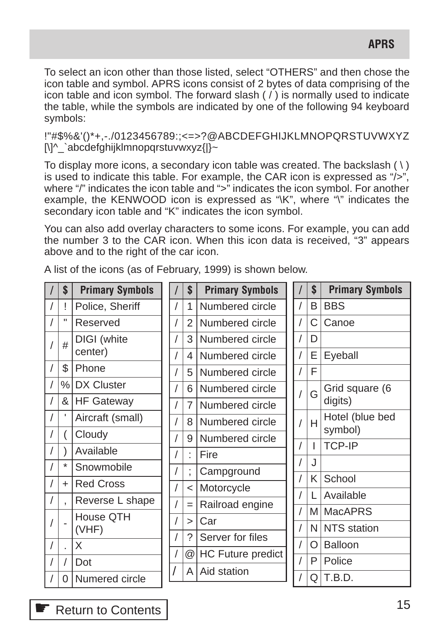To select an icon other than those listed, select "OTHERS" and then chose the icon table and symbol. APRS icons consist of 2 bytes of data comprising of the icon table and icon symbol. The forward slash  $($   $)$  is normally used to indicate the table, while the symbols are indicated by one of the following 94 keyboard symbols:

!"#\$%&'()\*+,-./0123456789:;<=>?@ABCDEFGHIJKLMNOPQRSTUVWXYZ [\]^\_`abcdefghijklmnopqrstuvwxyz{|}~

To display more icons, a secondary icon table was created. The backslash  $( \ )$ is used to indicate this table. For example, the CAR icon is expressed as "/>", where "/" indicates the icon table and ">" indicates the icon symbol. For another example, the KENWOOD icon is expressed as "\K", where "\" indicates the secondary icon table and "K" indicates the icon symbol.

You can also add overlay characters to some icons. For example, you can add the number 3 to the CAR icon. When this icon data is received, "3" appears above and to the right of the car icon.

| <b>BBS</b>      |
|-----------------|
| Canoe           |
|                 |
| Eyeball         |
|                 |
| Grid square (6  |
| digits)         |
| Hotel (blue bed |
| symbol)         |
| <b>TCP-IP</b>   |
|                 |
| School          |
| Available       |
| <b>MacAPRS</b>  |
| NTS station     |
| <b>Balloon</b>  |
| Police          |
| T.B.D.          |
|                 |

A list of the icons (as of February, 1999) is shown below.

**E** [Return to Contents](#page-0-0)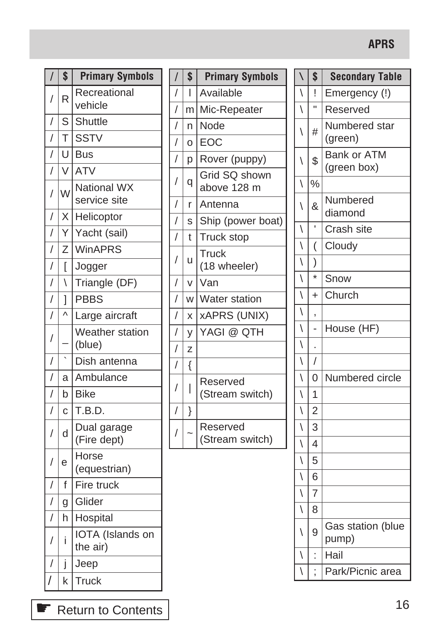# **APRS**

| $\overline{I}$       | \$                       | <b>Primary Symbols</b>              | $\overline{\phantom{a}}$         |
|----------------------|--------------------------|-------------------------------------|----------------------------------|
| $\sqrt{\phantom{a}}$ | R                        | Recreational<br>vehicle             | $\overline{1}$<br>$\overline{1}$ |
| $\overline{1}$       | S                        | <b>Shuttle</b>                      | $\overline{1}$                   |
| $\sqrt{\phantom{a}}$ | T                        | <b>SSTV</b>                         | $\overline{1}$                   |
| $\sqrt{\phantom{a}}$ | U                        | <b>Bus</b>                          | $\overline{1}$                   |
| $\overline{1}$       | $\overline{\vee}$        | <b>ATV</b>                          |                                  |
| $\bigg)$             | W                        | <b>National WX</b><br>service site  | $\overline{1}$<br>$\overline{1}$ |
| $\sqrt{\phantom{a}}$ | X                        | Helicoptor                          | $\overline{1}$                   |
| $\bigg)$             | Y                        | Yacht (sail)                        | $\overline{1}$                   |
| $\sqrt{\phantom{a}}$ | Ζ                        | <b>WinAPRS</b>                      |                                  |
| $\sqrt{\phantom{a}}$ | ĺ                        | Jogger                              | $\overline{1}$                   |
| $\overline{ }$       | $\overline{\phantom{0}}$ | Triangle (DF)                       | $\overline{1}$                   |
| $\frac{1}{2}$        | l                        | <b>PBBS</b>                         | $\overline{1}$                   |
| $\bigg)$             | $\lambda$                | Large aircraft                      | $\overline{1}$                   |
| $\sqrt{\phantom{a}}$ |                          | Weather station<br>(blue)           | $\overline{1}$<br>$\overline{1}$ |
| $\sqrt{\phantom{a}}$ | $\overline{\phantom{a}}$ | Dish antenna                        | $\overline{1}$                   |
| $\overline{1}$       | a                        | Ambulance                           |                                  |
| $\sqrt{\phantom{a}}$ | $\mathsf b$              | <b>Bike</b>                         | $\overline{1}$                   |
| $\overline{1}$       | Ċ                        | T.B.D.                              | $\overline{1}$                   |
| $\bigg)$             | d                        | Dual garage<br>(Fire dept)          | $\overline{1}$                   |
| $\sqrt{\phantom{a}}$ | е                        | Horse<br>(equestrian)               |                                  |
| $\sqrt{\phantom{a}}$ | f                        | Fire truck                          |                                  |
| $\sqrt{\phantom{a}}$ | g                        | Glider                              |                                  |
| $\overline{1}$       | h                        | Hospital                            |                                  |
| $\sqrt{\phantom{a}}$ | i                        | <b>IOTA</b> (Islands on<br>the air) |                                  |
| $\sqrt{\phantom{a}}$ | j                        | Jeep                                |                                  |
| $\sqrt{\phantom{a}}$ | k                        | <b>Truck</b>                        |                                  |
|                      |                          |                                     |                                  |

| $\overline{\phantom{a}}$ | \$ | <b>Primary Symbols</b>       |
|--------------------------|----|------------------------------|
|                          | I  | Available                    |
|                          | m  | Mic-Repeater                 |
|                          | n  | Node                         |
|                          | O  | EOC                          |
|                          | р  | Rover (puppy)                |
| $\frac{1}{\sqrt{1}}$     | q  | Grid SQ shown<br>above 128 m |
|                          | r  | Antenna                      |
|                          | S  | Ship (power boat)            |
|                          | t  | Truck stop                   |
| $\frac{1}{\sqrt{1}}$     | u  | <b>Truck</b><br>(18 wheeler) |
|                          | V  | Van                          |
|                          | W  | Water station                |
|                          | X  | <b>xAPRS (UNIX)</b>          |
|                          | У  | YAGI @ QTH                   |
|                          | Z  |                              |
|                          | {  |                              |
| $\frac{1}{\sqrt{1}}$     | I  | Reserved<br>(Stream switch)  |
| $\overline{1}$           | }  |                              |
| $\sqrt{\phantom{a}}$     |    | Reserved<br>(Stream switch)  |
|                          |    |                              |

| $\overline{\phantom{0}}$ | \$                      | <b>Secondary Table</b> |
|--------------------------|-------------------------|------------------------|
| $\overline{\mathcal{N}}$ | ļ                       | Emergency (!)          |
| $\overline{\phantom{a}}$ | H                       | Reserved               |
| $\overline{\phantom{a}}$ | #                       | Numbered star          |
|                          |                         | (green)                |
| $\backslash$             | \$                      | <b>Bank or ATM</b>     |
|                          | $\frac{1}{2}$           | (green box)            |
| $\overline{\phantom{0}}$ |                         |                        |
| $\setminus$              | &                       | Numbered<br>diamond    |
|                          | ł.                      | Crash site             |
|                          | (                       | Cloudy                 |
| $\frac{1}{\sqrt{}}$      | $\big)$                 |                        |
|                          | $\star$                 | Snow                   |
| $\frac{1}{\sqrt{2}}$     | $\ddot{}$               | Church                 |
|                          | ,                       |                        |
| $\frac{1}{\sqrt{}}$      |                         | House (HF)             |
|                          |                         |                        |
|                          | $\overline{1}$          |                        |
| $\frac{1}{\sqrt{2}}$     | 0                       | Numbered circle        |
|                          | $\overline{1}$          |                        |
| $\overline{\sqrt{25}}$   | $\overline{2}$          |                        |
| $\overline{\phantom{a}}$ | 3                       |                        |
| $\sqrt{2}$               | $\overline{\mathbf{4}}$ |                        |
| $\frac{1}{\sqrt{2}}$     | 5                       |                        |
|                          | 6                       |                        |
| $\sqrt{2}$               | $\overline{7}$          |                        |
|                          | 8                       |                        |
| $\overline{\phantom{a}}$ | 9                       | Gas station (blue      |
|                          |                         | pump)                  |
| $\setminus$              | $\ddot{\phantom{0}}$    | Hail                   |
|                          | $\vdots$                | Park/Picnic area       |

← [Return to Contents](#page-0-0)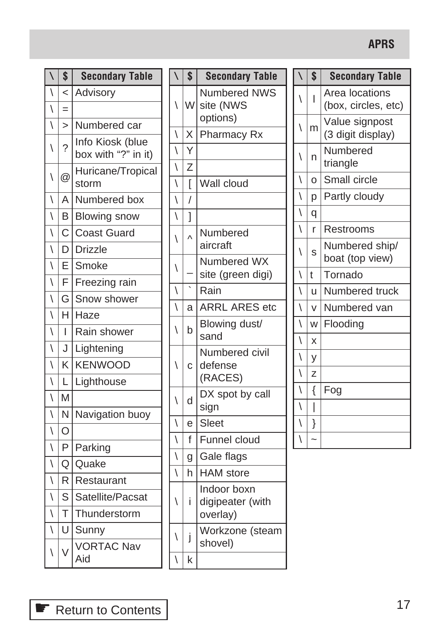# **APRS**

| $\overline{\phantom{0}}$ | \$             | <b>Secondary Table</b>                  |              | \$           | <b>Secondary Table</b>           |                          | \$                       | <b>Secondary Table</b>              |
|--------------------------|----------------|-----------------------------------------|--------------|--------------|----------------------------------|--------------------------|--------------------------|-------------------------------------|
| $\setminus$              | $\prec$        | Advisory                                | $\setminus$  |              | <b>Numbered NWS</b>              | ∖                        | I                        | Area locations                      |
| $\backslash$             | $=$            |                                         |              | W            | site (NWS                        |                          |                          | (box, circles, etc)                 |
| $\setminus$              | $\geq$         | Numbered car                            | ∖            | Χ            | options)<br>Pharmacy Rx          | $\backslash$             | m                        | Value signpost<br>(3 digit display) |
| $\overline{\phantom{0}}$ | $\overline{?}$ | Info Kiosk (blue<br>box with "?" in it) | $\backslash$ | Υ            |                                  | ∖                        | n                        | Numbered<br>triangle                |
| \                        | @              | Huricane/Tropical                       | $\backslash$ | Z            |                                  | $\backslash$             | O                        | Small circle                        |
|                          |                | storm                                   | $\backslash$ | ſ            | Wall cloud                       |                          |                          |                                     |
| $\backslash$             | A              | Numbered box                            | $\backslash$ | /            |                                  | \                        | p                        | Partly cloudy                       |
| $\backslash$             | B              | <b>Blowing snow</b>                     | \            | 1            |                                  | $\backslash$             | q                        |                                     |
| $\setminus$              | C              | <b>Coast Guard</b>                      | $\backslash$ | Λ            | Numbered                         | $\backslash$             | r                        | Restrooms                           |
| $\setminus$              | D              | <b>Drizzle</b>                          |              |              | aircraft                         | ∖                        | S                        | Numbered ship/<br>boat (top view)   |
| $\setminus$              | E              | Smoke                                   | ∖            |              | Numbered WX<br>site (green digi) | \                        | $\mathfrak{t}$           | Tornado                             |
| $\backslash$             | F              | Freezing rain                           |              |              | Rain                             |                          |                          |                                     |
| $\setminus$              | G              | Snow shower                             | ∖            |              |                                  | ∖                        | u                        | Numbered truck                      |
| $\backslash$             |                | H Haze                                  | $\backslash$ | a            | <b>ARRL ARES etc</b>             | $\overline{\phantom{0}}$ | $\vee$                   | Numbered van                        |
| $\backslash$             | L              | Rain shower                             | Ι            | b            | Blowing dust/<br>sand            | \                        | W                        | Flooding                            |
| $\backslash$             |                | J Lightening                            |              |              | Numbered civil                   | $\overline{\phantom{a}}$ | X                        |                                     |
| $\setminus$              | K              | <b>KENWOOD</b>                          | ∖            | $\mathbf{C}$ | defense                          | ∖                        | У                        |                                     |
| $\setminus$              | L              | Lighthouse                              |              |              | (RACES)                          | ∖                        | Z                        |                                     |
| $\backslash$             | M              |                                         | $\backslash$ | d            | DX spot by call                  | $\backslash$             | $\{$                     | Fog                                 |
| $\setminus$              | N              | Navigation buoy                         |              |              | sign                             | $\backslash$             | $\overline{\phantom{a}}$ |                                     |
| $\backslash$             | $\bigcirc$     |                                         | $\backslash$ | e            | Sleet                            | \                        | }                        |                                     |
| $\overline{\phantom{0}}$ | P              | Parking                                 | $\backslash$ | f            | Funnel cloud                     | \                        | $\sim$                   |                                     |
| $\backslash$             | Q              | Quake                                   | \            | g            | Gale flags                       |                          |                          |                                     |
| $\setminus$              | R.             | Restaurant                              | $\backslash$ | h            | <b>HAM</b> store                 |                          |                          |                                     |
| $\backslash$             | S              | Satellite/Pacsat                        | ∖            | Ť            | Indoor boxn<br>digipeater (with  |                          |                          |                                     |
| $\setminus$              | T              | Thunderstorm                            |              |              | overlay)                         |                          |                          |                                     |
| $\backslash$             | U              | Sunny                                   | \            | j            | Workzone (steam                  |                          |                          |                                     |
| $\backslash$             | $\vee$         | <b>VORTAC Nav</b><br>Aid                | \            | $\sf k$      | shovel)                          |                          |                          |                                     |

← [Return to Contents](#page-0-0)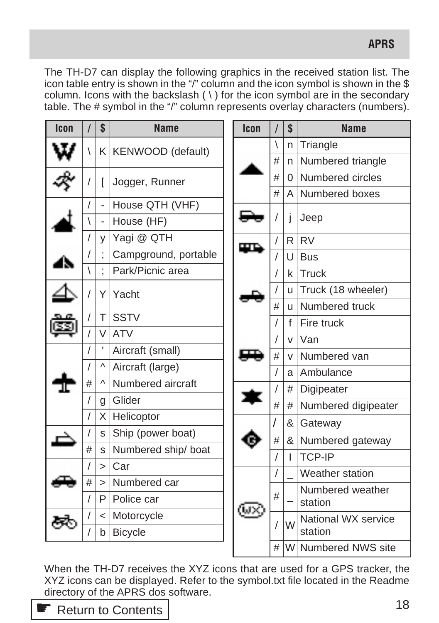The TH-D7 can display the following graphics in the received station list. The icon table entry is shown in the "/" column and the icon symbol is shown in the \$ column. Icons with the backslash  $( \n\cdot )$  for the icon symbol are in the secondary table. The # symbol in the "/" column represents overlay characters (numbers).

| <b>Icon</b> |   | \$            | <b>Name</b>           | Icon |  |              | \$           | <b>Name</b>         |
|-------------|---|---------------|-----------------------|------|--|--------------|--------------|---------------------|
|             |   |               | K   KENWOOD (default) |      |  | $\backslash$ | n            | Triangle            |
|             |   |               |                       |      |  | #            | n.           | Numbered triangle   |
|             |   | L             | Jogger, Runner        |      |  | #            | 0            | Numbered circles    |
|             |   |               |                       |      |  | #            | $\mathsf{A}$ | Numbered boxes      |
|             |   | $\frac{1}{2}$ | House QTH (VHF)       |      |  |              | Ť            | Jeep                |
|             |   |               | House (HF)            |      |  |              |              |                     |
|             |   | y             | Yagi @ QTH            |      |  |              | R.           | <b>RV</b>           |
|             |   |               | Campground, portable  |      |  |              | U            | <b>Bus</b>          |
|             |   |               | Park/Picnic area      |      |  | $\sqrt{2}$   | $\mathsf{k}$ | <b>Truck</b>        |
|             |   | Υ             | Yacht                 |      |  |              | u            | Truck (18 wheeler)  |
|             |   |               |                       |      |  | #            | <b>u</b>     | Numbered truck      |
|             |   | Τ             | <b>SSTV</b>           |      |  | 1            | f            | Fire truck          |
|             |   | V             | <b>ATV</b>            |      |  | v            | Van          |                     |
|             |   |               | Aircraft (small)      |      |  | #            | $\vee$       | Numbered van        |
|             |   | Λ             | Aircraft (large)      |      |  |              | a            | Ambulance           |
|             | # | Λ             | Numbered aircraft     |      |  |              | #            | Digipeater          |
|             |   | g             | Glider                |      |  | #            | #            | Numbered digipeater |
|             |   | X             | Helicoptor            |      |  |              | &            | Gateway             |
|             |   | S             | Ship (power boat)     |      |  | $\#$         | &            | Numbered gateway    |
|             | # | S             | Numbered ship/ boat   |      |  | $\prime$     | Т            | <b>TCP-IP</b>       |
|             |   | $\geq$        | Car                   |      |  |              |              | Weather station     |
|             | # | $\geq$        | Numbered car          |      |  |              |              | Numbered weather    |
|             |   | P             | Police car            |      |  | #            |              | station             |
|             |   | $\prec$       | Motorcycle            |      |  | 1            | W            | National WX service |
|             |   | b             | <b>Bicycle</b>        |      |  |              |              | station             |
|             |   |               |                       |      |  | #            |              | W Numbered NWS site |

When the TH-D7 receives the XYZ icons that are used for a GPS tracker, the XYZ icons can be displayed. Refer to the symbol.txt file located in the Readme directory of the APRS dos software.

**■ [Return to Contents](#page-0-0)** 

**APRS**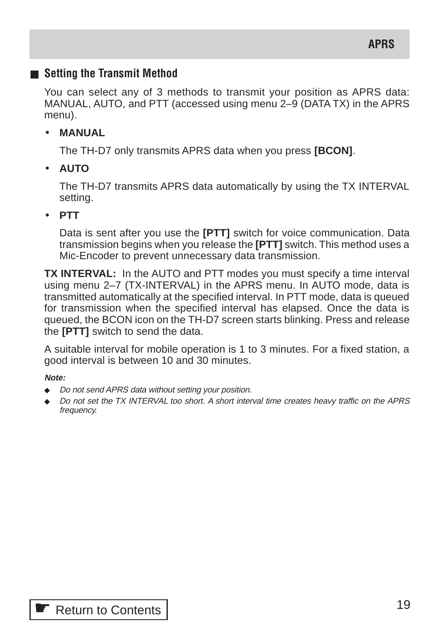# ■ Setting the Transmit Method

You can select any of 3 methods to transmit your position as APRS data: MANUAL, AUTO, and PTT (accessed using menu 2–9 (DATA TX) in the APRS menu).

### • **MANUAL**

The TH-D7 only transmits APRS data when you press **[BCON]**.

• **AUTO**

The TH-D7 transmits APRS data automatically by using the TX INTERVAL setting.

### • **PTT**

Data is sent after you use the **[PTT]** switch for voice communication. Data transmission begins when you release the **[PTT]** switch. This method uses a Mic-Encoder to prevent unnecessary data transmission.

**TX INTERVAL:** In the AUTO and PTT modes you must specify a time interval using menu 2–7 (TX-INTERVAL) in the APRS menu. In AUTO mode, data is transmitted automatically at the specified interval. In PTT mode, data is queued for transmission when the specified interval has elapsed. Once the data is queued, the BCON icon on the TH-D7 screen starts blinking. Press and release the **[PTT]** switch to send the data.

A suitable interval for mobile operation is 1 to 3 minutes. For a fixed station, a good interval is between 10 and 30 minutes.

**Note:**

- ◆ Do not send APRS data without setting your position.
- Do not set the TX INTERVAL too short. A short interval time creates heavy traffic on the APRS frequency.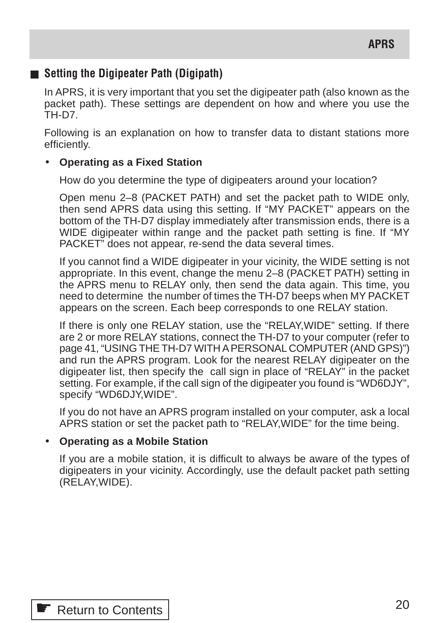# ■ **Setting the Digipeater Path (Digipath)**

In APRS, it is very important that you set the digipeater path (also known as the packet path). These settings are dependent on how and where you use the TH-D7.

Following is an explanation on how to transfer data to distant stations more efficiently.

# • **Operating as a Fixed Station**

How do you determine the type of digipeaters around your location?

Open menu 2–8 (PACKET PATH) and set the packet path to WIDE only, then send APRS data using this setting. If "MY PACKET" appears on the bottom of the TH-D7 display immediately after transmission ends, there is a WIDE digipeater within range and the packet path setting is fine. If "MY PACKET" does not appear, re-send the data several times.

If you cannot find a WIDE digipeater in your vicinity, the WIDE setting is not appropriate. In this event, change the menu 2–8 (PACKET PATH) setting in the APRS menu to RELAY only, then send the data again. This time, you need to determine the number of times the TH-D7 beeps when MY PACKET appears on the screen. Each beep corresponds to one RELAY station.

If there is only one RELAY station, use the "RELAY,WIDE" setting. If there are 2 or more RELAY stations, connect the TH-D7 to your computer (refer to page 41, "USING THE TH-D7 WITH A PERSONAL COMPUTER (AND GPS)") and run the APRS program. Look for the nearest RELAY digipeater on the digipeater list, then specify the call sign in place of "RELAY" in the packet setting. For example, if the call sign of the digipeater you found is "WD6DJY", specify "WD6DJY,WIDE".

If you do not have an APRS program installed on your computer, ask a local APRS station or set the packet path to "RELAY,WIDE" for the time being.

# • **Operating as a Mobile Station**

If you are a mobile station, it is difficult to always be aware of the types of digipeaters in your vicinity. Accordingly, use the default packet path setting (RELAY,WIDE).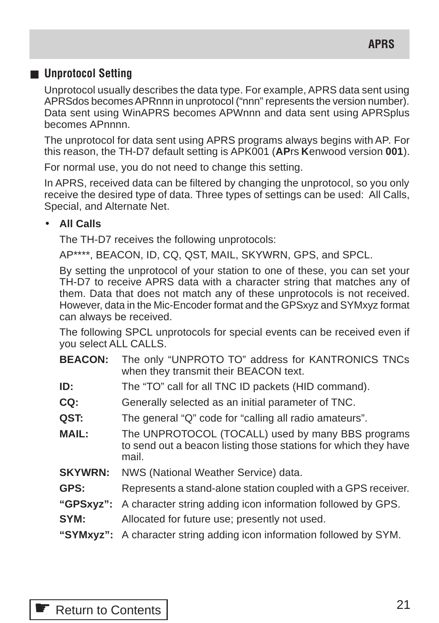# ■ **Unprotocol Setting**

Unprotocol usually describes the data type. For example, APRS data sent using APRSdos becomes APRnnn in unprotocol ("nnn" represents the version number). Data sent using WinAPRS becomes APWnnn and data sent using APRSplus becomes APnnnn.

The unprotocol for data sent using APRS programs always begins with AP. For this reason, the TH-D7 default setting is APK001 (**AP**rs **K**enwood version **001**).

For normal use, you do not need to change this setting.

In APRS, received data can be filtered by changing the unprotocol, so you only receive the desired type of data. Three types of settings can be used: All Calls, Special, and Alternate Net.

### • **All Calls**

The TH-D7 receives the following unprotocols:

AP\*\*\*\*, BEACON, ID, CQ, QST, MAIL, SKYWRN, GPS, and SPCL.

By setting the unprotocol of your station to one of these, you can set your TH-D7 to receive APRS data with a character string that matches any of them. Data that does not match any of these unprotocols is not received. However, data in the Mic-Encoder format and the GPSxyz and SYMxyz format can always be received.

The following SPCL unprotocols for special events can be received even if you select ALL CALLS.

- **BEACON:** The only "UNPROTO TO" address for KANTRONICS TNCs when they transmit their BEACON text.
- **ID:** The "TO" call for all TNC ID packets (HID command).
- **CQ:** Generally selected as an initial parameter of TNC.
- **QST:** The general "Q" code for "calling all radio amateurs".
- **MAIL:** The UNPROTOCOL (TOCALL) used by many BBS programs to send out a beacon listing those stations for which they have mail.
- **SKYWRN:** NWS (National Weather Service) data.
- **GPS:** Represents a stand-alone station coupled with a GPS receiver.
- **"GPSxyz":** A character string adding icon information followed by GPS.
- **SYM:** Allocated for future use; presently not used.
- **"SYMxyz":** A character string adding icon information followed by SYM.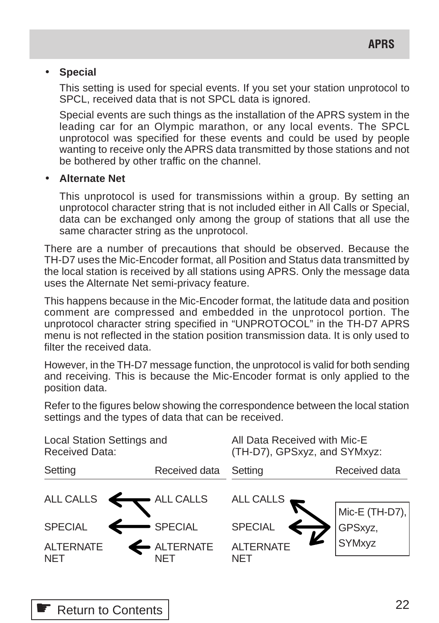#### • **Special**

This setting is used for special events. If you set your station unprotocol to SPCL, received data that is not SPCL data is ignored.

Special events are such things as the installation of the APRS system in the leading car for an Olympic marathon, or any local events. The SPCL unprotocol was specified for these events and could be used by people wanting to receive only the APRS data transmitted by those stations and not be bothered by other traffic on the channel.

### • **Alternate Net**

This unprotocol is used for transmissions within a group. By setting an unprotocol character string that is not included either in All Calls or Special, data can be exchanged only among the group of stations that all use the same character string as the unprotocol.

There are a number of precautions that should be observed. Because the TH-D7 uses the Mic-Encoder format, all Position and Status data transmitted by the local station is received by all stations using APRS. Only the message data uses the Alternate Net semi-privacy feature.

This happens because in the Mic-Encoder format, the latitude data and position comment are compressed and embedded in the unprotocol portion. The unprotocol character string specified in "UNPROTOCOL" in the TH-D7 APRS menu is not reflected in the station position transmission data. It is only used to filter the received data.

However, in the TH-D7 message function, the unprotocol is valid for both sending and receiving. This is because the Mic-Encoder format is only applied to the position data.

Refer to the figures below showing the correspondence between the local station settings and the types of data that can be received.

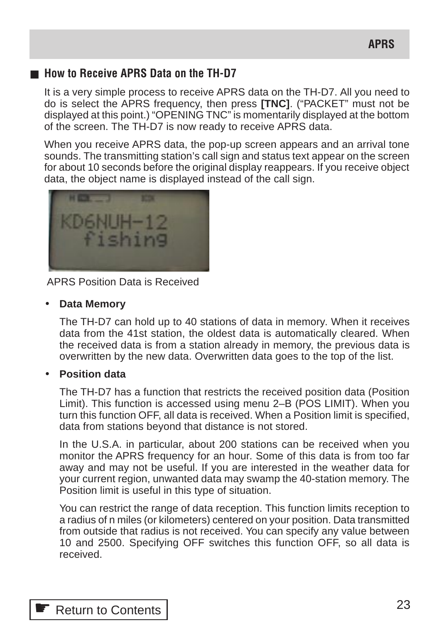# ■ How to Receive APRS Data on the TH-D7

It is a very simple process to receive APRS data on the TH-D7. All you need to do is select the APRS frequency, then press **[TNC]**. ("PACKET" must not be displayed at this point.) "OPENING TNC" is momentarily displayed at the bottom of the screen. The TH-D7 is now ready to receive APRS data.

When you receive APRS data, the pop-up screen appears and an arrival tone sounds. The transmitting station's call sign and status text appear on the screen for about 10 seconds before the original display reappears. If you receive object data, the object name is displayed instead of the call sign.



APRS Position Data is Received

#### • **Data Memory**

The TH-D7 can hold up to 40 stations of data in memory. When it receives data from the 41st station, the oldest data is automatically cleared. When the received data is from a station already in memory, the previous data is overwritten by the new data. Overwritten data goes to the top of the list.

#### • **Position data**

The TH-D7 has a function that restricts the received position data (Position Limit). This function is accessed using menu 2–B (POS LIMIT). When you turn this function OFF, all data is received. When a Position limit is specified, data from stations beyond that distance is not stored.

In the U.S.A. in particular, about 200 stations can be received when you monitor the APRS frequency for an hour. Some of this data is from too far away and may not be useful. If you are interested in the weather data for your current region, unwanted data may swamp the 40-station memory. The Position limit is useful in this type of situation.

You can restrict the range of data reception. This function limits reception to a radius of n miles (or kilometers) centered on your position. Data transmitted from outside that radius is not received. You can specify any value between 10 and 2500. Specifying OFF switches this function OFF, so all data is received.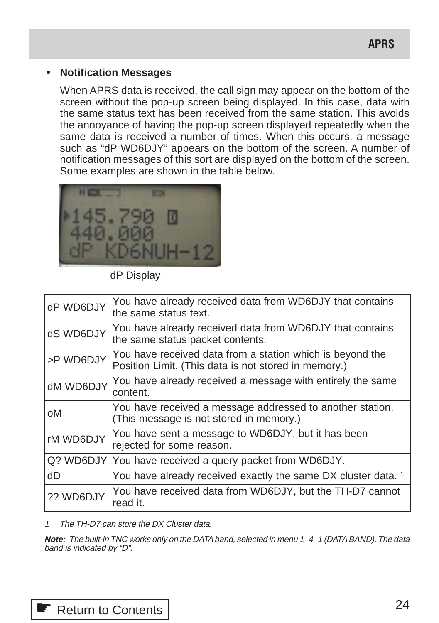#### • **Notification Messages**

When APRS data is received, the call sign may appear on the bottom of the screen without the pop-up screen being displayed. In this case, data with the same status text has been received from the same station. This avoids the annoyance of having the pop-up screen displayed repeatedly when the same data is received a number of times. When this occurs, a message such as "dP WD6DJY" appears on the bottom of the screen. A number of notification messages of this sort are displayed on the bottom of the screen. Some examples are shown in the table below.



dP Display

| dP WD6DJY | You have already received data from WD6DJY that contains<br>the same status text.                                 |
|-----------|-------------------------------------------------------------------------------------------------------------------|
| dS WD6DJY | You have already received data from WD6DJY that contains<br>the same status packet contents.                      |
| >P WD6DJY | You have received data from a station which is beyond the<br>Position Limit. (This data is not stored in memory.) |
| dM WD6DJY | You have already received a message with entirely the same<br>content.                                            |
| оM        | You have received a message addressed to another station.<br>(This message is not stored in memory.)              |
| rM WD6DJY | You have sent a message to WD6DJY, but it has been<br>rejected for some reason.                                   |
|           | Q? WD6DJY You have received a query packet from WD6DJY.                                                           |
| dD        | You have already received exactly the same DX cluster data. 1                                                     |
| ?? WD6DJY | You have received data from WD6DJY, but the TH-D7 cannot<br>read it.                                              |

1 The TH-D7 can store the DX Cluster data.

**Note:** The built-in TNC works only on the DATA band, selected in menu 1–4–1 (DATA BAND). The data band is indicated by "D".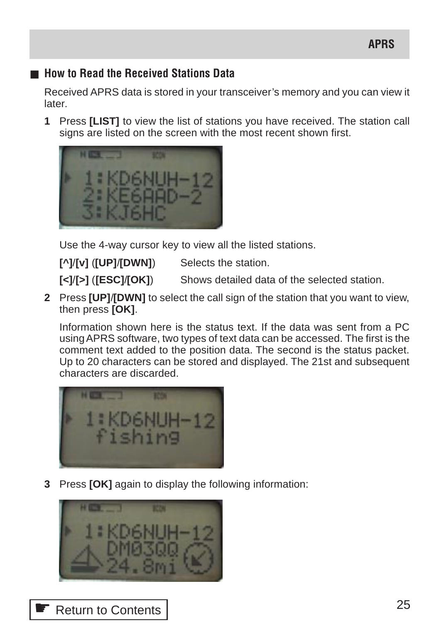# ■ **How to Read the Received Stations Data**

Received APRS data is stored in your transceiver's memory and you can view it later.

**1** Press **[LIST]** to view the list of stations you have received. The station call signs are listed on the screen with the most recent shown first.



Use the 4-way cursor key to view all the listed stations.

**[^]**/**[v]** (**[UP]**/**[DWN]**) Selects the station.

**[<]**/**[>]** (**[ESC]**/**[OK]**) Shows detailed data of the selected station.

**2** Press **[UP]**/**[DWN]** to select the call sign of the station that you want to view, then press **[OK]**.

Information shown here is the status text. If the data was sent from a PC using APRS software, two types of text data can be accessed. The first is the comment text added to the position data. The second is the status packet. Up to 20 characters can be stored and displayed. The 21st and subsequent characters are discarded.



**3** Press **[OK]** again to display the following information:

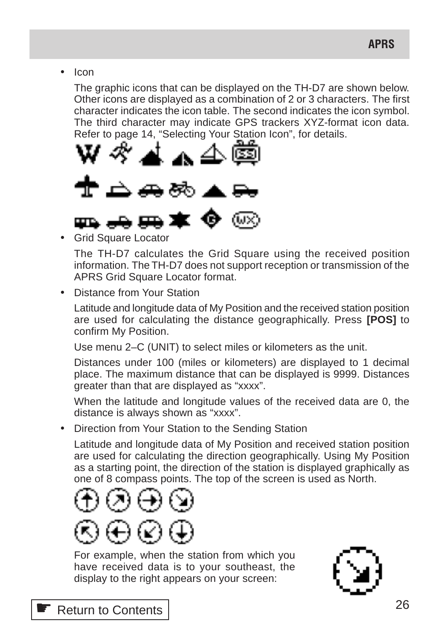• Icon

The graphic icons that can be displayed on the TH-D7 are shown below. Other icons are displayed as a combination of 2 or 3 characters. The first character indicates the icon table. The second indicates the icon symbol. The third character may indicate GPS trackers XYZ-format icon data. Refer to page 14, "Selecting Your Station Icon", for details.



• Grid Square Locator

The TH-D7 calculates the Grid Square using the received position information. The TH-D7 does not support reception or transmission of the APRS Grid Square Locator format.

• Distance from Your Station

Latitude and longitude data of My Position and the received station position are used for calculating the distance geographically. Press **[POS]** to confirm My Position.

Use menu 2–C (UNIT) to select miles or kilometers as the unit.

Distances under 100 (miles or kilometers) are displayed to 1 decimal place. The maximum distance that can be displayed is 9999. Distances greater than that are displayed as "xxxx".

When the latitude and longitude values of the received data are 0, the distance is always shown as "xxxx".

• Direction from Your Station to the Sending Station

Latitude and longitude data of My Position and received station position are used for calculating the direction geographically. Using My Position as a starting point, the direction of the station is displayed graphically as one of 8 compass points. The top of the screen is used as North.







# ☛ [Return to Contents](#page-0-0)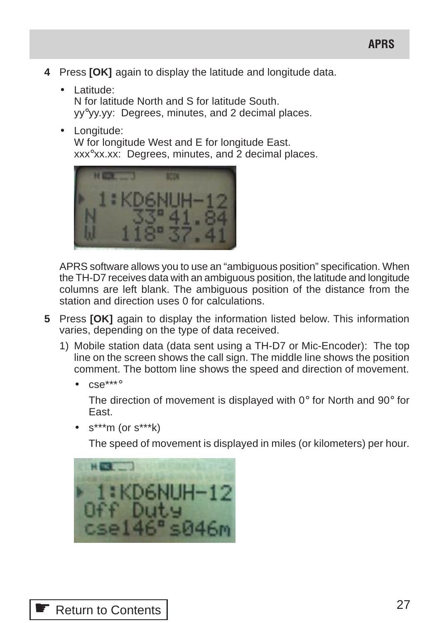- **4** Press **[OK]** again to display the latitude and longitude data.
	- Latitude: N for latitude North and S for latitude South. yy°yy.yy: Degrees, minutes, and 2 decimal places.
	- Longitude:

W for longitude West and E for longitude East. xxx°xx.xx: Degrees, minutes, and 2 decimal places.



APRS software allows you to use an "ambiguous position" specification. When the TH-D7 receives data with an ambiguous position, the latitude and longitude columns are left blank. The ambiguous position of the distance from the station and direction uses 0 for calculations.

- **5** Press **[OK]** again to display the information listed below. This information varies, depending on the type of data received.
	- 1) Mobile station data (data sent using a TH-D7 or Mic-Encoder): The top line on the screen shows the call sign. The middle line shows the position comment. The bottom line shows the speed and direction of movement.
		- $cse***^{\circ}$

The direction of movement is displayed with  $0^{\circ}$  for North and  $90^{\circ}$  for East.

• s\*\*\*m (or s\*\*\*k)

The speed of movement is displayed in miles (or kilometers) per hour.

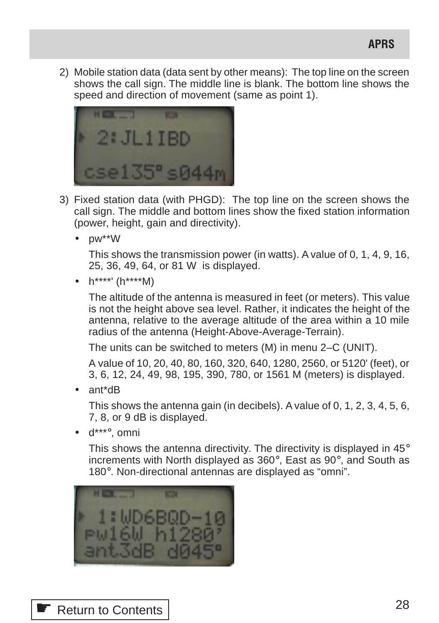**APRS**

2) Mobile station data (data sent by other means): The top line on the screen shows the call sign. The middle line is blank. The bottom line shows the speed and direction of movement (same as point 1).



- 3) Fixed station data (with PHGD): The top line on the screen shows the call sign. The middle and bottom lines show the fixed station information (power, height, gain and directivity).
	- pw\*\*W

This shows the transmission power (in watts). A value of 0, 1, 4, 9, 16, 25, 36, 49, 64, or 81 W is displayed.

•  $h^{****}$  ( $h^{****}$ M)

The altitude of the antenna is measured in feet (or meters). This value is not the height above sea level. Rather, it indicates the height of the antenna, relative to the average altitude of the area within a 10 mile radius of the antenna (Height-Above-Average-Terrain).

The units can be switched to meters (M) in menu 2–C (UNIT).

A value of 10, 20, 40, 80, 160, 320, 640, 1280, 2560, or 5120' (feet), or 3, 6, 12, 24, 49, 98, 195, 390, 780, or 1561 M (meters) is displayed.

• ant\*dB

This shows the antenna gain (in decibels). A value of 0, 1, 2, 3, 4, 5, 6, 7, 8, or 9 dB is displayed.

• d\*\*\*°, omni

This shows the antenna directivity. The directivity is displayed in 45° increments with North displayed as 360°, East as 90°, and South as 180°. Non-directional antennas are displayed as "omni".



**<sup>●</sup> [Return to Contents](#page-0-0)**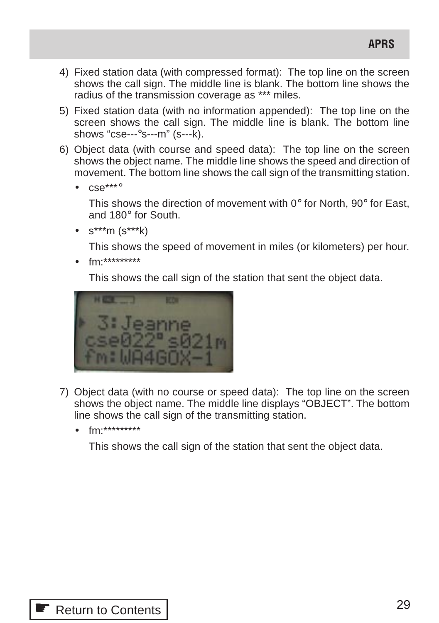- 4) Fixed station data (with compressed format): The top line on the screen shows the call sign. The middle line is blank. The bottom line shows the radius of the transmission coverage as \*\*\* miles.
- 5) Fixed station data (with no information appended): The top line on the screen shows the call sign. The middle line is blank. The bottom line shows "cse---°s---m" (s---k).
- 6) Object data (with course and speed data): The top line on the screen shows the object name. The middle line shows the speed and direction of movement. The bottom line shows the call sign of the transmitting station.
	- $e^{+ * * \circ}$

This shows the direction of movement with 0° for North, 90° for East, and 180° for South.

• s\*\*\*m (s\*\*\*k)

This shows the speed of movement in miles (or kilometers) per hour.

• fm:\*\*\*\*\*\*\*\*\*

This shows the call sign of the station that sent the object data.



- 7) Object data (with no course or speed data): The top line on the screen shows the object name. The middle line displays "OBJECT". The bottom line shows the call sign of the transmitting station.
	- fm:\*\*\*\*\*\*\*\*\*

This shows the call sign of the station that sent the object data.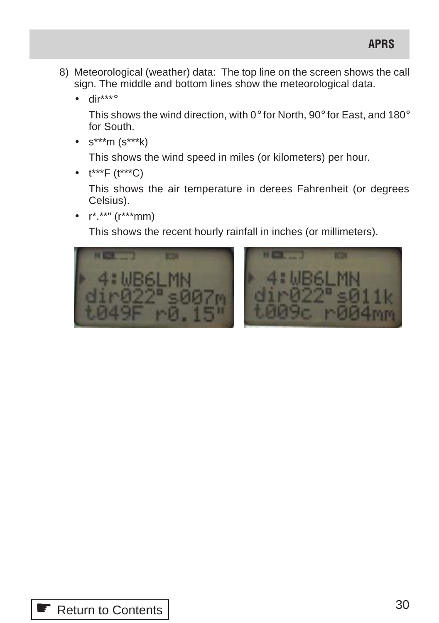- 8) Meteorological (weather) data: The top line on the screen shows the call sign. The middle and bottom lines show the meteorological data.
	- dir\*\*\*°

This shows the wind direction, with 0° for North, 90° for East, and 180° for South.

•  $s^{***}m(s^{***}k)$ 

This shows the wind speed in miles (or kilometers) per hour.

•  $t^{***}F(t^{***}C)$ 

This shows the air temperature in derees Fahrenheit (or degrees Celsius).

 $r^*$ .\*\*" ( $r^{***}$ mm)

This shows the recent hourly rainfall in inches (or millimeters).



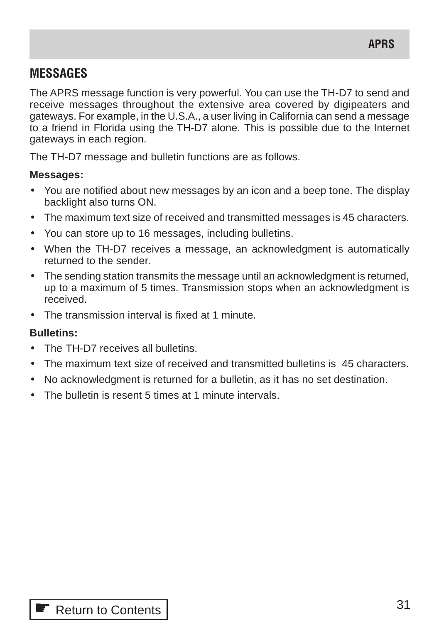# **MESSAGES**

The APRS message function is very powerful. You can use the TH-D7 to send and receive messages throughout the extensive area covered by digipeaters and gateways. For example, in the U.S.A., a user living in California can send a message to a friend in Florida using the TH-D7 alone. This is possible due to the Internet gateways in each region.

The TH-D7 message and bulletin functions are as follows.

#### **Messages:**

- You are notified about new messages by an icon and a beep tone. The display backlight also turns ON.
- The maximum text size of received and transmitted messages is 45 characters.
- You can store up to 16 messages, including bulletins.
- When the TH-D7 receives a message, an acknowledgment is automatically returned to the sender.
- The sending station transmits the message until an acknowledgment is returned, up to a maximum of 5 times. Transmission stops when an acknowledgment is received.
- The transmission interval is fixed at 1 minute.

# **Bulletins:**

- The TH-D7 receives all bulletins.
- The maximum text size of received and transmitted bulletins is 45 characters.
- No acknowledgment is returned for a bulletin, as it has no set destination.
- The bulletin is resent 5 times at 1 minute intervals.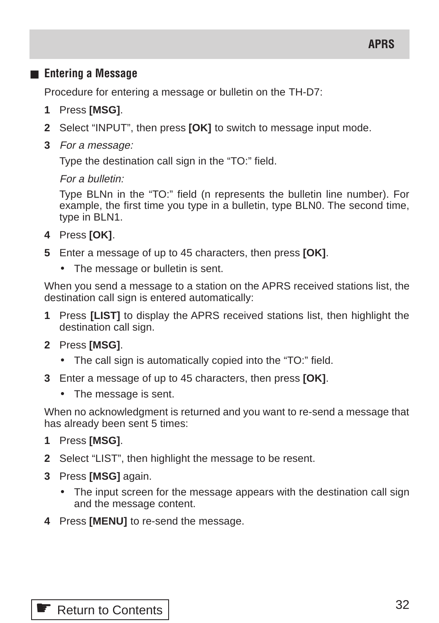# ■ **Entering a Message**

Procedure for entering a message or bulletin on the TH-D7:

- **1** Press **[MSG]**.
- **2** Select "INPUT", then press **[OK]** to switch to message input mode.
- **3** For a message:

Type the destination call sign in the "TO:" field.

#### For a bulletin:

Type BLNn in the "TO:" field (n represents the bulletin line number). For example, the first time you type in a bulletin, type BLN0. The second time, type in BLN1.

- **4** Press **[OK]**.
- **5** Enter a message of up to 45 characters, then press **[OK]**.
	- The message or bulletin is sent.

When you send a message to a station on the APRS received stations list, the destination call sign is entered automatically:

- **1** Press **[LIST]** to display the APRS received stations list, then highlight the destination call sign.
- **2** Press **[MSG]**.
	- The call sign is automatically copied into the "TO:" field.
- **3** Enter a message of up to 45 characters, then press **[OK]**.
	- The message is sent.

When no acknowledgment is returned and you want to re-send a message that has already been sent 5 times:

- **1** Press **[MSG]**.
- **2** Select "LIST", then highlight the message to be resent.
- **3** Press **[MSG]** again.
	- The input screen for the message appears with the destination call sign and the message content.
- **4** Press **[MENU]** to re-send the message.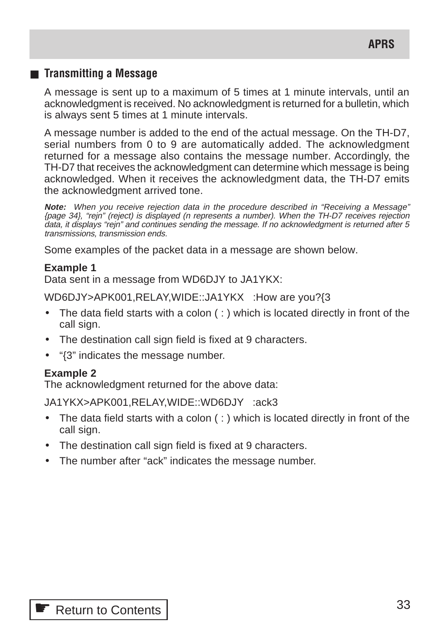### ■ **Transmitting a Message**

A message is sent up to a maximum of 5 times at 1 minute intervals, until an acknowledgment is received. No acknowledgment is returned for a bulletin, which is always sent 5 times at 1 minute intervals.

A message number is added to the end of the actual message. On the TH-D7, serial numbers from 0 to 9 are automatically added. The acknowledgment returned for a message also contains the message number. Accordingly, the TH-D7 that receives the acknowledgment can determine which message is being acknowledged. When it receives the acknowledgment data, the TH-D7 emits the acknowledgment arrived tone.

**Note:** When you receive rejection data in the procedure described in "Receiving a Message" {page 34}, "rejn" (reject) is displayed (n represents a number). When the TH-D7 receives rejection data, it displays "rejn" and continues sending the message. If no acknowledgment is returned after 5 transmissions, transmission ends.

Some examples of the packet data in a message are shown below.

#### **Example 1**

Data sent in a message from WD6DJY to JA1YKX:

WD6DJY>APK001,RELAY,WIDE::JA1YKX :How are you?{3

- The data field starts with a colon  $( : )$  which is located directly in front of the call sign.
- The destination call sign field is fixed at 9 characters.
- "{3" indicates the message number.

#### **Example 2**

The acknowledgment returned for the above data:

JA1YKX>APK001,RELAY,WIDE::WD6DJY :ack3

- The data field starts with a colon  $( : )$  which is located directly in front of the call sign.
- The destination call sign field is fixed at 9 characters.
- The number after "ack" indicates the message number.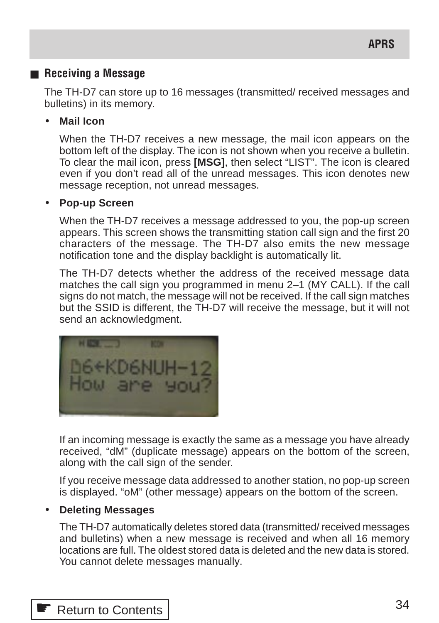### ■ **Receiving a Message**

The TH-D7 can store up to 16 messages (transmitted/ received messages and bulletins) in its memory.

#### • **Mail Icon**

When the TH-D7 receives a new message, the mail icon appears on the bottom left of the display. The icon is not shown when you receive a bulletin. To clear the mail icon, press **[MSG]**, then select "LIST". The icon is cleared even if you don't read all of the unread messages. This icon denotes new message reception, not unread messages.

#### • **Pop-up Screen**

When the TH-D7 receives a message addressed to you, the pop-up screen appears. This screen shows the transmitting station call sign and the first 20 characters of the message. The TH-D7 also emits the new message notification tone and the display backlight is automatically lit.

The TH-D7 detects whether the address of the received message data matches the call sign you programmed in menu 2–1 (MY CALL). If the call signs do not match, the message will not be received. If the call sign matches but the SSID is different, the TH-D7 will receive the message, but it will not send an acknowledgment.



If an incoming message is exactly the same as a message you have already received, "dM" (duplicate message) appears on the bottom of the screen, along with the call sign of the sender.

If you receive message data addressed to another station, no pop-up screen is displayed. "oM" (other message) appears on the bottom of the screen.

#### • **Deleting Messages**

The TH-D7 automatically deletes stored data (transmitted/ received messages and bulletins) when a new message is received and when all 16 memory locations are full. The oldest stored data is deleted and the new data is stored. You cannot delete messages manually.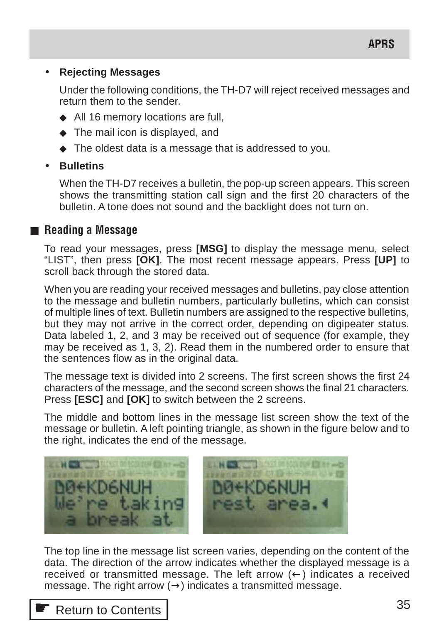#### • **Rejecting Messages**

Under the following conditions, the TH-D7 will reject received messages and return them to the sender.

- ◆ All 16 memory locations are full,
- ◆ The mail icon is displayed, and
- ◆ The oldest data is a message that is addressed to you.

# • **Bulletins**

When the TH-D7 receives a bulletin, the pop-up screen appears. This screen shows the transmitting station call sign and the first 20 characters of the bulletin. A tone does not sound and the backlight does not turn on.

# ■ **Reading a Message**

To read your messages, press **[MSG]** to display the message menu, select "LIST", then press **[OK]**. The most recent message appears. Press **[UP]** to scroll back through the stored data.

When you are reading your received messages and bulletins, pay close attention to the message and bulletin numbers, particularly bulletins, which can consist of multiple lines of text. Bulletin numbers are assigned to the respective bulletins, but they may not arrive in the correct order, depending on digipeater status. Data labeled 1, 2, and 3 may be received out of sequence (for example, they may be received as 1, 3, 2). Read them in the numbered order to ensure that the sentences flow as in the original data.

The message text is divided into 2 screens. The first screen shows the first 24 characters of the message, and the second screen shows the final 21 characters. Press **[ESC]** and **[OK]** to switch between the 2 screens.

The middle and bottom lines in the message list screen show the text of the message or bulletin. A left pointing triangle, as shown in the figure below and to the right, indicates the end of the message.



The top line in the message list screen varies, depending on the content of the data. The direction of the arrow indicates whether the displayed message is a received or transmitted message. The left arrow  $(\leftarrow)$  indicates a received message. The right arrow  $(\rightarrow)$  indicates a transmitted message.

# ☛ [Return to Contents](#page-0-0)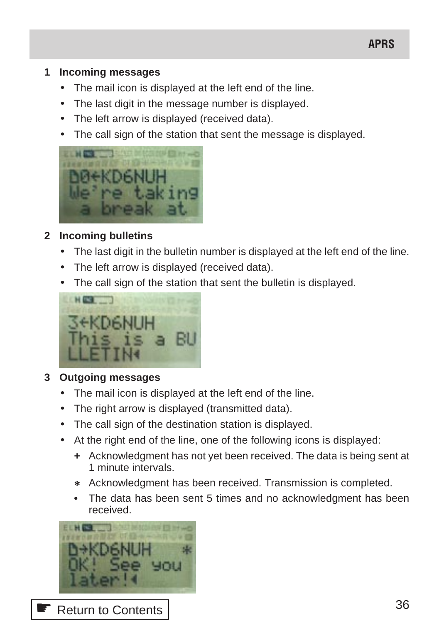# **APRS**

#### **1 Incoming messages**

- The mail icon is displayed at the left end of the line.
- The last digit in the message number is displayed.
- The left arrow is displayed (received data).
- The call sign of the station that sent the message is displayed.



# **2 Incoming bulletins**

- The last digit in the bulletin number is displayed at the left end of the line.
- The left arrow is displayed (received data).
- The call sign of the station that sent the bulletin is displayed.



# **3 Outgoing messages**

- The mail icon is displayed at the left end of the line.
- The right arrow is displayed (transmitted data).
- The call sign of the destination station is displayed.
- At the right end of the line, one of the following icons is displayed:
	- **+** Acknowledgment has not yet been received. The data is being sent at 1 minute intervals.
	- **\*** Acknowledgment has been received. Transmission is completed.
	- **•** The data has been sent 5 times and no acknowledgment has been received.

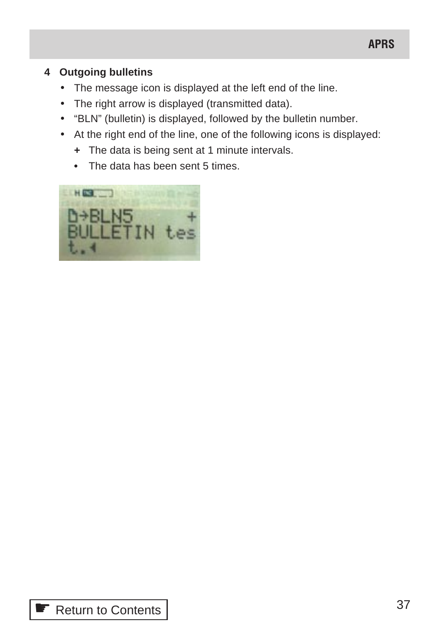## **4 Outgoing bulletins**

- The message icon is displayed at the left end of the line.
- The right arrow is displayed (transmitted data).
- "BLN" (bulletin) is displayed, followed by the bulletin number.
- At the right end of the line, one of the following icons is displayed:
	- **+** The data is being sent at 1 minute intervals.
	- **•** The data has been sent 5 times.

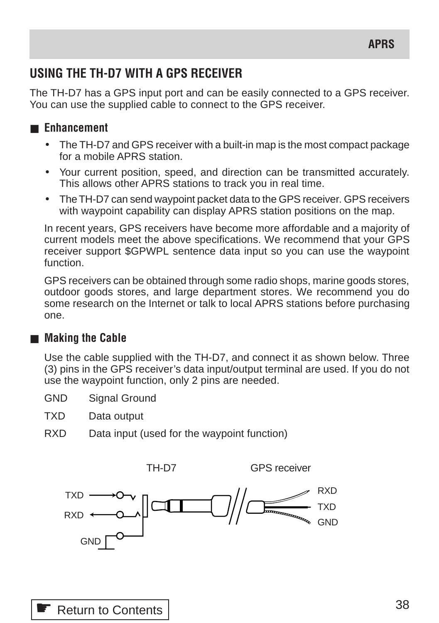## **USING THE TH-D7 WITH A GPS RECEIVER**

The TH-D7 has a GPS input port and can be easily connected to a GPS receiver. You can use the supplied cable to connect to the GPS receiver.

## ■ **Enhancement**

- The TH-D7 and GPS receiver with a built-in map is the most compact package for a mobile APRS station.
- Your current position, speed, and direction can be transmitted accurately. This allows other APRS stations to track you in real time.
- The TH-D7 can send waypoint packet data to the GPS receiver. GPS receivers with waypoint capability can display APRS station positions on the map.

In recent years, GPS receivers have become more affordable and a majority of current models meet the above specifications. We recommend that your GPS receiver support \$GPWPL sentence data input so you can use the waypoint function.

GPS receivers can be obtained through some radio shops, marine goods stores, outdoor goods stores, and large department stores. We recommend you do some research on the Internet or talk to local APRS stations before purchasing one.

## ■ **Making the Cable**

Use the cable supplied with the TH-D7, and connect it as shown below. Three (3) pins in the GPS receiver's data input/output terminal are used. If you do not use the waypoint function, only 2 pins are needed.

- GND Signal Ground
- TXD Data output
- RXD Data input (used for the waypoint function)

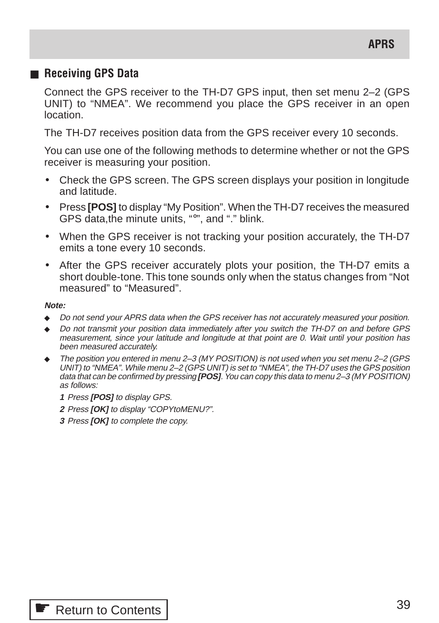#### ■ **Receiving GPS Data**

Connect the GPS receiver to the TH-D7 GPS input, then set menu 2–2 (GPS UNIT) to "NMEA". We recommend you place the GPS receiver in an open location.

The TH-D7 receives position data from the GPS receiver every 10 seconds.

You can use one of the following methods to determine whether or not the GPS receiver is measuring your position.

- Check the GPS screen. The GPS screen displays your position in longitude and latitude.
- Press **[POS]** to display "My Position". When the TH-D7 receives the measured GPS data,the minute units, "°", and "." blink.
- When the GPS receiver is not tracking your position accurately, the TH-D7 emits a tone every 10 seconds.
- After the GPS receiver accurately plots your position, the TH-D7 emits a short double-tone. This tone sounds only when the status changes from "Not measured" to "Measured".

#### **Note:**

- Do not send your APRS data when the GPS receiver has not accurately measured your position.
- ◆ Do not transmit your position data immediately after you switch the TH-D7 on and before GPS measurement, since your latitude and longitude at that point are 0. Wait until your position has been measured accurately.
- The position you entered in menu 2–3 (MY POSITION) is not used when you set menu 2–2 (GPS UNIT) to "NMEA". While menu 2–2 (GPS UNIT) is set to "NMEA", the TH-D7 uses the GPS position data that can be confirmed by pressing **[POS]**. You can copy this data to menu 2–3 (MY POSITION) as follows:
	- **1** Press **[POS]** to display GPS.
	- **2** Press **[OK]** to display "COPYtoMENU?".
	- **3** Press **[OK]** to complete the copy.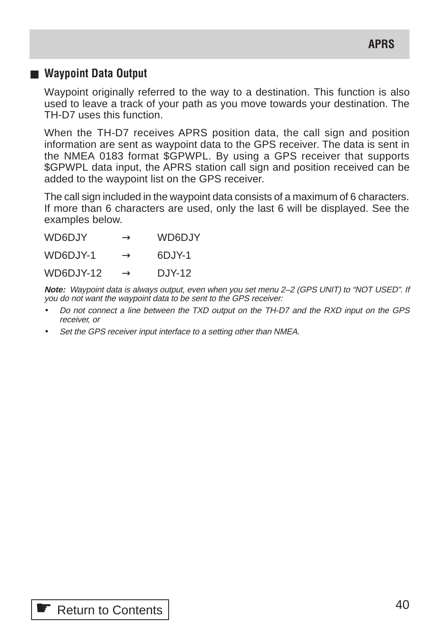### ■ Waypoint Data Output

Waypoint originally referred to the way to a destination. This function is also used to leave a track of your path as you move towards your destination. The TH-D7 uses this function.

When the TH-D7 receives APRS position data, the call sign and position information are sent as waypoint data to the GPS receiver. The data is sent in the NMEA 0183 format \$GPWPL. By using a GPS receiver that supports \$GPWPL data input, the APRS station call sign and position received can be added to the waypoint list on the GPS receiver.

The call sign included in the waypoint data consists of a maximum of 6 characters. If more than 6 characters are used, only the last 6 will be displayed. See the examples below.

| WD6DJY    | $\rightarrow$ | WD6D.JY  |
|-----------|---------------|----------|
| WD6DJY-1  | $\rightarrow$ | 6DJY-1   |
| WD6DJY-12 | $\rightarrow$ | $DJY-12$ |

**Note:** Waypoint data is always output, even when you set menu 2–2 (GPS UNIT) to "NOT USED". If you do not want the waypoint data to be sent to the GPS receiver:

- Do not connect a line between the TXD output on the TH-D7 and the RXD input on the GPS receiver, or
- Set the GPS receiver input interface to a setting other than NMEA.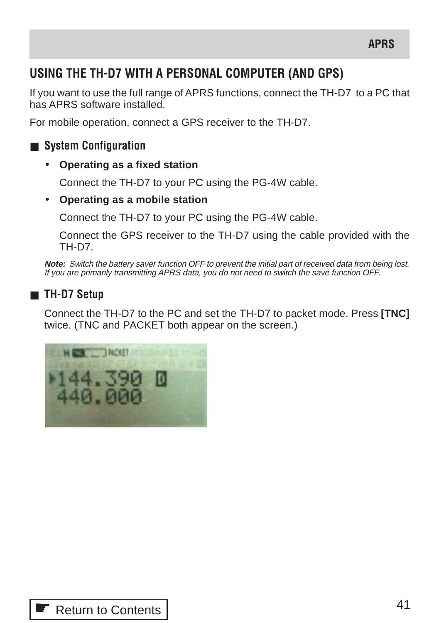## **USING THE TH-D7 WITH A PERSONAL COMPUTER (AND GPS)**

If you want to use the full range of APRS functions, connect the TH-D7 to a PC that has APRS software installed.

For mobile operation, connect a GPS receiver to the TH-D7.

## ■ **System Configuration**

• **Operating as a fixed station**

Connect the TH-D7 to your PC using the PG-4W cable.

• **Operating as a mobile station**

Connect the TH-D7 to your PC using the PG-4W cable.

Connect the GPS receiver to the TH-D7 using the cable provided with the TH-D7.

**Note:** Switch the battery saver function OFF to prevent the initial part of received data from being lost. If you are primarily transmitting APRS data, you do not need to switch the save function OFF.

## ■ **TH-D7 Setup**

Connect the TH-D7 to the PC and set the TH-D7 to packet mode. Press **[TNC]** twice. (TNC and PACKET both appear on the screen.)

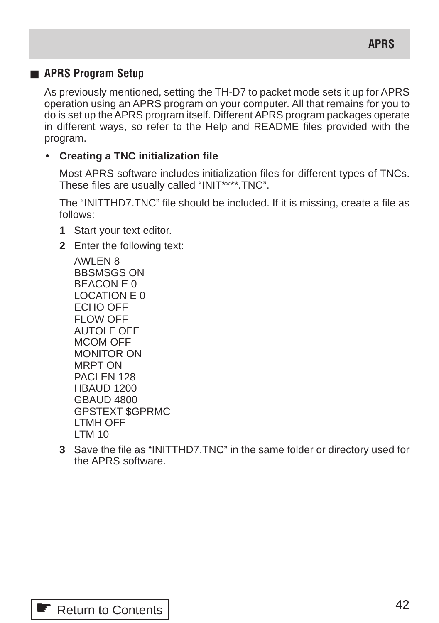## ■ **APRS Program Setup**

As previously mentioned, setting the TH-D7 to packet mode sets it up for APRS operation using an APRS program on your computer. All that remains for you to do is set up the APRS program itself. Different APRS program packages operate in different ways, so refer to the Help and README files provided with the program.

#### • **Creating a TNC initialization file**

Most APRS software includes initialization files for different types of TNCs. These files are usually called "INIT\*\*\*\*.TNC".

The "INITTHD7.TNC" file should be included. If it is missing, create a file as follows:

- **1** Start your text editor.
- **2** Enter the following text:

AWLEN 8 BBSMSGS ON BEACON E 0 LOCATION E 0 ECHO OFF FLOW OFF AUTOLF OFF MCOM OFF MONITOR ON MRPT ON PACLEN 128 HBAUD 1200 GBAUD 4800 GPSTEXT \$GPRMC LTMH OFF LTM 10

**3** Save the file as "INITTHD7.TNC" in the same folder or directory used for the APRS software.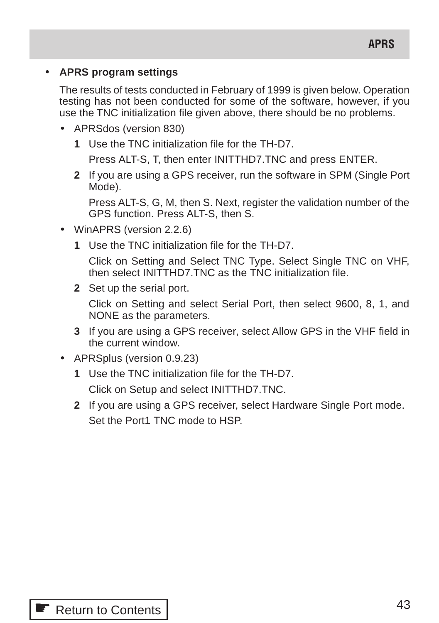### • **APRS program settings**

The results of tests conducted in February of 1999 is given below. Operation testing has not been conducted for some of the software, however, if you use the TNC initialization file given above, there should be no problems.

- APRSdos (version 830)
	- **1** Use the TNC initialization file for the TH-D7.

Press ALT-S, T, then enter INITTHD7.TNC and press ENTER.

**2** If you are using a GPS receiver, run the software in SPM (Single Port Mode).

Press ALT-S, G, M, then S. Next, register the validation number of the GPS function. Press ALT-S, then S.

- WinAPRS (version 2.2.6)
	- **1** Use the TNC initialization file for the TH-D7.

Click on Setting and Select TNC Type. Select Single TNC on VHF, then select INITTHD7.TNC as the TNC initialization file.

**2** Set up the serial port.

Click on Setting and select Serial Port, then select 9600, 8, 1, and NONE as the parameters.

- **3** If you are using a GPS receiver, select Allow GPS in the VHF field in the current window.
- APRSplus (version 0.9.23)
	- **1** Use the TNC initialization file for the TH-D7. Click on Setup and select INITTHD7.TNC.
	- **2** If you are using a GPS receiver, select Hardware Single Port mode. Set the Port1 TNC mode to HSP.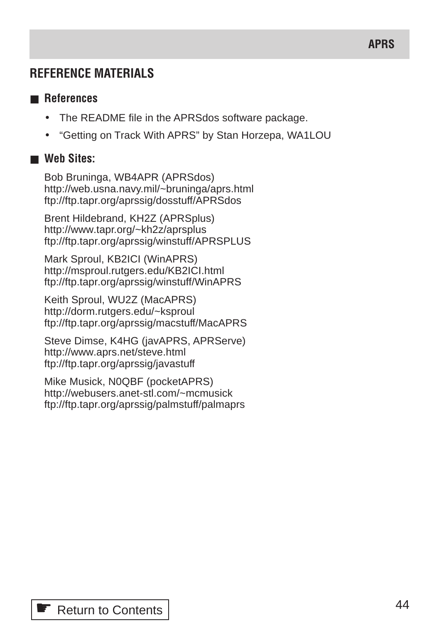## **REFERENCE MATERIALS**

### ■ **References**

- The README file in the APRSdos software package.
- "Getting on Track With APRS" by Stan Horzepa, WA1LOU

## ■ **Web Sites:**

Bob Bruninga, WB4APR (APRSdos) http://web.usna.navy.mil/~bruninga/aprs.html ftp://ftp.tapr.org/aprssig/dosstuff/APRSdos

Brent Hildebrand, KH2Z (APRSplus) http://www.tapr.org/~kh2z/aprsplus ftp://ftp.tapr.org/aprssig/winstuff/APRSPLUS

Mark Sproul, KB2ICI (WinAPRS) http://msproul.rutgers.edu/KB2ICI.html ftp://ftp.tapr.org/aprssig/winstuff/WinAPRS

Keith Sproul, WU2Z (MacAPRS) http://dorm.rutgers.edu/~ksproul ftp://ftp.tapr.org/aprssig/macstuff/MacAPRS

Steve Dimse, K4HG (javAPRS, APRServe) http://www.aprs.net/steve.html ftp://ftp.tapr.org/aprssig/javastuff

Mike Musick, N0QBF (pocketAPRS) http://webusers.anet-stl.com/~mcmusick ftp://ftp.tapr.org/aprssig/palmstuff/palmaprs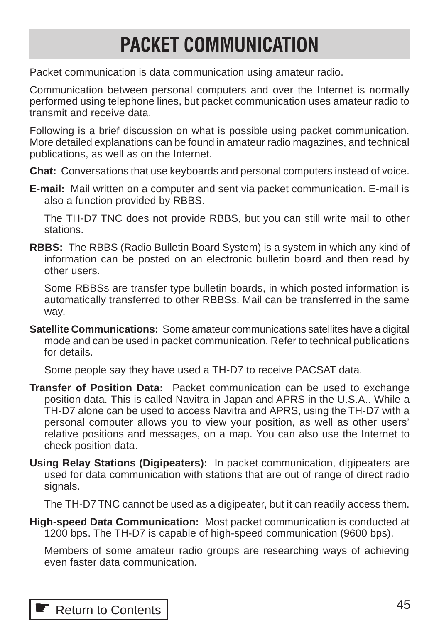# **Packet Communication PACKET COMMUNICATION**

Packet communication is data communication using amateur radio.

Communication between personal computers and over the Internet is normally performed using telephone lines, but packet communication uses amateur radio to transmit and receive data.

Following is a brief discussion on what is possible using packet communication. More detailed explanations can be found in amateur radio magazines, and technical publications, as well as on the Internet.

**Chat:** Conversations that use keyboards and personal computers instead of voice.

**E-mail:** Mail written on a computer and sent via packet communication. E-mail is also a function provided by RBBS.

The TH-D7 TNC does not provide RBBS, but you can still write mail to other stations.

**RBBS:** The RBBS (Radio Bulletin Board System) is a system in which any kind of information can be posted on an electronic bulletin board and then read by other users.

Some RBBSs are transfer type bulletin boards, in which posted information is automatically transferred to other RBBSs. Mail can be transferred in the same way.

**Satellite Communications:** Some amateur communications satellites have a digital mode and can be used in packet communication. Refer to technical publications for details.

Some people say they have used a TH-D7 to receive PACSAT data.

- **Transfer of Position Data:** Packet communication can be used to exchange position data. This is called Navitra in Japan and APRS in the U.S.A.. While a TH-D7 alone can be used to access Navitra and APRS, using the TH-D7 with a personal computer allows you to view your position, as well as other users' relative positions and messages, on a map. You can also use the Internet to check position data.
- **Using Relay Stations (Digipeaters):** In packet communication, digipeaters are used for data communication with stations that are out of range of direct radio signals.

The TH-D7 TNC cannot be used as a digipeater, but it can readily access them.

**High-speed Data Communication:** Most packet communication is conducted at 1200 bps. The TH-D7 is capable of high-speed communication (9600 bps).

Members of some amateur radio groups are researching ways of achieving even faster data communication.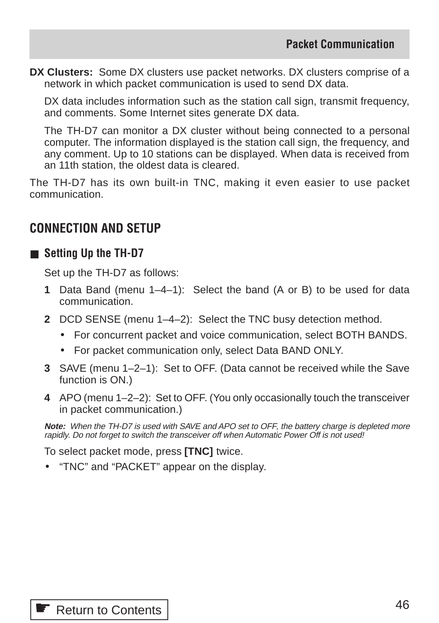**DX Clusters:** Some DX clusters use packet networks. DX clusters comprise of a network in which packet communication is used to send DX data.

DX data includes information such as the station call sign, transmit frequency, and comments. Some Internet sites generate DX data.

The TH-D7 can monitor a DX cluster without being connected to a personal computer. The information displayed is the station call sign, the frequency, and any comment. Up to 10 stations can be displayed. When data is received from an 11th station, the oldest data is cleared.

The TH-D7 has its own built-in TNC, making it even easier to use packet communication.

## **CONNECTION AND SETUP**

### ■ **Setting Up the TH-D7**

Set up the TH-D7 as follows:

- **1** Data Band (menu 1–4–1): Select the band (A or B) to be used for data communication.
- **2** DCD SENSE (menu 1–4–2): Select the TNC busy detection method.
	- For concurrent packet and voice communication, select BOTH BANDS.
	- For packet communication only, select Data BAND ONLY.
- **3** SAVE (menu 1–2–1): Set to OFF. (Data cannot be received while the Save function is ON.)
- **4** APO (menu 1–2–2): Set to OFF. (You only occasionally touch the transceiver in packet communication.)

**Note:** When the TH-D7 is used with SAVE and APO set to OFF, the battery charge is depleted more rapidly. Do not forget to switch the transceiver off when Automatic Power Off is not used!

To select packet mode, press **[TNC]** twice.

• "TNC" and "PACKET" appear on the display.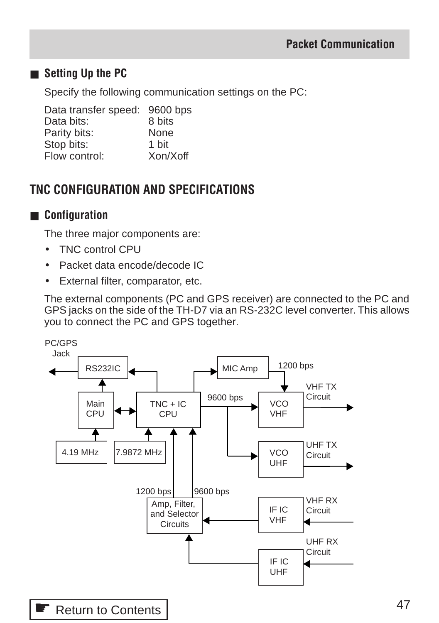## ■ **Setting Up the PC**

Specify the following communication settings on the PC:

Data transfer speed: 9600 bps Data bits: 8 bits Parity bits: None Stop bits:<br>
Flow control: The Xon/Xoff  $Flow$  control:

## **TNC CONFIGURATION AND SPECIFICATIONS**

## ■ **Configuration**

The three major components are:

- TNC control CPU
- Packet data encode/decode IC
- External filter, comparator, etc.

The external components (PC and GPS receiver) are connected to the PC and GPS jacks on the side of the TH-D7 via an RS-232C level converter. This allows you to connect the PC and GPS together.

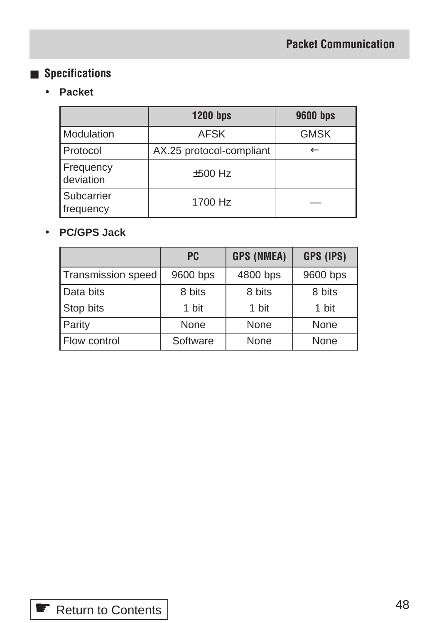## ■ **Specifications**

## • **Packet**

|                         | <b>1200 bps</b>          | <b>9600 bps</b> |
|-------------------------|--------------------------|-----------------|
| Modulation              | <b>AFSK</b>              | <b>GMSK</b>     |
| Protocol                | AX.25 protocol-compliant |                 |
| Frequency<br>deviation  | $±500$ Hz                |                 |
| Subcarrier<br>frequency | 1700 Hz                  |                 |

## • **PC/GPS Jack**

|                    | <b>PC</b> | <b>GPS (NMEA)</b> | GPS (IPS) |
|--------------------|-----------|-------------------|-----------|
| Transmission speed | 9600 bps  | 4800 bps          | 9600 bps  |
| Data bits          | 8 bits    | 8 bits            | 8 bits    |
| Stop bits          | 1 bit     | 1 bit             | 1 bit     |
| Parity             | None      | None              | None      |
| Flow control       | Software  | None              | None      |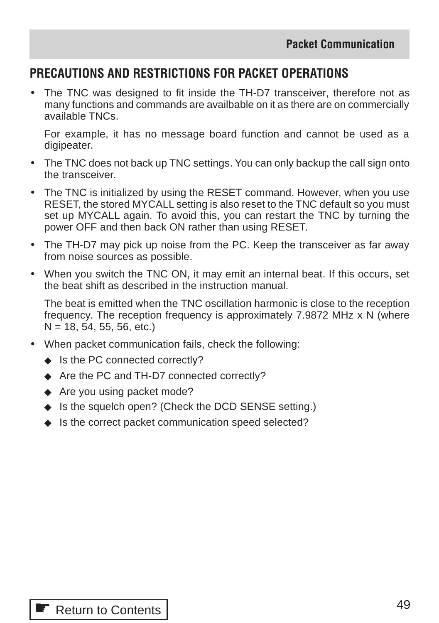## **PRECAUTIONS AND RESTRICTIONS FOR PACKET OPERATIONS**

• The TNC was designed to fit inside the TH-D7 transceiver, therefore not as many functions and commands are availbable on it as there are on commercially available TNCs.

For example, it has no message board function and cannot be used as a digipeater.

- The TNC does not back up TNC settings. You can only backup the call sign onto the transceiver.
- The TNC is initialized by using the RESET command. However, when you use RESET, the stored MYCALL setting is also reset to the TNC default so you must set up MYCALL again. To avoid this, you can restart the TNC by turning the power OFF and then back ON rather than using RESET.
- The TH-D7 may pick up noise from the PC. Keep the transceiver as far away from noise sources as possible.
- When you switch the TNC ON, it may emit an internal beat. If this occurs, set the beat shift as described in the instruction manual.

The beat is emitted when the TNC oscillation harmonic is close to the reception frequency. The reception frequency is approximately 7.9872 MHz x N (where  $N = 18, 54, 55, 56, etc.$ 

- When packet communication fails, check the following:
	- ◆ Is the PC connected correctly?
	- ◆ Are the PC and TH-D7 connected correctly?
	- ◆ Are you using packet mode?
	- ◆ Is the squelch open? (Check the DCD SENSE setting.)
	- ◆ Is the correct packet communication speed selected?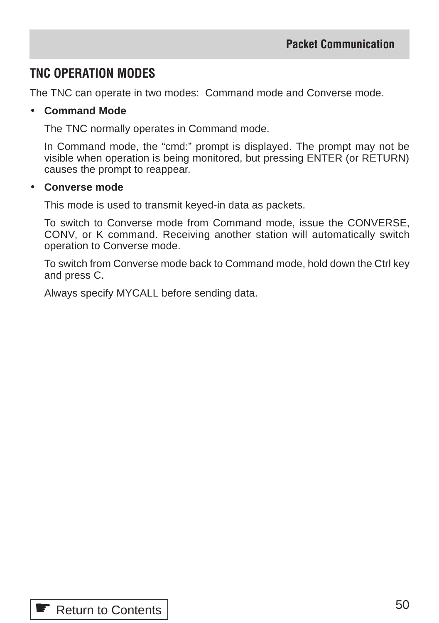## **TNC OPERATION MODES**

The TNC can operate in two modes: Command mode and Converse mode.

### • **Command Mode**

The TNC normally operates in Command mode.

In Command mode, the "cmd:" prompt is displayed. The prompt may not be visible when operation is being monitored, but pressing ENTER (or RETURN) causes the prompt to reappear.

#### • **Converse mode**

This mode is used to transmit keyed-in data as packets.

To switch to Converse mode from Command mode, issue the CONVERSE, CONV, or K command. Receiving another station will automatically switch operation to Converse mode.

To switch from Converse mode back to Command mode, hold down the Ctrl key and press C.

Always specify MYCALL before sending data.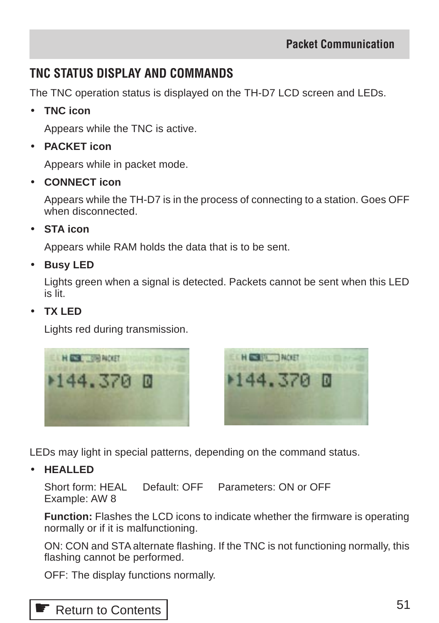## **TNC STATUS DISPLAY AND COMMANDS**

The TNC operation status is displayed on the TH-D7 LCD screen and LEDs.

• **TNC icon**

Appears while the TNC is active.

• **PACKET icon**

Appears while in packet mode.

• **CONNECT icon**

Appears while the TH-D7 is in the process of connecting to a station. Goes OFF when disconnected

• **STA icon**

Appears while RAM holds the data that is to be sent.

• **Busy LED**

Lights green when a signal is detected. Packets cannot be sent when this LED is lit.

• **TX LED**

Lights red during transmission.





LEDs may light in special patterns, depending on the command status.

• **HEALLED**

Short form: HEAL Default: OFF Parameters: ON or OFF Example: AW 8

**Function:** Flashes the LCD icons to indicate whether the firmware is operating normally or if it is malfunctioning.

ON: CON and STA alternate flashing. If the TNC is not functioning normally, this flashing cannot be performed.

OFF: The display functions normally.

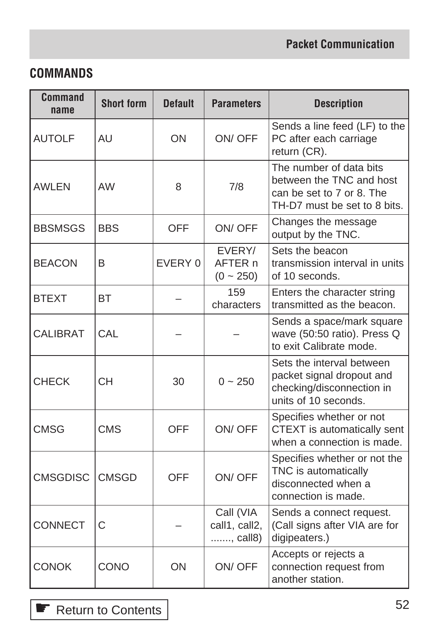## **COMMANDS**

| <b>Command</b><br>name | <b>Short form</b> | <b>Default</b> | <b>Parameters</b>                              | <b>Description</b>                                                                                               |
|------------------------|-------------------|----------------|------------------------------------------------|------------------------------------------------------------------------------------------------------------------|
| <b>AUTOLF</b>          | <b>AU</b>         | ON             | ON/OFF                                         | Sends a line feed (LF) to the<br>PC after each carriage<br>return (CR).                                          |
| <b>AWLEN</b>           | <b>AW</b>         | 8              | 7/8                                            | The number of data bits<br>between the TNC and host<br>can be set to 7 or 8. The<br>TH-D7 must be set to 8 bits. |
| <b>BBSMSGS</b>         | <b>BBS</b>        | <b>OFF</b>     | ON/OFF                                         | Changes the message<br>output by the TNC.                                                                        |
| <b>BEACON</b>          | B                 | EVERY 0        | EVERY/<br>AFTER <sub>n</sub><br>$(0 \sim 250)$ | Sets the beacon<br>transmission interval in units<br>of 10 seconds.                                              |
| <b>BTEXT</b>           | <b>BT</b>         |                | 159<br>characters                              | Enters the character string<br>transmitted as the beacon.                                                        |
| <b>CALIBRAT</b>        | CAL               |                |                                                | Sends a space/mark square<br>wave (50:50 ratio). Press Q<br>to exit Calibrate mode.                              |
| <b>CHECK</b>           | <b>CH</b>         | 30             | $0 - 250$                                      | Sets the interval between<br>packet signal dropout and<br>checking/disconnection in<br>units of 10 seconds.      |
| <b>CMSG</b>            | <b>CMS</b>        | <b>OFF</b>     | ON/OFF                                         | Specifies whether or not<br>CTEXT is automatically sent<br>when a connection is made.                            |
| <b>CMSGDISC</b>        | <b>CMSGD</b>      | <b>OFF</b>     | ON/OFF                                         | Specifies whether or not the<br>TNC is automatically<br>disconnected when a<br>connection is made.               |
| <b>CONNECT</b>         | C                 |                | Call (VIA<br>call1, call2,<br>, call8)         | Sends a connect request.<br>(Call signs after VIA are for<br>digipeaters.)                                       |
| <b>CONOK</b>           | CONO              | ON             | ON/OFF                                         | Accepts or rejects a<br>connection request from<br>another station.                                              |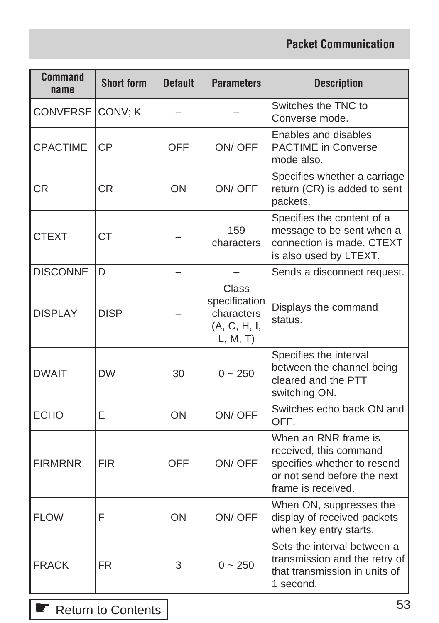| Command<br>name | <b>Short form</b> | <b>Default</b> | <b>Parameters</b>                                                      | <b>Description</b>                                                                                                                 |
|-----------------|-------------------|----------------|------------------------------------------------------------------------|------------------------------------------------------------------------------------------------------------------------------------|
| CONVERSE        | CONV; K           |                |                                                                        | Switches the TNC to<br>Converse mode.                                                                                              |
| <b>CPACTIME</b> | <b>CP</b>         | OFF            | ON/OFF                                                                 | Enables and disables<br><b>PACTIME</b> in Converse<br>mode also.                                                                   |
| <b>CR</b>       | СR                | ON             | ON/OFF                                                                 | Specifies whether a carriage<br>return (CR) is added to sent<br>packets.                                                           |
| <b>CTEXT</b>    | <b>CT</b>         |                | 159<br>characters                                                      | Specifies the content of a<br>message to be sent when a<br>connection is made. CTEXT<br>is also used by LTEXT.                     |
| <b>DISCONNE</b> | D                 |                |                                                                        | Sends a disconnect request.                                                                                                        |
| <b>DISPLAY</b>  | <b>DISP</b>       |                | <b>Class</b><br>specification<br>characters<br>(A, C, H, I,<br>L, M, T | Displays the command<br>status.                                                                                                    |
| <b>DWAIT</b>    | <b>DW</b>         | 30             | $0 - 250$                                                              | Specifies the interval<br>between the channel being<br>cleared and the PTT<br>switching ON.                                        |
| <b>ECHO</b>     | Е                 | ON             | ON/OFF                                                                 | Switches echo back ON and<br>OFF.                                                                                                  |
| <b>FIRMRNR</b>  | <b>FIR</b>        | OFF            | ON/OFF                                                                 | When an RNR frame is<br>received, this command<br>specifies whether to resend<br>or not send before the next<br>frame is received. |
| <b>FLOW</b>     | F                 | ON             | ON/OFF                                                                 | When ON, suppresses the<br>display of received packets<br>when key entry starts.                                                   |
| <b>FRACK</b>    | <b>FR</b>         | 3              | $0 - 250$                                                              | Sets the interval between a<br>transmission and the retry of<br>that transmission in units of<br>1 second.                         |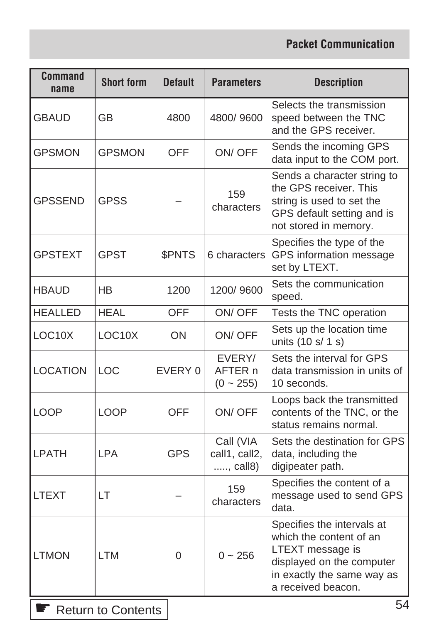| <b>Command</b><br>name | <b>Short form</b> | <b>Default</b> | <b>Parameters</b>                      | <b>Description</b>                                                                                                                                         |
|------------------------|-------------------|----------------|----------------------------------------|------------------------------------------------------------------------------------------------------------------------------------------------------------|
| <b>GBAUD</b>           | GB                | 4800           | 4800/9600                              | Selects the transmission<br>speed between the TNC<br>and the GPS receiver.                                                                                 |
| <b>GPSMON</b>          | <b>GPSMON</b>     | OFF            | ON/OFF                                 | Sends the incoming GPS<br>data input to the COM port.                                                                                                      |
| <b>GPSSEND</b>         | <b>GPSS</b>       |                | 159<br>characters                      | Sends a character string to<br>the GPS receiver. This<br>string is used to set the<br>GPS default setting and is<br>not stored in memory.                  |
| <b>GPSTEXT</b>         | <b>GPST</b>       | \$PNTS         | 6 characters                           | Specifies the type of the<br>GPS information message<br>set by LTEXT.                                                                                      |
| <b>HBAUD</b>           | НB                | 1200           | 1200/9600                              | Sets the communication<br>speed.                                                                                                                           |
| <b>HEALLED</b>         | <b>HEAL</b>       | <b>OFF</b>     | ON/OFF                                 | Tests the TNC operation                                                                                                                                    |
| LOC10X                 | LOC10X            | ON             | ON/OFF                                 | Sets up the location time<br>units (10 s/ 1 s)                                                                                                             |
| <b>LOCATION</b>        | LOC               | EVERY 0        | EVERY/<br>AFTER n<br>$(0 - 255)$       | Sets the interval for GPS<br>data transmission in units of<br>10 seconds.                                                                                  |
| <b>LOOP</b>            | <b>LOOP</b>       | OFF            | ON/OFF                                 | Loops back the transmitted<br>contents of the TNC, or the<br>status remains normal.                                                                        |
| <b>LPATH</b>           | <b>LPA</b>        | <b>GPS</b>     | Call (VIA<br>call1, call2,<br>, call8) | Sets the destination for GPS<br>data, including the<br>digipeater path.                                                                                    |
| <b>LTEXT</b>           | LT                |                | 159<br>characters                      | Specifies the content of a<br>message used to send GPS<br>data.                                                                                            |
| <b>LTMON</b>           | <b>LTM</b>        | 0              | $0 - 256$                              | Specifies the intervals at<br>which the content of an<br>LTEXT message is<br>displayed on the computer<br>in exactly the same way as<br>a received beacon. |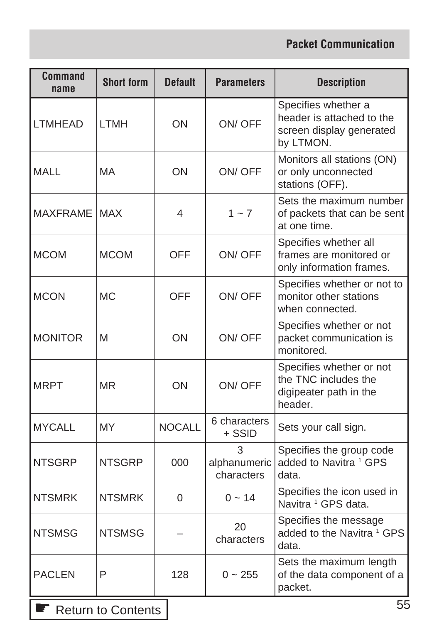| <b>Command</b><br>name | <b>Short form</b> | <b>Default</b> | <b>Parameters</b>               | <b>Description</b>                                                                        |
|------------------------|-------------------|----------------|---------------------------------|-------------------------------------------------------------------------------------------|
| <b>LTMHEAD</b>         | <b>LTMH</b>       | ON             | ON/OFF                          | Specifies whether a<br>header is attached to the<br>screen display generated<br>by LTMON. |
| <b>MALL</b>            | MA                | ON             | ON/OFF                          | Monitors all stations (ON)<br>or only unconnected<br>stations (OFF).                      |
| <b>MAXFRAME</b>        | <b>MAX</b>        | 4              | $1 - 7$                         | Sets the maximum number<br>of packets that can be sent<br>at one time.                    |
| <b>MCOM</b>            | <b>MCOM</b>       | <b>OFF</b>     | ON/OFF                          | Specifies whether all<br>frames are monitored or<br>only information frames.              |
| <b>MCON</b>            | <b>MC</b>         | <b>OFF</b>     | ON/OFF                          | Specifies whether or not to<br>monitor other stations<br>when connected.                  |
| <b>MONITOR</b>         | M                 | ON             | ON/OFF                          | Specifies whether or not<br>packet communication is<br>monitored.                         |
| <b>MRPT</b>            | <b>MR</b>         | <b>ON</b>      | ON/OFF                          | Specifies whether or not<br>the TNC includes the<br>digipeater path in the<br>header.     |
| <b>MYCALL</b>          | MY                | <b>NOCALL</b>  | 6 characters<br>+ SSID          | Sets your call sign.                                                                      |
| <b>NTSGRP</b>          | <b>NTSGRP</b>     | 000            | 3<br>alphanumeric<br>characters | Specifies the group code<br>added to Navitra <sup>1</sup> GPS<br>data.                    |
| <b>NTSMRK</b>          | <b>NTSMRK</b>     | $\Omega$       | $0 - 14$                        | Specifies the icon used in<br>Navitra <sup>1</sup> GPS data.                              |
| <b>NTSMSG</b>          | <b>NTSMSG</b>     |                | 20<br>characters                | Specifies the message<br>added to the Navitra <sup>1</sup> GPS<br>data.                   |
| <b>PACLEN</b>          | P                 | 128            | $0 - 255$                       | Sets the maximum length<br>of the data component of a<br>packet.                          |

Sum to Contents |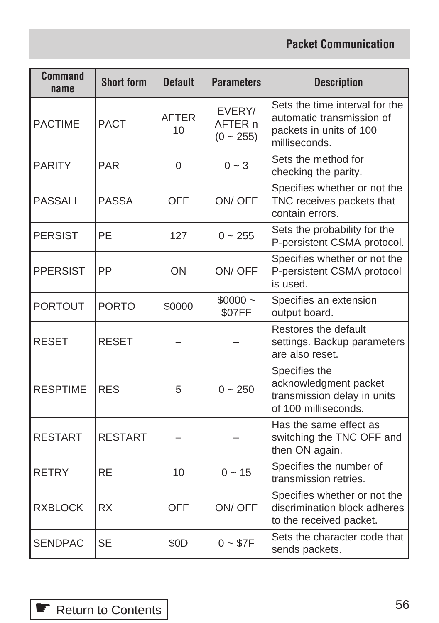| <b>Command</b><br>name | <b>Short form</b> | <b>Default</b>     | <b>Parameters</b>                   | <b>Description</b>                                                                                      |
|------------------------|-------------------|--------------------|-------------------------------------|---------------------------------------------------------------------------------------------------------|
| <b>PACTIME</b>         | <b>PACT</b>       | <b>AFTER</b><br>10 | EVERY/<br>AFTER n<br>$(0 \sim 255)$ | Sets the time interval for the<br>automatic transmission of<br>packets in units of 100<br>milliseconds. |
| <b>PARITY</b>          | <b>PAR</b>        | 0                  | $0 - 3$                             | Sets the method for<br>checking the parity.                                                             |
| <b>PASSALL</b>         | <b>PASSA</b>      | <b>OFF</b>         | ON/OFF                              | Specifies whether or not the<br>TNC receives packets that<br>contain errors.                            |
| <b>PERSIST</b>         | PE                | 127                | $0 - 255$                           | Sets the probability for the<br>P-persistent CSMA protocol.                                             |
| <b>PPERSIST</b>        | PP                | ON                 | ON/OFF                              | Specifies whether or not the<br>P-persistent CSMA protocol<br>is used.                                  |
| <b>PORTOUT</b>         | <b>PORTO</b>      | \$0000             | $$0000 -$<br>\$07FF                 | Specifies an extension<br>output board.                                                                 |
| <b>RESET</b>           | <b>RESET</b>      |                    |                                     | Restores the default<br>settings. Backup parameters<br>are also reset.                                  |
| <b>RESPTIME</b>        | <b>RES</b>        | 5                  | $0 - 250$                           | Specifies the<br>acknowledgment packet<br>transmission delay in units<br>of 100 milliseconds.           |
| <b>RESTART</b>         | <b>RESTART</b>    |                    |                                     | Has the same effect as<br>switching the TNC OFF and<br>then ON again.                                   |
| <b>RETRY</b>           | <b>RE</b>         | 10                 | $0 - 15$                            | Specifies the number of<br>transmission retries.                                                        |
| <b>RXBLOCK</b>         | <b>RX</b>         | <b>OFF</b>         | ON/OFF                              | Specifies whether or not the<br>discrimination block adheres<br>to the received packet.                 |
| <b>SENDPAC</b>         | <b>SE</b>         | \$0D               | $0 - $7F$                           | Sets the character code that<br>sends packets.                                                          |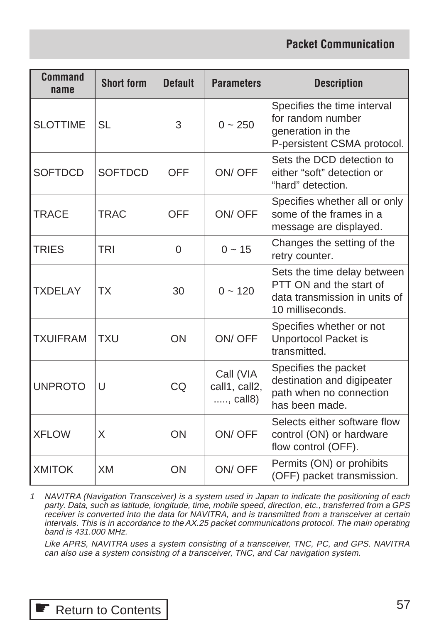| <b>Command</b><br>name | <b>Short form</b> | <b>Default</b> | <b>Parameters</b>                      | <b>Description</b>                                                                                          |
|------------------------|-------------------|----------------|----------------------------------------|-------------------------------------------------------------------------------------------------------------|
| <b>SLOTTIME</b>        | <b>SL</b>         | 3              | $0 - 250$                              | Specifies the time interval<br>for random number<br>generation in the<br>P-persistent CSMA protocol.        |
| <b>SOFTDCD</b>         | <b>SOFTDCD</b>    | <b>OFF</b>     | ON/OFF                                 | Sets the DCD detection to<br>either "soft" detection or<br>"hard" detection.                                |
| <b>TRACE</b>           | <b>TRAC</b>       | OFF            | ON/OFF                                 | Specifies whether all or only<br>some of the frames in a<br>message are displayed.                          |
| <b>TRIES</b>           | <b>TRI</b>        | $\Omega$       | $0 - 15$                               | Changes the setting of the<br>retry counter.                                                                |
| <b>TXDELAY</b>         | <b>TX</b>         | 30             | $0 - 120$                              | Sets the time delay between<br>PTT ON and the start of<br>data transmission in units of<br>10 milliseconds. |
| <b>TXUIFRAM</b>        | <b>TXU</b>        | ON             | ON/OFF                                 | Specifies whether or not<br><b>Unportocol Packet is</b><br>transmitted.                                     |
| <b>UNPROTO</b>         | U                 | CQ             | Call (VIA<br>call1, call2,<br>, call8) | Specifies the packet<br>destination and digipeater<br>path when no connection<br>has been made.             |
| <b>XFLOW</b>           | X                 | ON             | ON/OFF                                 | Selects either software flow<br>control (ON) or hardware<br>flow control (OFF).                             |
| <b>XMITOK</b>          | <b>XM</b>         | ON             | ON/OFF                                 | Permits (ON) or prohibits<br>(OFF) packet transmission.                                                     |

1 NAVITRA (Navigation Transceiver) is a system used in Japan to indicate the positioning of each party. Data, such as latitude, longitude, time, mobile speed, direction, etc., transferred from a GPS receiver is converted into the data for NAVITRA, and is transmitted from a transceiver at certain intervals. This is in accordance to the AX.25 packet communications protocol. The main operating band is 431.000 MHz.

Like APRS, NAVITRA uses a system consisting of a transceiver, TNC, PC, and GPS. NAVITRA can also use a system consisting of a transceiver, TNC, and Car navigation system.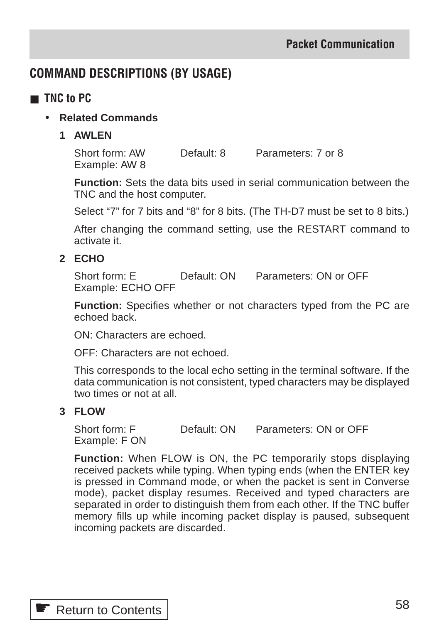## **COMMAND DESCRIPTIONS (BY USAGE)**

- **TNC** to PC
	- **Related Commands**
		- **1 AWLEN**

Short form: AW Default: 8 Parameters: 7 or 8 Example: AW 8

**Function:** Sets the data bits used in serial communication between the TNC and the host computer.

Select "7" for 7 bits and "8" for 8 bits. (The TH-D7 must be set to 8 bits.)

After changing the command setting, use the RESTART command to activate it.

## **2 ECHO**

Short form: E Default: ON Parameters: ON or OFF Example: ECHO OFF

**Function:** Specifies whether or not characters typed from the PC are echoed back.

ON: Characters are echoed.

OFF: Characters are not echoed.

This corresponds to the local echo setting in the terminal software. If the data communication is not consistent, typed characters may be displayed two times or not at all.

### **3 FLOW**

Short form: F Default: ON Parameters: ON or OFF Example: F ON

**Function:** When FLOW is ON, the PC temporarily stops displaying received packets while typing. When typing ends (when the ENTER key is pressed in Command mode, or when the packet is sent in Converse mode), packet display resumes. Received and typed characters are separated in order to distinguish them from each other. If the TNC buffer memory fills up while incoming packet display is paused, subsequent incoming packets are discarded.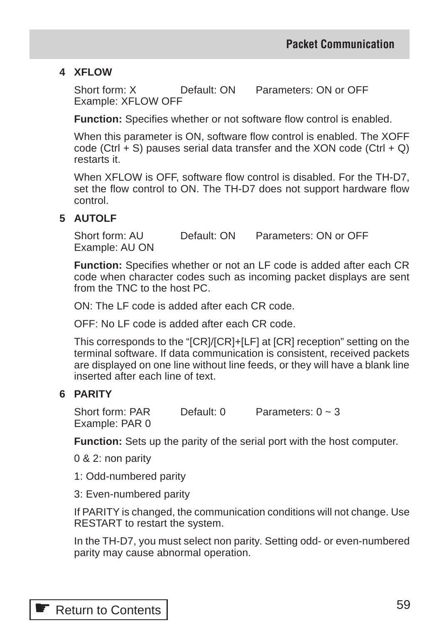### **4 XFLOW**

Short form: X Default: ON Parameters: ON or OFF Example: XFLOW OFF

**Function:** Specifies whether or not software flow control is enabled.

When this parameter is ON, software flow control is enabled. The XOFF code (Ctrl  $+$  S) pauses serial data transfer and the XON code (Ctrl  $+$  Q) restarts it.

When XFLOW is OFF, software flow control is disabled. For the TH-D7, set the flow control to ON. The TH-D7 does not support hardware flow control.

#### **5 AUTOLF**

Short form: AU Default: ON Parameters: ON or OFF Example: AU ON

**Function:** Specifies whether or not an LF code is added after each CR code when character codes such as incoming packet displays are sent from the TNC to the host PC.

ON: The LF code is added after each CR code.

OFF: No LF code is added after each CR code.

This corresponds to the "[CR]/[CR]+[LF] at [CR] reception" setting on the terminal software. If data communication is consistent, received packets are displayed on one line without line feeds, or they will have a blank line inserted after each line of text.

#### **6 PARITY**

Short form: PAR Default:  $0$  Parameters:  $0 \sim 3$ Example: PAR 0

**Function:** Sets up the parity of the serial port with the host computer.

0 & 2: non parity

1: Odd-numbered parity

3: Even-numbered parity

If PARITY is changed, the communication conditions will not change. Use RESTART to restart the system.

In the TH-D7, you must select non parity. Setting odd- or even-numbered parity may cause abnormal operation.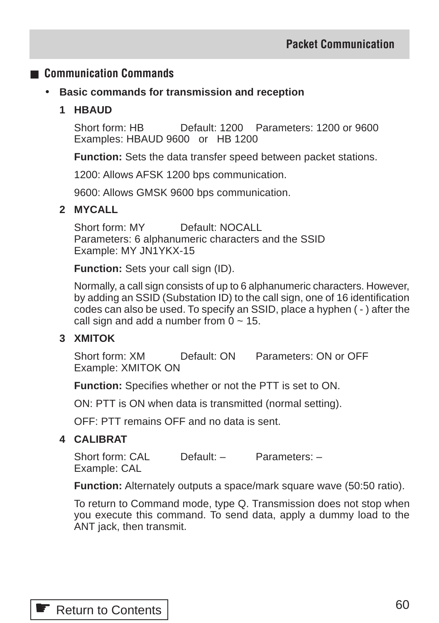## ■ **Communication Commands**

• **Basic commands for transmission and reception**

### **1 HBAUD**

Short form: HB Default: 1200 Parameters: 1200 or 9600 Examples: HBAUD 9600 or HB 1200

**Function:** Sets the data transfer speed between packet stations.

1200: Allows AFSK 1200 bps communication.

9600: Allows GMSK 9600 bps communication.

#### **2 MYCALL**

Short form: MY Default: NOCALL Parameters: 6 alphanumeric characters and the SSID Example: MY JN1YKX-15

**Function:** Sets your call sign (ID).

Normally, a call sign consists of up to 6 alphanumeric characters. However, by adding an SSID (Substation ID) to the call sign, one of 16 identification codes can also be used. To specify an SSID, place a hyphen ( - ) after the call sign and add a number from  $0 \sim 15$ .

### **3 XMITOK**

Short form: XM Default: ON Parameters: ON or OFF Example: XMITOK ON

**Function:** Specifies whether or not the PTT is set to ON.

ON: PTT is ON when data is transmitted (normal setting).

OFF: PTT remains OFF and no data is sent.

#### **4 CALIBRAT**

Short form: CAL Default: – Parameters: – Example: CAL

**Function:** Alternately outputs a space/mark square wave (50:50 ratio).

To return to Command mode, type Q. Transmission does not stop when you execute this command. To send data, apply a dummy load to the ANT jack, then transmit.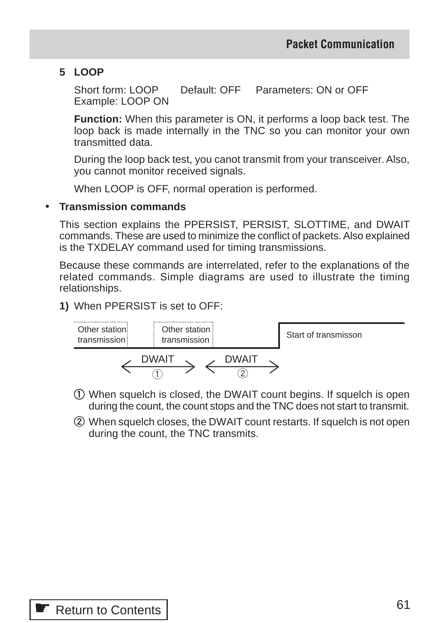### **5 LOOP**

Short form: LOOP Default: OFF Parameters: ON or OFF Example: LOOP ON

**Function:** When this parameter is ON, it performs a loop back test. The loop back is made internally in the TNC so you can monitor your own transmitted data.

During the loop back test, you canot transmit from your transceiver. Also, you cannot monitor received signals.

When LOOP is OFF, normal operation is performed.

#### • **Transmission commands**

This section explains the PPERSIST, PERSIST, SLOTTIME, and DWAIT commands. These are used to minimize the conflict of packets. Also explained is the TXDELAY command used for timing transmissions.

Because these commands are interrelated, refer to the explanations of the related commands. Simple diagrams are used to illustrate the timing relationships.

#### **1)** When PPERSIST is set to OFF:



- q When squelch is closed, the DWAIT count begins. If squelch is open during the count, the count stops and the TNC does not start to transmit.
- (2) When squelch closes, the DWAIT count restarts. If squelch is not open during the count, the TNC transmits.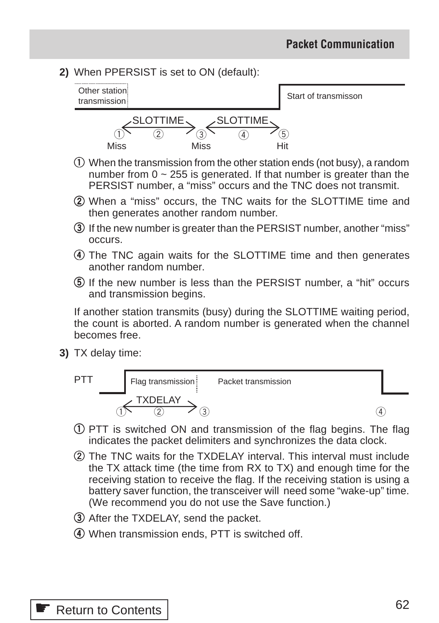**2)** When PPERSIST is set to ON (default):



- q When the transmission from the other station ends (not busy), a random number from  $0 \sim 255$  is generated. If that number is greater than the PERSIST number, a "miss" occurs and the TNC does not transmit.
- (2) When a "miss" occurs, the TNC waits for the SLOTTIME time and then generates another random number.
- (3) If the new number is greater than the PERSIST number, another "miss" occurs.
- **4**) The TNC again waits for the SLOTTIME time and then generates another random number.
- $\sigma$  If the new number is less than the PERSIST number, a "hit" occurs and transmission begins.

If another station transmits (busy) during the SLOTTIME waiting period, the count is aborted. A random number is generated when the channel becomes free.

**3)** TX delay time:



- q PTT is switched ON and transmission of the flag begins. The flag indicates the packet delimiters and synchronizes the data clock.
- (2) The TNC waits for the TXDELAY interval. This interval must include the TX attack time (the time from RX to TX) and enough time for the receiving station to receive the flag. If the receiving station is using a battery saver function, the transceiver will need some "wake-up" time. (We recommend you do not use the Save function.)
- **3**) After the TXDELAY, send the packet.
- r When transmission ends, PTT is switched off.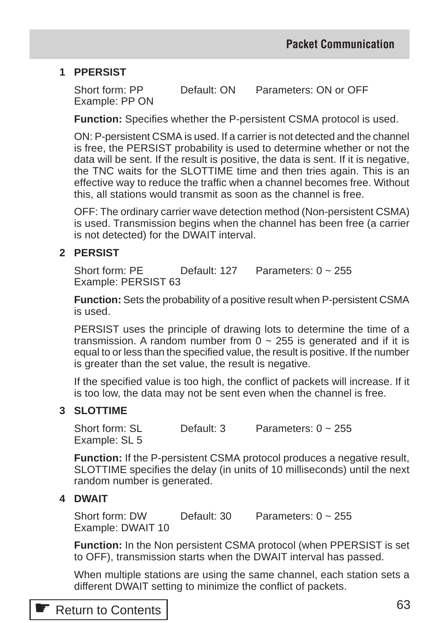### **1 PPERSIST**

Short form: PP Default: ON Parameters: ON or OFF Example: PP ON

**Function:** Specifies whether the P-persistent CSMA protocol is used.

ON: P-persistent CSMA is used. If a carrier is not detected and the channel is free, the PERSIST probability is used to determine whether or not the data will be sent. If the result is positive, the data is sent. If it is negative, the TNC waits for the SLOTTIME time and then tries again. This is an effective way to reduce the traffic when a channel becomes free. Without this, all stations would transmit as soon as the channel is free.

OFF: The ordinary carrier wave detection method (Non-persistent CSMA) is used. Transmission begins when the channel has been free (a carrier is not detected) for the DWAIT interval.

#### **2 PERSIST**

Short form: PF Default: 127 Parameters: 0 ~ 255 Example: PERSIST 63

**Function:** Sets the probability of a positive result when P-persistent CSMA is used.

PERSIST uses the principle of drawing lots to determine the time of a transmission. A random number from  $\overline{0} \sim 255$  is generated and if it is equal to or less than the specified value, the result is positive. If the number is greater than the set value, the result is negative.

If the specified value is too high, the conflict of packets will increase. If it is too low, the data may not be sent even when the channel is free.

#### **3 SLOTTIME**

Short form: SL Default: 3 Parameters: 0 ~ 255 Example: SL 5

**Function:** If the P-persistent CSMA protocol produces a negative result, SLOTTIME specifies the delay (in units of 10 milliseconds) until the next random number is generated.

#### **4 DWAIT**

Short form: DW Default: 30 Parameters: 0 ~ 255 Example: DWAIT 10

**Function:** In the Non persistent CSMA protocol (when PPERSIST is set to OFF), transmission starts when the DWAIT interval has passed.

When multiple stations are using the same channel, each station sets a different DWAIT setting to minimize the conflict of packets.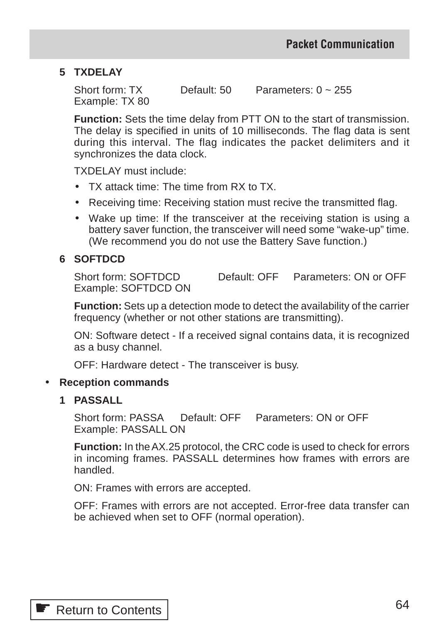### **5 TXDELAY**

Short form: TX Default: 50 Parameters: 0 ~ 255 Example: TX 80

**Function:** Sets the time delay from PTT ON to the start of transmission. The delay is specified in units of 10 milliseconds. The flag data is sent during this interval. The flag indicates the packet delimiters and it synchronizes the data clock.

TXDELAY must include:

- TX attack time: The time from RX to TX.
- Receiving time: Receiving station must recive the transmitted flag.
- Wake up time: If the transceiver at the receiving station is using a battery saver function, the transceiver will need some "wake-up" time. (We recommend you do not use the Battery Save function.)

#### **6 SOFTDCD**

Short form: SOFTDCD Default: OFF Parameters: ON or OFF Example: SOFTDCD ON

**Function:** Sets up a detection mode to detect the availability of the carrier frequency (whether or not other stations are transmitting).

ON: Software detect - If a received signal contains data, it is recognized as a busy channel.

OFF: Hardware detect - The transceiver is busy.

#### • **Reception commands**

#### **1 PASSALL**

Short form: PASSA Default: OFF Parameters: ON or OFF Example: PASSALL ON

**Function:** In the AX.25 protocol, the CRC code is used to check for errors in incoming frames. PASSALL determines how frames with errors are handled.

ON: Frames with errors are accepted.

OFF: Frames with errors are not accepted. Error-free data transfer can be achieved when set to OFF (normal operation).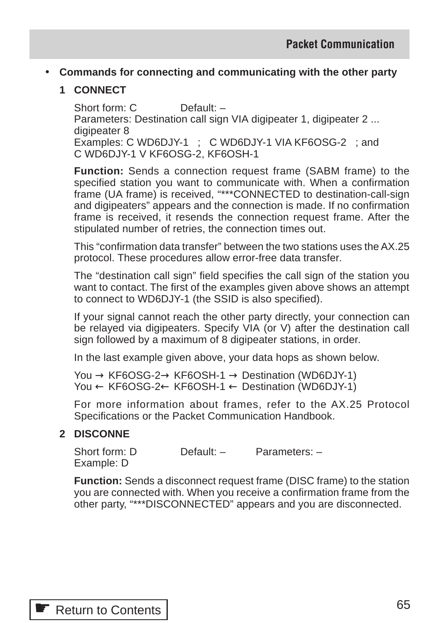## • **Commands for connecting and communicating with the other party**

## **1 CONNECT**

Short form: C Default: -Parameters: Destination call sign VIA digipeater 1, digipeater 2 ... digipeater 8 Examples: C WD6DJY-1 ; C WD6DJY-1 VIA KF6OSG-2 ; and C WD6DJY-1 V KF6OSG-2, KF6OSH-1

**Function:** Sends a connection request frame (SABM frame) to the specified station you want to communicate with. When a confirmation frame (UA frame) is received, "\*\*\*CONNECTED to destination-call-sign and digipeaters" appears and the connection is made. If no confirmation frame is received, it resends the connection request frame. After the stipulated number of retries, the connection times out.

This "confirmation data transfer" between the two stations uses the AX.25 protocol. These procedures allow error-free data transfer.

The "destination call sign" field specifies the call sign of the station you want to contact. The first of the examples given above shows an attempt to connect to WD6DJY-1 (the SSID is also specified).

If your signal cannot reach the other party directly, your connection can be relayed via digipeaters. Specify VIA (or V) after the destination call sign followed by a maximum of 8 digipeater stations, in order.

In the last example given above, your data hops as shown below.

You  $\rightarrow$  KF6OSG-2 $\rightarrow$  KF6OSH-1  $\rightarrow$  Destination (WD6DJY-1) You ← KF6OSG-2← KF6OSH-1 ← Destination (WD6DJY-1)

For more information about frames, refer to the AX.25 Protocol Specifications or the Packet Communication Handbook.

### **2 DISCONNE**

Short form: D Default: - Parameters: -Example: D

**Function:** Sends a disconnect request frame (DISC frame) to the station you are connected with. When you receive a confirmation frame from the other party, "\*\*\*DISCONNECTED" appears and you are disconnected.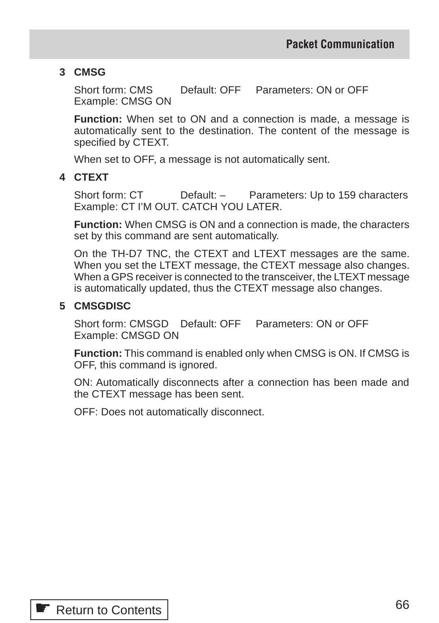### **3 CMSG**

Short form: CMS Default: OFF Parameters: ON or OFF Example: CMSG ON

**Function:** When set to ON and a connection is made, a message is automatically sent to the destination. The content of the message is specified by CTEXT.

When set to OFF, a message is not automatically sent.

### **4 CTEXT**

Short form: CT Default: – Parameters: Up to 159 characters Example: CT I'M OUT. CATCH YOU LATER.

**Function:** When CMSG is ON and a connection is made, the characters set by this command are sent automatically.

On the TH-D7 TNC, the CTEXT and LTEXT messages are the same. When you set the LTEXT message, the CTEXT message also changes. When a GPS receiver is connected to the transceiver, the LTEXT message is automatically updated, thus the CTEXT message also changes.

#### **5 CMSGDISC**

Short form: CMSGD Default: OFF Parameters: ON or OFF Example: CMSGD ON

**Function:** This command is enabled only when CMSG is ON. If CMSG is OFF, this command is ignored.

ON: Automatically disconnects after a connection has been made and the CTEXT message has been sent.

OFF: Does not automatically disconnect.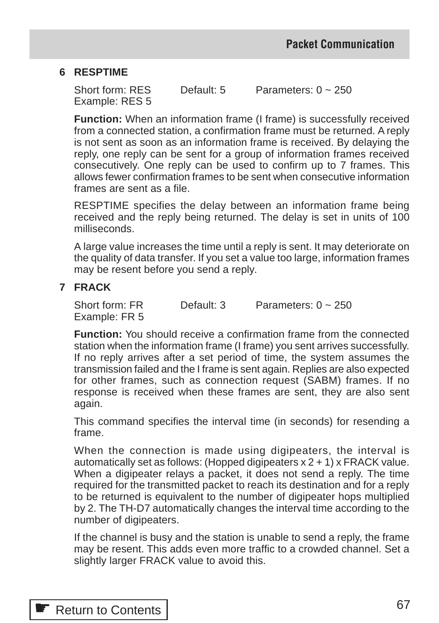#### **6 RESPTIME**

Short form: RES Default: 5 Parameters: 0 ~ 250 Example: RES 5

**Function:** When an information frame (I frame) is successfully received from a connected station, a confirmation frame must be returned. A reply is not sent as soon as an information frame is received. By delaying the reply, one reply can be sent for a group of information frames received consecutively. One reply can be used to confirm up to 7 frames. This allows fewer confirmation frames to be sent when consecutive information frames are sent as a file.

RESPTIME specifies the delay between an information frame being received and the reply being returned. The delay is set in units of 100 milliseconds.

A large value increases the time until a reply is sent. It may deteriorate on the quality of data transfer. If you set a value too large, information frames may be resent before you send a reply.

#### **7 FRACK**

Short form: FR Default: 3 Parameters: 0 ~ 250 Example: FR 5

**Function:** You should receive a confirmation frame from the connected station when the information frame (I frame) you sent arrives successfully. If no reply arrives after a set period of time, the system assumes the transmission failed and the I frame is sent again. Replies are also expected for other frames, such as connection request (SABM) frames. If no response is received when these frames are sent, they are also sent again.

This command specifies the interval time (in seconds) for resending a frame.

When the connection is made using digipeaters, the interval is automatically set as follows: (Hopped digipeaters x 2 + 1) x FRACK value. When a digipeater relays a packet, it does not send a reply. The time required for the transmitted packet to reach its destination and for a reply to be returned is equivalent to the number of digipeater hops multiplied by 2. The TH-D7 automatically changes the interval time according to the number of digipeaters.

If the channel is busy and the station is unable to send a reply, the frame may be resent. This adds even more traffic to a crowded channel. Set a slightly larger FRACK value to avoid this.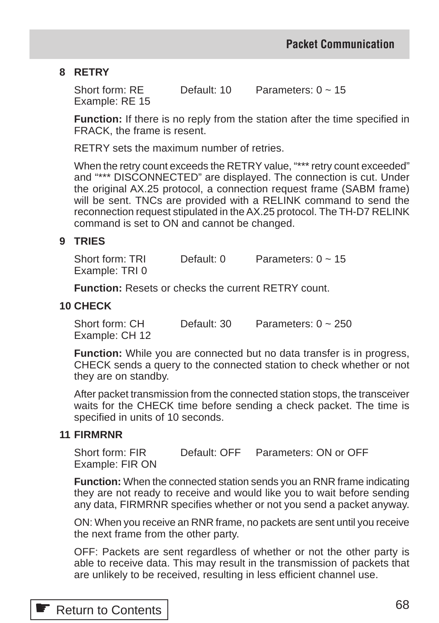### **8 RETRY**

Short form: RE Default: 10 Parameters: 0 ~ 15 Example: RE 15

**Function:** If there is no reply from the station after the time specified in FRACK, the frame is resent.

RETRY sets the maximum number of retries.

When the retry count exceeds the RETRY value, "\*\*\* retry count exceeded" and "\*\*\* DISCONNECTED" are displayed. The connection is cut. Under the original AX.25 protocol, a connection request frame (SABM frame) will be sent. TNCs are provided with a RELINK command to send the reconnection request stipulated in the AX.25 protocol. The TH-D7 RELINK command is set to ON and cannot be changed.

#### **9 TRIES**

Short form: TRI Default:  $0$  Parameters:  $0 \approx 15$ Example: TRI 0

**Function:** Resets or checks the current RETRY count.

#### **10 CHECK**

Short form: CH Default: 30 Parameters: 0 ~ 250 Example: CH 12

**Function:** While you are connected but no data transfer is in progress, CHECK sends a query to the connected station to check whether or not they are on standby.

After packet transmission from the connected station stops, the transceiver waits for the CHECK time before sending a check packet. The time is specified in units of 10 seconds.

#### **11 FIRMRNR**

Short form: FIR Default: OFF Parameters: ON or OFF Example: FIR ON

**Function:** When the connected station sends you an RNR frame indicating they are not ready to receive and would like you to wait before sending any data, FIRMRNR specifies whether or not you send a packet anyway.

ON: When you receive an RNR frame, no packets are sent until you receive the next frame from the other party.

OFF: Packets are sent regardless of whether or not the other party is able to receive data. This may result in the transmission of packets that are unlikely to be received, resulting in less efficient channel use.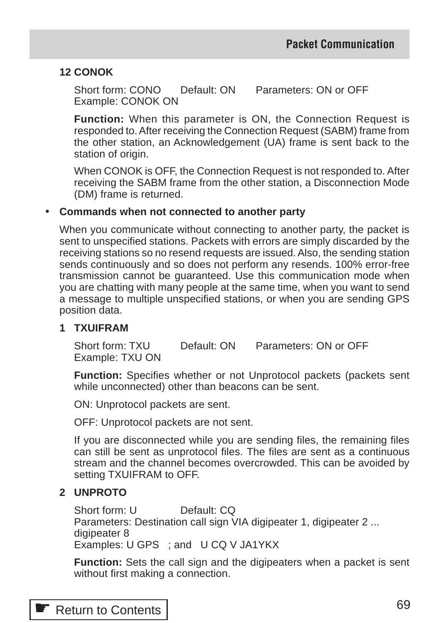#### **12 CONOK**

Short form: CONO Default: ON Parameters: ON or OFF Example: CONOK ON

**Function:** When this parameter is ON, the Connection Request is responded to. After receiving the Connection Request (SABM) frame from the other station, an Acknowledgement (UA) frame is sent back to the station of origin.

When CONOK is OFF, the Connection Request is not responded to. After receiving the SABM frame from the other station, a Disconnection Mode (DM) frame is returned.

#### • **Commands when not connected to another party**

When you communicate without connecting to another party, the packet is sent to unspecified stations. Packets with errors are simply discarded by the receiving stations so no resend requests are issued. Also, the sending station sends continuously and so does not perform any resends. 100% error-free transmission cannot be guaranteed. Use this communication mode when you are chatting with many people at the same time, when you want to send a message to multiple unspecified stations, or when you are sending GPS position data.

#### **1 TXUIFRAM**

Short form: TXU Default: ON Parameters: ON or OFF Example: TXU ON

**Function:** Specifies whether or not Unprotocol packets (packets sent while unconnected) other than beacons can be sent.

ON: Unprotocol packets are sent.

OFF: Unprotocol packets are not sent.

If you are disconnected while you are sending files, the remaining files can still be sent as unprotocol files. The files are sent as a continuous stream and the channel becomes overcrowded. This can be avoided by setting TXUIFRAM to OFF.

#### **2 UNPROTO**

Short form: U Default: CQ Parameters: Destination call sign VIA digipeater 1, digipeater 2 ... digipeater 8 Examples: U GPS ; and U CQ V JA1YKX

**Function:** Sets the call sign and the digipeaters when a packet is sent without first making a connection.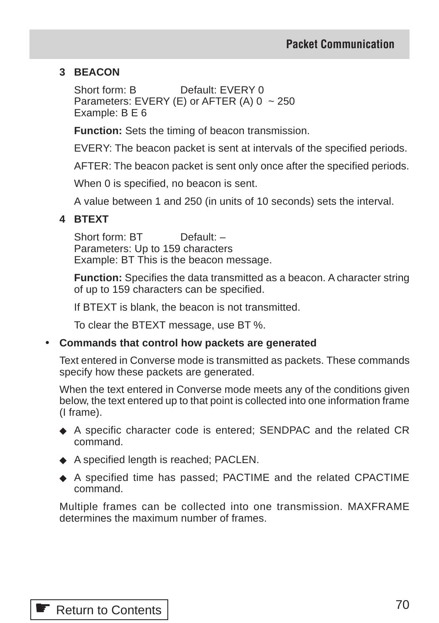### **3 BEACON**

Short form: B Default: FVERY 0 Parameters: EVERY (E) or AFTER (A)  $0 \sim 250$ Example: B E 6

**Function:** Sets the timing of beacon transmission.

EVERY: The beacon packet is sent at intervals of the specified periods.

AFTER: The beacon packet is sent only once after the specified periods.

When 0 is specified, no beacon is sent.

A value between 1 and 250 (in units of 10 seconds) sets the interval.

#### **4 BTEXT**

Short form: BT Default: -Parameters: Up to 159 characters Example: BT This is the beacon message.

**Function:** Specifies the data transmitted as a beacon. A character string of up to 159 characters can be specified.

If BTEXT is blank, the beacon is not transmitted.

To clear the BTEXT message, use BT %.

#### • **Commands that control how packets are generated**

Text entered in Converse mode is transmitted as packets. These commands specify how these packets are generated.

When the text entered in Converse mode meets any of the conditions given below, the text entered up to that point is collected into one information frame (I frame).

- ◆ A specific character code is entered; SENDPAC and the related CR command.
- ◆ A specified length is reached; PACLEN.
- ◆ A specified time has passed; PACTIME and the related CPACTIME command.

Multiple frames can be collected into one transmission. MAXFRAME determines the maximum number of frames.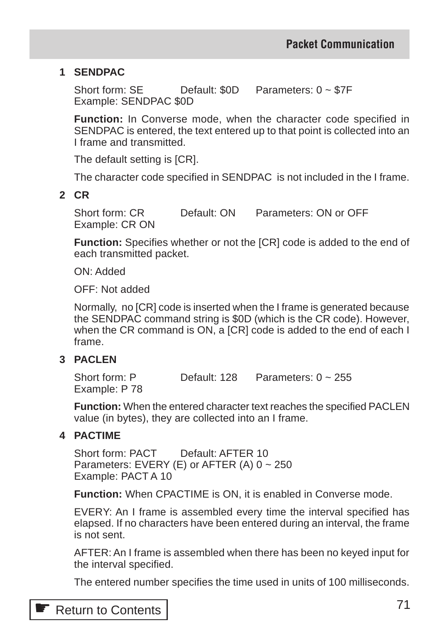### **1 SENDPAC**

Short form: SE Default: \$0D Parameters: 0 ~ \$7F Example: SENDPAC \$0D

**Function:** In Converse mode, when the character code specified in SENDPAC is entered, the text entered up to that point is collected into an I frame and transmitted.

The default setting is [CR].

The character code specified in SENDPAC is not included in the I frame.

#### **2 CR**

Short form: CR Default: ON Parameters: ON or OFF Example: CR ON

**Function:** Specifies whether or not the [CR] code is added to the end of each transmitted packet.

ON: Added

OFF: Not added

Normally, no [CR] code is inserted when the I frame is generated because the SENDPAC command string is \$0D (which is the CR code). However, when the CR command is ON, a [CR] code is added to the end of each I frame.

### **3 PACLEN**

Short form: P Default: 128 Parameters: 0 ~ 255 Example: P 78

**Function:** When the entered character text reaches the specified PACLEN value (in bytes), they are collected into an I frame.

#### **4 PACTIME**

Short form: PACT Default: AFTER 10 Parameters: EVERY (E) or AFTER (A)  $0 \sim 250$ Example: PACT A 10

**Function:** When CPACTIME is ON, it is enabled in Converse mode.

EVERY: An I frame is assembled every time the interval specified has elapsed. If no characters have been entered during an interval, the frame is not sent.

AFTER: An I frame is assembled when there has been no keyed input for the interval specified.

The entered number specifies the time used in units of 100 milliseconds.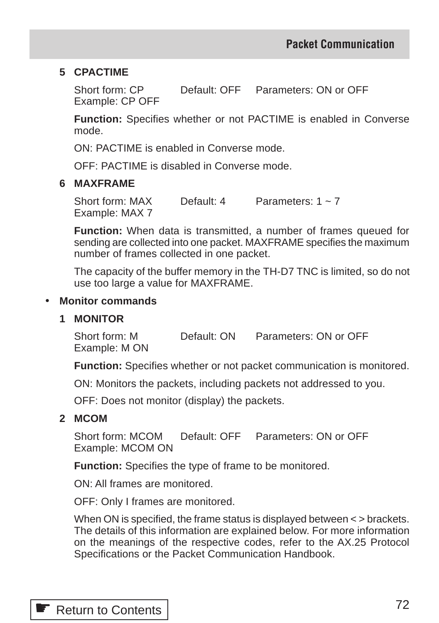#### **5 CPACTIME**

Short form: CP Default: OFF Parameters: ON or OFF Example: CP OFF

**Function:** Specifies whether or not PACTIME is enabled in Converse mode.

ON: PACTIME is enabled in Converse mode.

OFF: PACTIME is disabled in Converse mode.

#### **6 MAXFRAME**

Short form:  $MAX$  Default: 4 Parameters:  $1 \approx 7$ Example: MAX 7

**Function:** When data is transmitted, a number of frames queued for sending are collected into one packet. MAXFRAME specifies the maximum number of frames collected in one packet.

The capacity of the buffer memory in the TH-D7 TNC is limited, so do not use too large a value for MAXFRAME.

#### • **Monitor commands**

#### **1 MONITOR**

Short form: M Default: ON Parameters: ON or OFF Example: M ON

**Function:** Specifies whether or not packet communication is monitored.

ON: Monitors the packets, including packets not addressed to you.

OFF: Does not monitor (display) the packets.

#### **2 MCOM**

Short form: MCOM Default: OFF Parameters: ON or OFF Example: MCOM ON

**Function:** Specifies the type of frame to be monitored.

ON: All frames are monitored.

OFF: Only I frames are monitored.

When ON is specified, the frame status is displayed between < > brackets. The details of this information are explained below. For more information on the meanings of the respective codes, refer to the AX.25 Protocol Specifications or the Packet Communication Handbook.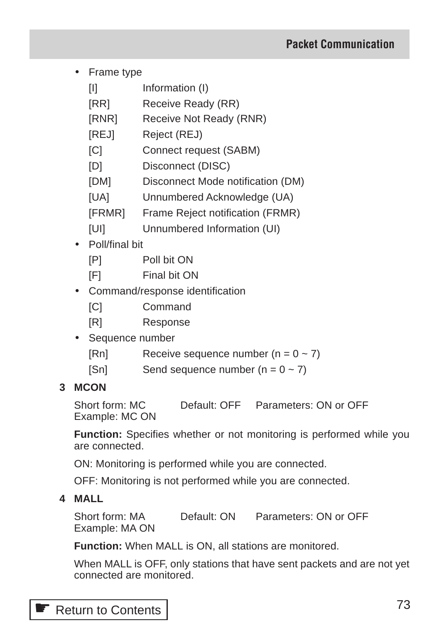- Frame type
	- [I] Information (I)
	- [RR] Receive Ready (RR)
	- [RNR] Receive Not Ready (RNR)
	- [REJ] Reject (REJ)
	- [C] Connect request (SABM)
	- [D] Disconnect (DISC)
	- [DM] Disconnect Mode notification (DM)
	- [UA] Unnumbered Acknowledge (UA)
	- [FRMR] Frame Reject notification (FRMR)
	- [UI] Unnumbered Information (UI)
- Poll/final bit
	- [P] Poll bit ON
	- [F] Final bit ON
- Command/response identification
	- [C] Command
	- [R] Response
- Sequence number
	- $[Rn]$  Receive sequence number  $(n = 0 \sim 7)$
	- [Sn] Send sequence number  $(n = 0 \sim 7)$

## **3 MCON**

Short form: MC Default: OFF Parameters: ON or OFF Example: MC ON

**Function:** Specifies whether or not monitoring is performed while you are connected.

ON: Monitoring is performed while you are connected.

OFF: Monitoring is not performed while you are connected.

**4 MALL**

Short form: MA Default: ON Parameters: ON or OFF Example: MA ON

**Function:** When MALL is ON, all stations are monitored.

When MALL is OFF, only stations that have sent packets and are not yet connected are monitored.

**■ [Return to Contents](#page-1-0)**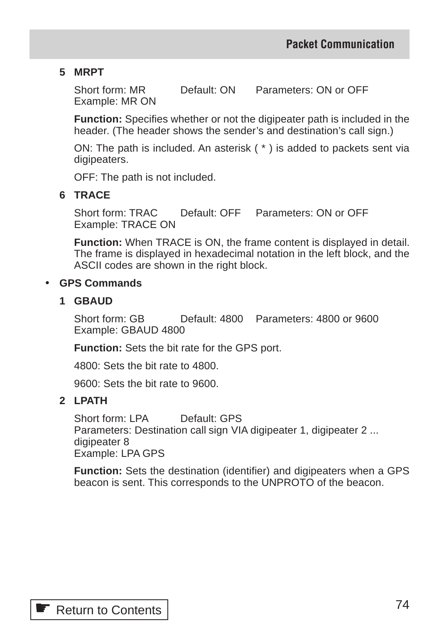## **5 MRPT**

Short form: MR Default: ON Parameters: ON or OFF Example: MR ON

**Function:** Specifies whether or not the digipeater path is included in the header. (The header shows the sender's and destination's call sign.)

ON: The path is included. An asterisk ( \* ) is added to packets sent via digipeaters.

OFF: The path is not included.

## **6 TRACE**

Short form: TRAC Default: OFF Parameters: ON or OFF Example: TRACE ON

**Function:** When TRACE is ON, the frame content is displayed in detail. The frame is displayed in hexadecimal notation in the left block, and the ASCII codes are shown in the right block.

## • **GPS Commands**

## **1 GBAUD**

Short form: GB Default: 4800 Parameters: 4800 or 9600 Example: GBAUD 4800

**Function:** Sets the bit rate for the GPS port.

4800: Sets the bit rate to 4800.

9600: Sets the bit rate to 9600.

## **2 LPATH**

Short form: I PA Default: GPS Parameters: Destination call sign VIA digipeater 1, digipeater 2 ... digipeater 8 Example: LPA GPS

**Function:** Sets the destination (identifier) and digipeaters when a GPS beacon is sent. This corresponds to the UNPROTO of the beacon.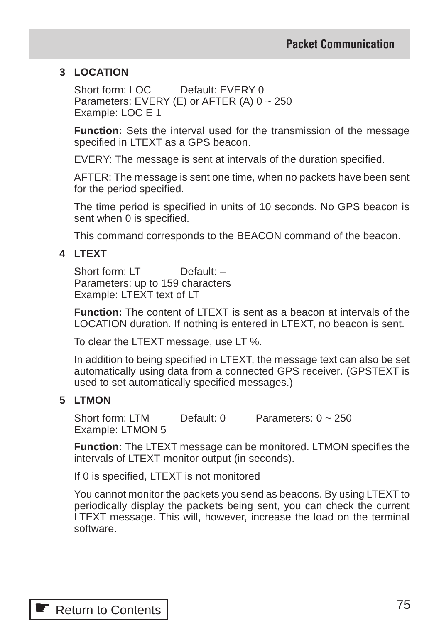## **3 LOCATION**

Short form: LOC Default: EVERY 0 Parameters: EVERY (E) or AFTER (A)  $0 \sim 250$ Example: LOC E 1

**Function:** Sets the interval used for the transmission of the message specified in LTEXT as a GPS beacon.

EVERY: The message is sent at intervals of the duration specified.

AFTER: The message is sent one time, when no packets have been sent for the period specified.

The time period is specified in units of 10 seconds. No GPS beacon is sent when 0 is specified.

This command corresponds to the BEACON command of the beacon.

## **4 LTEXT**

Short form: LT Default: -Parameters: up to 159 characters Example: LTEXT text of LT

**Function:** The content of LTEXT is sent as a beacon at intervals of the LOCATION duration. If nothing is entered in LTEXT, no beacon is sent.

To clear the LTEXT message, use LT %.

In addition to being specified in LTEXT, the message text can also be set automatically using data from a connected GPS receiver. (GPSTEXT is used to set automatically specified messages.)

## **5 LTMON**

Short form: LTM Default: 0 Parameters: 0 ~ 250 Example: LTMON 5

**Function:** The LTEXT message can be monitored. LTMON specifies the intervals of LTEXT monitor output (in seconds).

If 0 is specified, LTEXT is not monitored

You cannot monitor the packets you send as beacons. By using LTEXT to periodically display the packets being sent, you can check the current LTEXT message. This will, however, increase the load on the terminal software.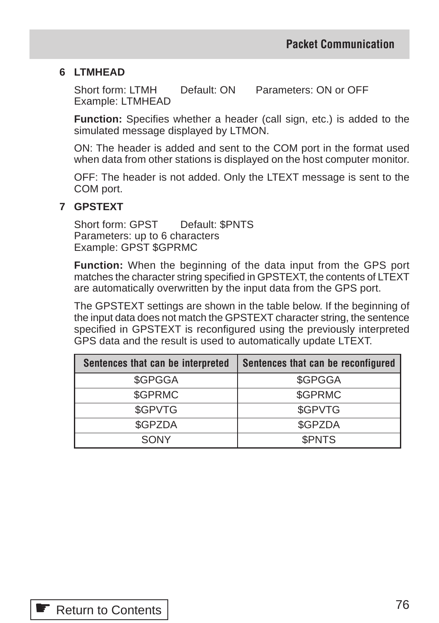## **6 LTMHEAD**

Short form: LTMH Default: ON Parameters: ON or OFF Example: LTMHEAD

**Function:** Specifies whether a header (call sign, etc.) is added to the simulated message displayed by LTMON.

ON: The header is added and sent to the COM port in the format used when data from other stations is displayed on the host computer monitor.

OFF: The header is not added. Only the LTEXT message is sent to the COM port.

## **7 GPSTEXT**

Short form: GPST Default: \$PNTS Parameters: up to 6 characters Example: GPST \$GPRMC

**Function:** When the beginning of the data input from the GPS port matches the character string specified in GPSTEXT, the contents of LTEXT are automatically overwritten by the input data from the GPS port.

The GPSTEXT settings are shown in the table below. If the beginning of the input data does not match the GPSTEXT character string, the sentence specified in GPSTEXT is reconfigured using the previously interpreted GPS data and the result is used to automatically update LTEXT.

| Sentences that can be interpreted | Sentences that can be reconfigured |
|-----------------------------------|------------------------------------|
| \$GPGGA                           | \$GPGGA                            |
| \$GPRMC                           | \$GPRMC                            |
| \$GPVTG                           | \$GPVTG                            |
| \$GPZDA                           | \$GPZDA                            |
| SONY                              | <b><i>SPNTS</i></b>                |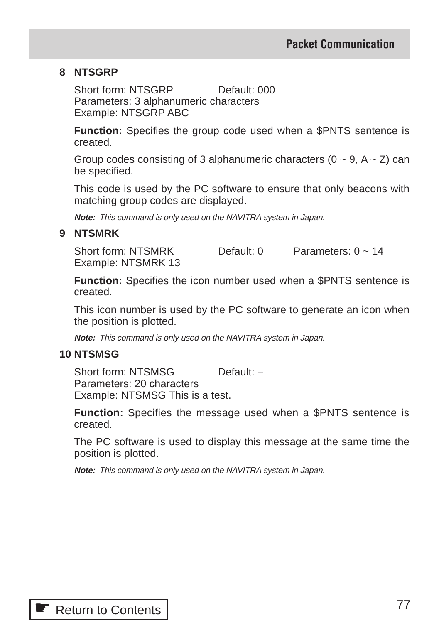#### **8 NTSGRP**

Short form: NTSGRP Default: 000 Parameters: 3 alphanumeric characters Example: NTSGRP ABC

**Function:** Specifies the group code used when a \$PNTS sentence is created.

Group codes consisting of 3 alphanumeric characters  $(0 \sim 9, A \sim Z)$  can be specified.

This code is used by the PC software to ensure that only beacons with matching group codes are displayed.

**Note:** This command is only used on the NAVITRA system in Japan.

#### **9 NTSMRK**

Short form: NTSMRK Default: 0 Parameters: 0 ~ 14 Example: NTSMRK 13

**Function:** Specifies the icon number used when a \$PNTS sentence is created.

This icon number is used by the PC software to generate an icon when the position is plotted.

**Note:** This command is only used on the NAVITRA system in Japan.

## **10 NTSMSG**

Short form: NTSMSG Default: -Parameters: 20 characters Example: NTSMSG This is a test.

**Function:** Specifies the message used when a \$PNTS sentence is created.

The PC software is used to display this message at the same time the position is plotted.

**Note:** This command is only used on the NAVITRA system in Japan.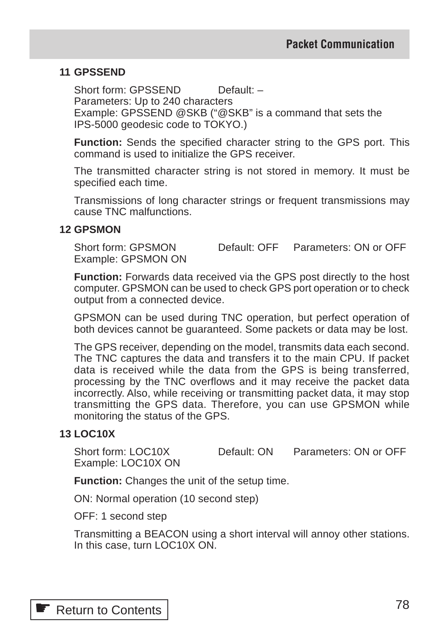## **11 GPSSEND**

Short form: GPSSEND Default: -Parameters: Up to 240 characters Example: GPSSEND @SKB ("@SKB" is a command that sets the IPS-5000 geodesic code to TOKYO.)

**Function:** Sends the specified character string to the GPS port. This command is used to initialize the GPS receiver.

The transmitted character string is not stored in memory. It must be specified each time.

Transmissions of long character strings or frequent transmissions may cause TNC malfunctions.

#### **12 GPSMON**

Short form: GPSMON Default: OFF Parameters: ON or OFF Example: GPSMON ON

**Function:** Forwards data received via the GPS post directly to the host computer. GPSMON can be used to check GPS port operation or to check output from a connected device.

GPSMON can be used during TNC operation, but perfect operation of both devices cannot be guaranteed. Some packets or data may be lost.

The GPS receiver, depending on the model, transmits data each second. The TNC captures the data and transfers it to the main CPU. If packet data is received while the data from the GPS is being transferred, processing by the TNC overflows and it may receive the packet data incorrectly. Also, while receiving or transmitting packet data, it may stop transmitting the GPS data. Therefore, you can use GPSMON while monitoring the status of the GPS.

## **13 LOC10X**

Short form: LOC10X Default: ON Parameters: ON or OFF Example: LOC10X ON

**Function:** Changes the unit of the setup time.

ON: Normal operation (10 second step)

OFF: 1 second step

Transmitting a BEACON using a short interval will annoy other stations. In this case, turn LOC10X ON.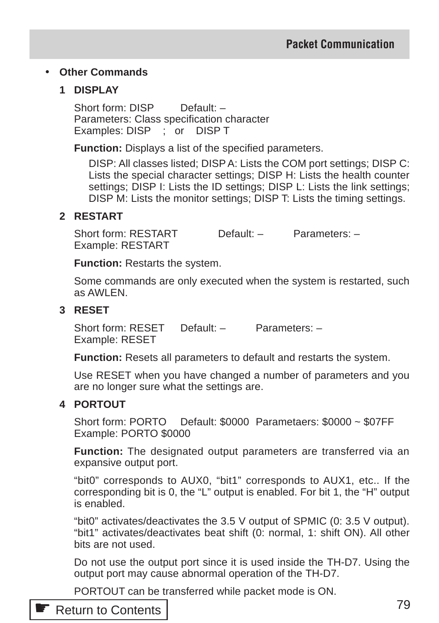## • **Other Commands**

## **1 DISPLAY**

Short form: DISP Default: -Parameters: Class specification character Examples: DISP ; or DISP T

**Function:** Displays a list of the specified parameters.

DISP: All classes listed; DISP A: Lists the COM port settings; DISP C: Lists the special character settings; DISP H: Lists the health counter settings; DISP I: Lists the ID settings; DISP L: Lists the link settings; DISP M: Lists the monitor settings; DISP T: Lists the timing settings.

#### **2 RESTART**

Short form: RESTART Default: – Parameters: – Example: RESTART

**Function:** Restarts the system.

Some commands are only executed when the system is restarted, such as AWLEN.

## **3 RESET**

Short form: RESET Default: – Parameters: – Example: RESET

**Function:** Resets all parameters to default and restarts the system.

Use RESET when you have changed a number of parameters and you are no longer sure what the settings are.

## **4 PORTOUT**

Short form: PORTO Default: \$0000 Parametaers: \$0000 ~ \$07FF Example: PORTO \$0000

**Function:** The designated output parameters are transferred via an expansive output port.

"bit0" corresponds to AUX0, "bit1" corresponds to AUX1, etc.. If the corresponding bit is 0, the "L" output is enabled. For bit 1, the "H" output is enabled.

"bit0" activates/deactivates the 3.5 V output of SPMIC (0: 3.5 V output). "bit1" activates/deactivates beat shift (0: normal, 1: shift ON). All other bits are not used.

Do not use the output port since it is used inside the TH-D7. Using the output port may cause abnormal operation of the TH-D7.

PORTOUT can be transferred while packet mode is ON.

## **■ [Return to Contents](#page-1-0)**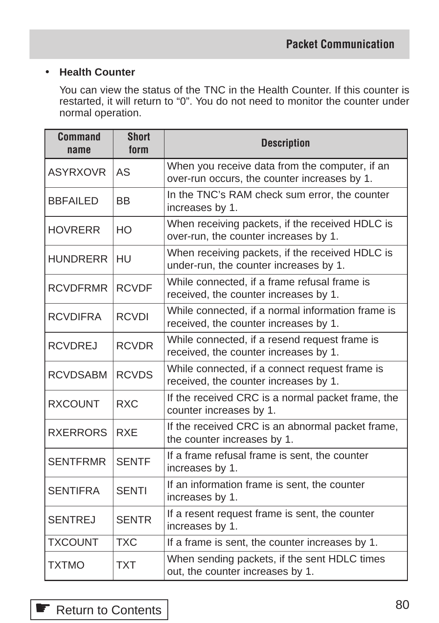## • **Health Counter**

You can view the status of the TNC in the Health Counter. If this counter is restarted, it will return to "0". You do not need to monitor the counter under normal operation.

| <b>Command</b><br>name | <b>Short</b><br>form | <b>Description</b>                                                                             |
|------------------------|----------------------|------------------------------------------------------------------------------------------------|
| <b>ASYRXOVR</b>        | AS                   | When you receive data from the computer, if an<br>over-run occurs, the counter increases by 1. |
| <b>BBFAILED</b>        | <b>BB</b>            | In the TNC's RAM check sum error, the counter<br>increases by 1.                               |
| <b>HOVRERR</b>         | HO                   | When receiving packets, if the received HDLC is<br>over-run, the counter increases by 1.       |
| <b>HUNDRERR</b>        | HU                   | When receiving packets, if the received HDLC is<br>under-run, the counter increases by 1.      |
| <b>RCVDFRMR</b>        | <b>RCVDF</b>         | While connected, if a frame refusal frame is<br>received, the counter increases by 1.          |
| <b>RCVDIFRA</b>        | <b>RCVDI</b>         | While connected, if a normal information frame is<br>received, the counter increases by 1.     |
| <b>RCVDREJ</b>         | <b>RCVDR</b>         | While connected, if a resend request frame is<br>received, the counter increases by 1.         |
| <b>RCVDSABM</b>        | <b>RCVDS</b>         | While connected, if a connect request frame is<br>received, the counter increases by 1.        |
| <b>RXCOUNT</b>         | <b>RXC</b>           | If the received CRC is a normal packet frame, the<br>counter increases by 1.                   |
| <b>RXERRORS</b>        | <b>RXE</b>           | If the received CRC is an abnormal packet frame,<br>the counter increases by 1.                |
| <b>SENTFRMR</b>        | <b>SENTF</b>         | If a frame refusal frame is sent, the counter<br>increases by 1.                               |
| <b>SENTIFRA</b>        | <b>SENTI</b>         | If an information frame is sent, the counter<br>increases by 1.                                |
| <b>SENTREJ</b>         | <b>SENTR</b>         | If a resent request frame is sent, the counter<br>increases by 1.                              |
| <b>TXCOUNT</b>         | <b>TXC</b>           | If a frame is sent, the counter increases by 1.                                                |
| <b>TXTMO</b>           | <b>TXT</b>           | When sending packets, if the sent HDLC times<br>out, the counter increases by 1.               |

☛ [Return to Contents](#page-1-0)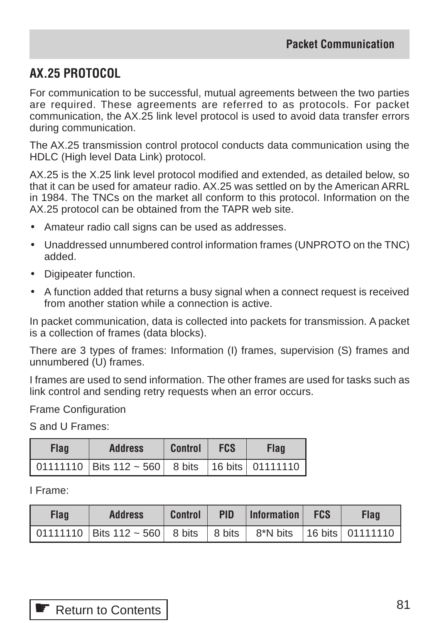# **AX.25 PROTOCOL**

For communication to be successful, mutual agreements between the two parties are required. These agreements are referred to as protocols. For packet communication, the AX.25 link level protocol is used to avoid data transfer errors during communication.

The AX.25 transmission control protocol conducts data communication using the HDLC (High level Data Link) protocol.

AX.25 is the X.25 link level protocol modified and extended, as detailed below, so that it can be used for amateur radio. AX.25 was settled on by the American ARRL in 1984. The TNCs on the market all conform to this protocol. Information on the AX.25 protocol can be obtained from the TAPR web site.

- Amateur radio call signs can be used as addresses.
- Unaddressed unnumbered control information frames (UNPROTO on the TNC) added.
- Digipeater function.
- A function added that returns a busy signal when a connect request is received from another station while a connection is active.

In packet communication, data is collected into packets for transmission. A packet is a collection of frames (data blocks).

There are 3 types of frames: Information (I) frames, supervision (S) frames and unnumbered (U) frames.

I frames are used to send information. The other frames are used for tasks such as link control and sending retry requests when an error occurs.

Frame Configuration

S and U Frames:

| <b>Flag</b> | <b>Address</b>                                          | <b>Control</b> | <b>FCS</b> | Flag |
|-------------|---------------------------------------------------------|----------------|------------|------|
|             | 01111110   Bits 112 ~ 560   8 bits   16 bits   01111110 |                |            |      |

I Frame:

| <b>Flag</b> | <b>Address</b>                                                              | <b>Control</b> | <b>PID</b> | $ $ Information $ $ FCS | <b>Flag</b> |
|-------------|-----------------------------------------------------------------------------|----------------|------------|-------------------------|-------------|
|             | 01111110   Bits 112 ~ 560   8 bits   8 bits   8*N bits   16 bits   01111110 |                |            |                         |             |

| Return to Contents |
|--------------------|
|                    |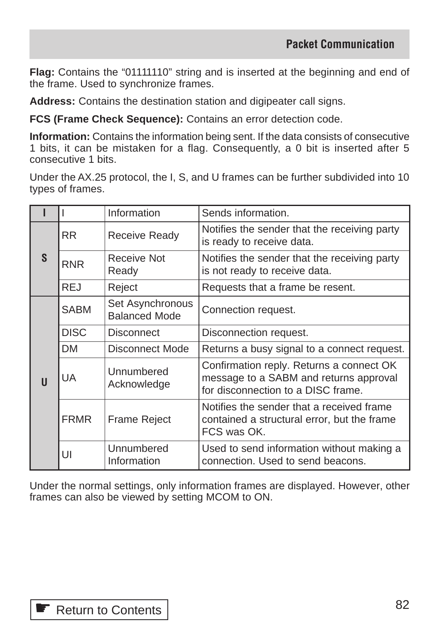**Flag:** Contains the "01111110" string and is inserted at the beginning and end of the frame. Used to synchronize frames.

**Address:** Contains the destination station and digipeater call signs.

**FCS (Frame Check Sequence):** Contains an error detection code.

**Information:** Contains the information being sent. If the data consists of consecutive 1 bits, it can be mistaken for a flag. Consequently, a 0 bit is inserted after 5 consecutive 1 bits.

Under the AX.25 protocol, the I, S, and U frames can be further subdivided into 10 types of frames.

|   |             | Information                              | Sends information.                                                                                                       |  |  |  |
|---|-------------|------------------------------------------|--------------------------------------------------------------------------------------------------------------------------|--|--|--|
|   | <b>RR</b>   | <b>Receive Ready</b>                     | Notifies the sender that the receiving party<br>is ready to receive data.                                                |  |  |  |
| S | <b>RNR</b>  | Receive Not<br>Ready                     | Notifies the sender that the receiving party<br>is not ready to receive data.                                            |  |  |  |
|   | <b>REJ</b>  | Reject                                   | Requests that a frame be resent.                                                                                         |  |  |  |
|   | <b>SABM</b> | Set Asynchronous<br><b>Balanced Mode</b> | Connection request.                                                                                                      |  |  |  |
|   | <b>DISC</b> | <b>Disconnect</b>                        | Disconnection request.                                                                                                   |  |  |  |
|   | <b>DM</b>   | Disconnect Mode                          | Returns a busy signal to a connect request.                                                                              |  |  |  |
| U | UA.         | Unnumbered<br>Acknowledge                | Confirmation reply. Returns a connect OK<br>message to a SABM and returns approval<br>for disconnection to a DISC frame. |  |  |  |
|   | <b>FRMR</b> | <b>Frame Reject</b>                      | Notifies the sender that a received frame<br>contained a structural error, but the frame<br>FCS was OK.                  |  |  |  |
|   | UI          | Unnumbered<br>Information                | Used to send information without making a<br>connection. Used to send beacons.                                           |  |  |  |

Under the normal settings, only information frames are displayed. However, other frames can also be viewed by setting MCOM to ON.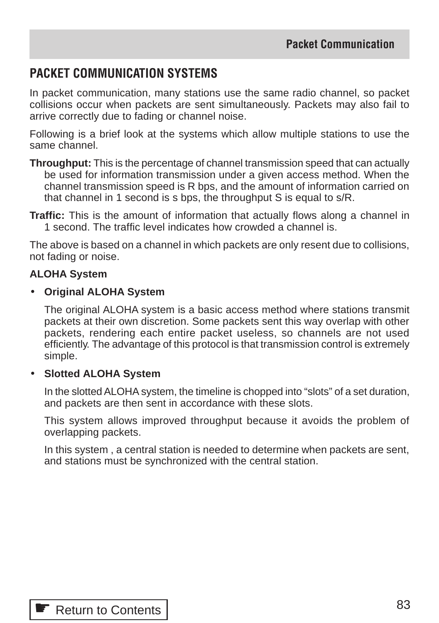# **PACKET COMMUNICATION SYSTEMS**

In packet communication, many stations use the same radio channel, so packet collisions occur when packets are sent simultaneously. Packets may also fail to arrive correctly due to fading or channel noise.

Following is a brief look at the systems which allow multiple stations to use the same channel.

**Throughput:** This is the percentage of channel transmission speed that can actually be used for information transmission under a given access method. When the channel transmission speed is R bps, and the amount of information carried on that channel in 1 second is s bps, the throughput S is equal to s/R.

**Traffic:** This is the amount of information that actually flows along a channel in 1 second. The traffic level indicates how crowded a channel is.

The above is based on a channel in which packets are only resent due to collisions, not fading or noise.

#### **ALOHA System**

#### • **Original ALOHA System**

The original ALOHA system is a basic access method where stations transmit packets at their own discretion. Some packets sent this way overlap with other packets, rendering each entire packet useless, so channels are not used efficiently. The advantage of this protocol is that transmission control is extremely simple.

#### • **Slotted ALOHA System**

In the slotted ALOHA system, the timeline is chopped into "slots" of a set duration, and packets are then sent in accordance with these slots.

This system allows improved throughput because it avoids the problem of overlapping packets.

In this system , a central station is needed to determine when packets are sent, and stations must be synchronized with the central station.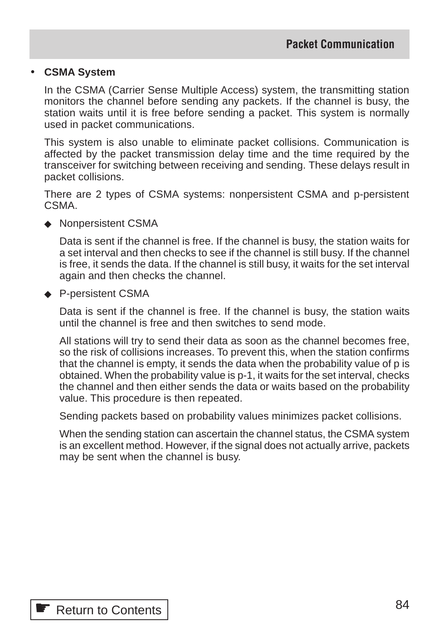#### • **CSMA System**

In the CSMA (Carrier Sense Multiple Access) system, the transmitting station monitors the channel before sending any packets. If the channel is busy, the station waits until it is free before sending a packet. This system is normally used in packet communications.

This system is also unable to eliminate packet collisions. Communication is affected by the packet transmission delay time and the time required by the transceiver for switching between receiving and sending. These delays result in packet collisions.

There are 2 types of CSMA systems: nonpersistent CSMA and p-persistent CSMA.

◆ Nonpersistent CSMA

Data is sent if the channel is free. If the channel is busy, the station waits for a set interval and then checks to see if the channel is still busy. If the channel is free, it sends the data. If the channel is still busy, it waits for the set interval again and then checks the channel.

◆ P-persistent CSMA

Data is sent if the channel is free. If the channel is busy, the station waits until the channel is free and then switches to send mode.

All stations will try to send their data as soon as the channel becomes free, so the risk of collisions increases. To prevent this, when the station confirms that the channel is empty, it sends the data when the probability value of p is obtained. When the probability value is p-1, it waits for the set interval, checks the channel and then either sends the data or waits based on the probability value. This procedure is then repeated.

Sending packets based on probability values minimizes packet collisions.

When the sending station can ascertain the channel status, the CSMA system is an excellent method. However, if the signal does not actually arrive, packets may be sent when the channel is busy.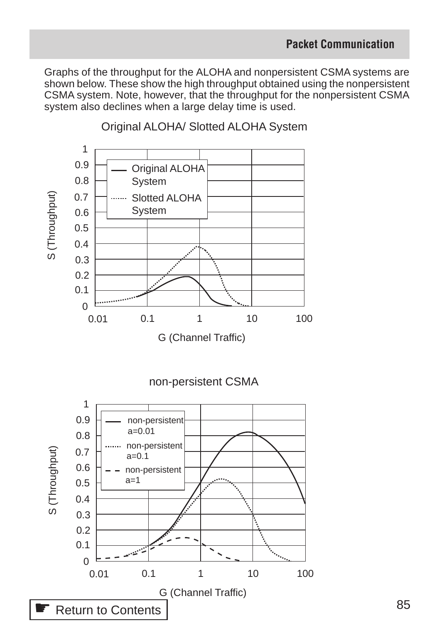Graphs of the throughput for the ALOHA and nonpersistent CSMA systems are shown below. These show the high throughput obtained using the nonpersistent CSMA system. Note, however, that the throughput for the nonpersistent CSMA system also declines when a large delay time is used.



Original ALOHA/ Slotted ALOHA System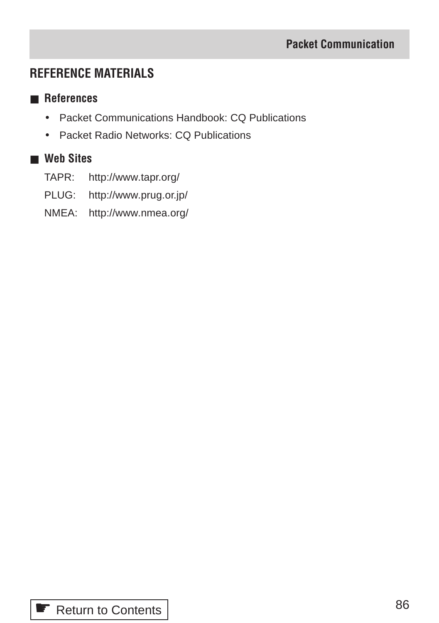# **REFERENCE MATERIALS**

## ■ **References**

- Packet Communications Handbook: CQ Publications
- Packet Radio Networks: CQ Publications

## ■ **Web Sites**

- TAPR: http://www.tapr.org/
- PLUG: http://www.prug.or.jp/
- NMEA: http://www.nmea.org/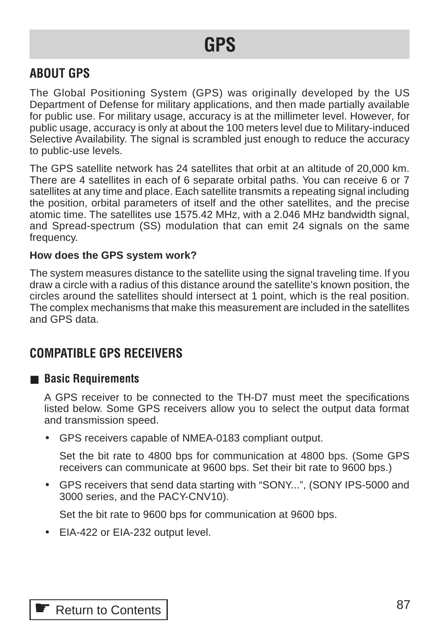# **GPS**

# **ABOUT GPS**

The Global Positioning System (GPS) was originally developed by the US Department of Defense for military applications, and then made partially available for public use. For military usage, accuracy is at the millimeter level. However, for public usage, accuracy is only at about the 100 meters level due to Military-induced Selective Availability. The signal is scrambled just enough to reduce the accuracy to public-use levels.

The GPS satellite network has 24 satellites that orbit at an altitude of 20,000 km. There are 4 satellites in each of 6 separate orbital paths. You can receive 6 or 7 satellites at any time and place. Each satellite transmits a repeating signal including the position, orbital parameters of itself and the other satellites, and the precise atomic time. The satellites use 1575.42 MHz, with a 2.046 MHz bandwidth signal, and Spread-spectrum (SS) modulation that can emit 24 signals on the same frequency.

## **How does the GPS system work?**

The system measures distance to the satellite using the signal traveling time. If you draw a circle with a radius of this distance around the satellite's known position, the circles around the satellites should intersect at 1 point, which is the real position. The complex mechanisms that make this measurement are included in the satellites and GPS data.

# **COMPATIBLE GPS RECEIVERS**

## ■ **Basic Requirements**

A GPS receiver to be connected to the TH-D7 must meet the specifications listed below. Some GPS receivers allow you to select the output data format and transmission speed.

• GPS receivers capable of NMEA-0183 compliant output.

Set the bit rate to 4800 bps for communication at 4800 bps. (Some GPS receivers can communicate at 9600 bps. Set their bit rate to 9600 bps.)

• GPS receivers that send data starting with "SONY...", (SONY IPS-5000 and 3000 series, and the PACY-CNV10).

Set the bit rate to 9600 bps for communication at 9600 bps.

• EIA-422 or EIA-232 output level.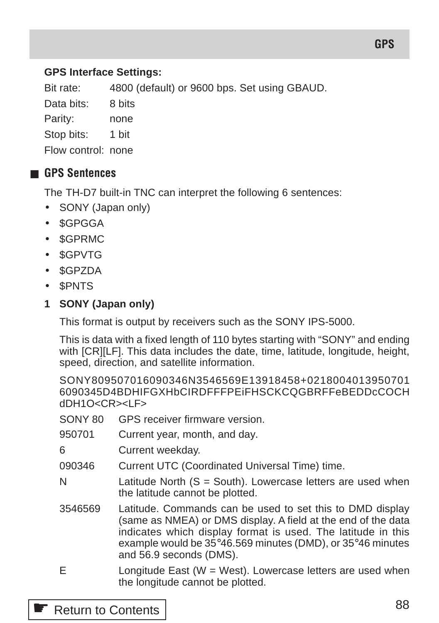## **GPS Interface Settings:**

Bit rate: 4800 (default) or 9600 bps. Set using GBAUD.

Data bits: 8 bits

Parity: none

Stop bits: 1 bit

Flow control: none

## ■ **GPS Sentences**

The TH-D7 built-in TNC can interpret the following 6 sentences:

- SONY (Japan only)
- \$GPGGA
- \$GPRMC
- \$GPVTG
- \$GPZDA
- \$PNTS

## **1 SONY (Japan only)**

This format is output by receivers such as the SONY IPS-5000.

This is data with a fixed length of 110 bytes starting with "SONY" and ending with [CR][LF]. This data includes the date, time, latitude, longitude, height, speed, direction, and satellite information.

SONY809507016090346N3546569E13918458+0218004013950701 6090345D4BDHIFGXHbCIRDFFFPEiFHSCKCQGBRFFeBEDDcCOCH dDH1O<CR><LF>

- SONY 80 GPS receiver firmware version.
- 950701 Current year, month, and day.
- 6 Current weekday.
- 090346 Current UTC (Coordinated Universal Time) time.
- $N$  Latitude North  $(S = South)$ . Lowercase letters are used when the latitude cannot be plotted.
- 3546569 Latitude. Commands can be used to set this to DMD display (same as NMEA) or DMS display. A field at the end of the data indicates which display format is used. The latitude in this example would be 35°46.569 minutes (DMD), or 35°46 minutes and 56.9 seconds (DMS).
- E Longitude East (W = West). Lowercase letters are used when the longitude cannot be plotted.

## **■ [Return to Contents](#page-1-1)**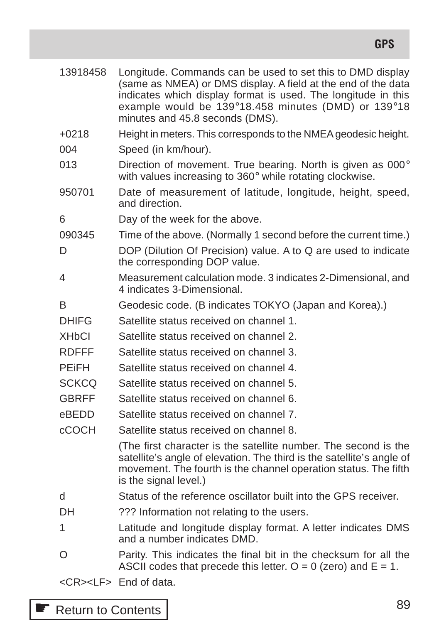| 13918458     | Longitude. Commands can be used to set this to DMD display<br>(same as NMEA) or DMS display. A field at the end of the data<br>indicates which display format is used. The longitude in this<br>example would be 139°18.458 minutes (DMD) or 139°18<br>minutes and 45.8 seconds (DMS). |
|--------------|----------------------------------------------------------------------------------------------------------------------------------------------------------------------------------------------------------------------------------------------------------------------------------------|
| $+0218$      | Height in meters. This corresponds to the NMEA geodesic height.                                                                                                                                                                                                                        |
| 004          | Speed (in km/hour).                                                                                                                                                                                                                                                                    |
| 013          | Direction of movement. True bearing. North is given as 000°<br>with values increasing to 360° while rotating clockwise.                                                                                                                                                                |
| 950701       | Date of measurement of latitude, longitude, height, speed,<br>and direction.                                                                                                                                                                                                           |
| 6            | Day of the week for the above.                                                                                                                                                                                                                                                         |
| 090345       | Time of the above. (Normally 1 second before the current time.)                                                                                                                                                                                                                        |
| D            | DOP (Dilution Of Precision) value. A to Q are used to indicate<br>the corresponding DOP value.                                                                                                                                                                                         |
| 4            | Measurement calculation mode. 3 indicates 2-Dimensional, and<br>4 indicates 3-Dimensional.                                                                                                                                                                                             |
| B            | Geodesic code. (B indicates TOKYO (Japan and Korea).)                                                                                                                                                                                                                                  |
| <b>DHIFG</b> | Satellite status received on channel 1.                                                                                                                                                                                                                                                |
| <b>XHbCI</b> | Satellite status received on channel 2.                                                                                                                                                                                                                                                |
| <b>RDFFF</b> | Satellite status received on channel 3.                                                                                                                                                                                                                                                |
| <b>PEIFH</b> | Satellite status received on channel 4.                                                                                                                                                                                                                                                |
| <b>SCKCQ</b> | Satellite status received on channel 5.                                                                                                                                                                                                                                                |
| <b>GBRFF</b> | Satellite status received on channel 6.                                                                                                                                                                                                                                                |
| eBEDD        | Satellite status received on channel 7.                                                                                                                                                                                                                                                |
| <b>cCOCH</b> | Satellite status received on channel 8.                                                                                                                                                                                                                                                |
|              | (The first character is the satellite number. The second is the<br>satellite's angle of elevation. The third is the satellite's angle of<br>movement. The fourth is the channel operation status. The fifth<br>is the signal level.)                                                   |
| d            | Status of the reference oscillator built into the GPS receiver.                                                                                                                                                                                                                        |
| DН           | ??? Information not relating to the users.                                                                                                                                                                                                                                             |
| 1            | Latitude and longitude display format. A letter indicates DMS<br>and a number indicates DMD.                                                                                                                                                                                           |
| O            | Parity. This indicates the final bit in the checksum for all the<br>ASCII codes that precede this letter. $Q = 0$ (zero) and $E = 1$ .                                                                                                                                                 |

<CR><LF> End of data.

# ☛ [Return to Contents](#page-1-1)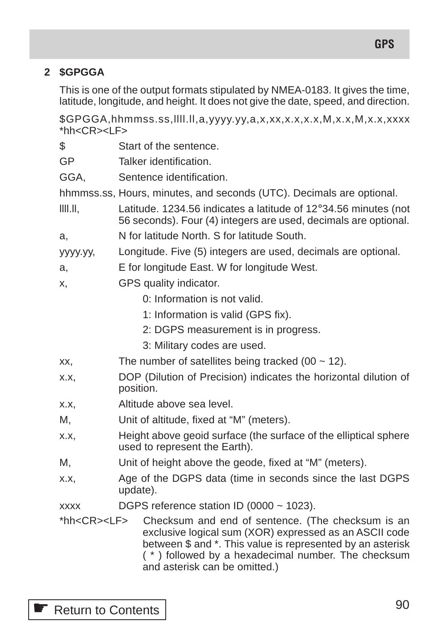## **2 \$GPGGA**

This is one of the output formats stipulated by NMEA-0183. It gives the time, latitude, longitude, and height. It does not give the date, speed, and direction.

\$GPGGA,hhmmss.ss,llll.ll,a,yyyy.yy,a,x,xx,x.x,x.x,M,x.x,M,x.x,xxxx  $*$ hh $<$ CR $>$  $<$ l F $>$ 

- \$ Start of the sentence.
- GP Talker identification.
- GGA, Sentence identification.

hhmmss.ss, Hours, minutes, and seconds (UTC). Decimals are optional.

 $\llbracket$ ||||.||. Latitude. 1234.56 indicates a latitude of 12°34.56 minutes (not 56 seconds). Four (4) integers are used, decimals are optional.

a, N for latitude North. S for latitude South.

yyyy.yy, Longitude. Five (5) integers are used, decimals are optional.

a, E for longitude East. W for longitude West.

- x, GPS quality indicator.
	- 0: Information is not valid.
	- 1: Information is valid (GPS fix).
	- 2: DGPS measurement is in progress.
	- 3: Military codes are used.
- xx, The number of satellites being tracked  $(00 \sim 12)$ .
- x.x, DOP (Dilution of Precision) indicates the horizontal dilution of position.
- x.x, Altitude above sea level.
- M, Unit of altitude, fixed at "M" (meters).
- x.x, Height above geoid surface (the surface of the elliptical sphere used to represent the Earth).
- M, Unit of height above the geode, fixed at "M" (meters).
- x.x, Age of the DGPS data (time in seconds since the last DGPS update).
- xxxx DGPS reference station ID (0000  $\sim$  1023).
- \*hh<CR><LF> Checksum and end of sentence. (The checksum is an exclusive logical sum (XOR) expressed as an ASCII code between \$ and \*. This value is represented by an asterisk ( \* ) followed by a hexadecimal number. The checksum and asterisk can be omitted.)

**■ [Return to Contents](#page-1-1)**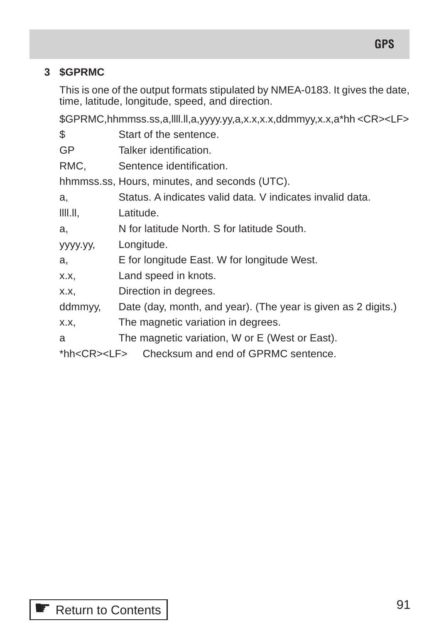# **3 \$GPRMC**

This is one of the output formats stipulated by NMEA-0183. It gives the date, time, latitude, longitude, speed, and direction.

\$GPRMC,hhmmss.ss,a,llll.ll,a,yyyy.yy,a,x.x,x.x,ddmmyy,x.x,a\*hh <CR><LF>

| Start of the sentence.                                        |
|---------------------------------------------------------------|
| Talker identification.                                        |
| Sentence identification.                                      |
| hhmmss.ss, Hours, minutes, and seconds (UTC).                 |
| Status. A indicates valid data. V indicates invalid data.     |
| Latitude.                                                     |
| N for latitude North. S for latitude South.                   |
| Longitude.                                                    |
| E for longitude East. W for longitude West.                   |
| Land speed in knots.                                          |
| Direction in degrees.                                         |
| Date (day, month, and year). (The year is given as 2 digits.) |
| The magnetic variation in degrees.                            |
| The magnetic variation, W or E (West or East).                |
| Checksum and end of GPRMC sentence.<br>*hh <cr><lf></lf></cr> |
|                                                               |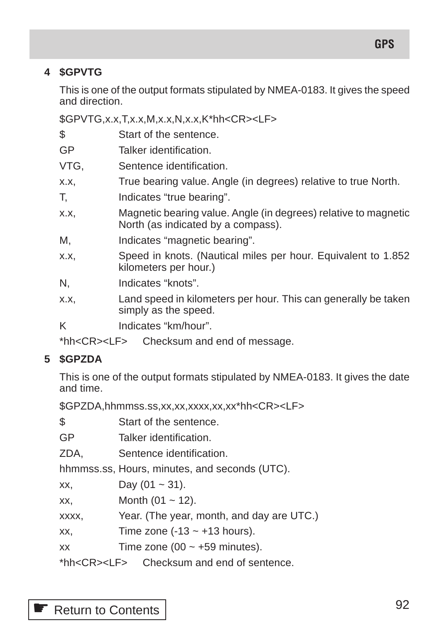## **4 \$GPVTG**

This is one of the output formats stipulated by NMEA-0183. It gives the speed and direction.

\$GPVTG,x.x,T,x.x,M,x.x,N,x.x,K\*hh<CR><LF>

\$ Start of the sentence.

- GP Talker identification.
- VTG, Sentence identification.
- x.x, True bearing value. Angle (in degrees) relative to true North.
- T, Indicates "true bearing".
- x.x, Magnetic bearing value. Angle (in degrees) relative to magnetic North (as indicated by a compass).
- M, Indicates "magnetic bearing".
- x.x, Speed in knots. (Nautical miles per hour. Equivalent to 1.852 kilometers per hour.)
- N, Indicates "knots".
- x.x, Land speed in kilometers per hour. This can generally be taken simply as the speed.
- K Indicates "km/hour".

\*hh<CR><LF> Checksum and end of message.

## **5 \$GPZDA**

This is one of the output formats stipulated by NMEA-0183. It gives the date and time.

\$GPZDA,hhmmss.ss,xx,xx,xxxx,xx,xx\*hh<CR><LF>

\$ Start of the sentence.

- GP Talker identification.
- ZDA, Sentence identification.

hhmmss.ss, Hours, minutes, and seconds (UTC).

 $\chi$  $\chi$ , Day (01 ~ 31).

 $\chi$  $\chi$ , Month (01 ~ 12).

xxxx, Year. (The year, month, and day are UTC.)

xx, Time zone  $(-13 \sim +13 \text{ hours})$ .

xx Time zone  $(00 \sim +59 \text{ minutes})$ .

\*hh<CR><LF> Checksum and end of sentence.

# **■ [Return to Contents](#page-1-1)**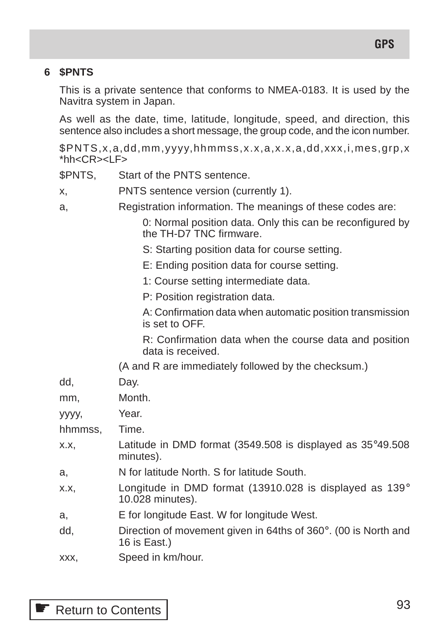## **6 \$PNTS**

This is a private sentence that conforms to NMEA-0183. It is used by the Navitra system in Japan.

As well as the date, time, latitude, longitude, speed, and direction, this sentence also includes a short message, the group code, and the icon number.

\$PNTS,x,a,dd,mm,yyyy,hhmmss,x.x,a,x.x,a,dd,xxx,i,mes,grp,x  $*$ hh $<$ CR $>$  $<$ l F $>$ 

\$PNTS, Start of the PNTS sentence.

- x, PNTS sentence version (currently 1).
- a, Registration information. The meanings of these codes are:

0: Normal position data. Only this can be reconfigured by the TH-D7 TNC firmware.

- S: Starting position data for course setting.
- E: Ending position data for course setting.
- 1: Course setting intermediate data.

P: Position registration data.

A: Confirmation data when automatic position transmission is set to OFF.

R: Confirmation data when the course data and position data is received.

(A and R are immediately followed by the checksum.)

| dd,     | Day.                                                                                     |
|---------|------------------------------------------------------------------------------------------|
| mm,     | Month.                                                                                   |
| уууу,   | Year.                                                                                    |
| hhmmss, | Time.                                                                                    |
| X.X.    | Latitude in DMD format (3549.508 is displayed as $35^{\circ}49.508$<br>minutes).         |
| a,      | N for latitude North. S for latitude South.                                              |
| X.X.    | Longitude in DMD format (13910.028 is displayed as 139°<br>10.028 minutes).              |
| a,      | E for longitude East. W for longitude West.                                              |
| dd,     | Direction of movement given in 64ths of $360^{\circ}$ . (00 is North and<br>16 is East.) |
|         |                                                                                          |

xxx, Speed in km/hour.

**E** [Return to Contents](#page-1-1)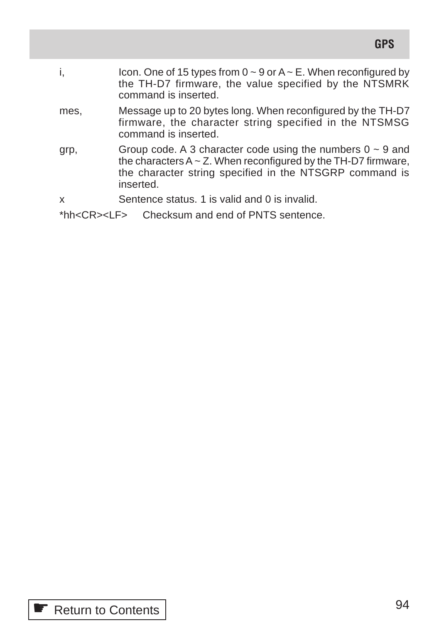| i,   | Icon. One of 15 types from $0 \sim 9$ or $A \sim E$ . When reconfigured by<br>the TH-D7 firmware, the value specified by the NTSMRK<br>command is inserted.                                                     |
|------|-----------------------------------------------------------------------------------------------------------------------------------------------------------------------------------------------------------------|
| mes, | Message up to 20 bytes long. When reconfigured by the TH-D7<br>firmware, the character string specified in the NTSMSG<br>command is inserted.                                                                   |
| grp, | Group code. A 3 character code using the numbers $0 \sim 9$ and<br>the characters $A \sim Z$ . When reconfigured by the TH-D7 firmware,<br>the character string specified in the NTSGRP command is<br>inserted. |
| x    | Sentence status. 1 is valid and 0 is invalid.                                                                                                                                                                   |
|      |                                                                                                                                                                                                                 |

\*hh<CR><LF> Checksum and end of PNTS sentence.

**GPS**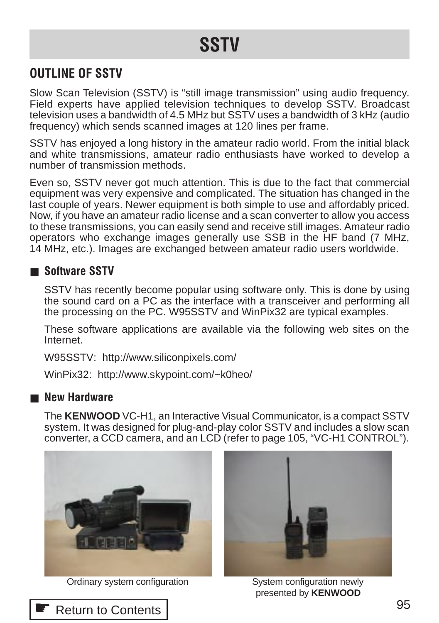# **SSTV**

# **OUTLINE OF SSTV**

Slow Scan Television (SSTV) is "still image transmission" using audio frequency. Field experts have applied television techniques to develop SSTV. Broadcast television uses a bandwidth of 4.5 MHz but SSTV uses a bandwidth of 3 kHz (audio frequency) which sends scanned images at 120 lines per frame.

SSTV has enjoyed a long history in the amateur radio world. From the initial black and white transmissions, amateur radio enthusiasts have worked to develop a number of transmission methods.

Even so, SSTV never got much attention. This is due to the fact that commercial equipment was very expensive and complicated. The situation has changed in the last couple of years. Newer equipment is both simple to use and affordably priced. Now, if you have an amateur radio license and a scan converter to allow you access to these transmissions, you can easily send and receive still images. Amateur radio operators who exchange images generally use SSB in the HF band (7 MHz, 14 MHz, etc.). Images are exchanged between amateur radio users worldwide.

## ■ **Software SSTV**

SSTV has recently become popular using software only. This is done by using the sound card on a PC as the interface with a transceiver and performing all the processing on the PC. W95SSTV and WinPix32 are typical examples.

These software applications are available via the following web sites on the Internet.

W95SSTV: http://www.siliconpixels.com/

WinPix32: http://www.skypoint.com/~k0heo/

## ■ **New Hardware**

The **KENWOOD** VC-H1, an Interactive Visual Communicator, is a compact SSTV system. It was designed for plug-and-play color SSTV and includes a slow scan converter, a CCD camera, and an LCD (refer to page 105, "VC-H1 CONTROL").



Ordinary system configuration System configuration newly



presented by **KENWOOD**

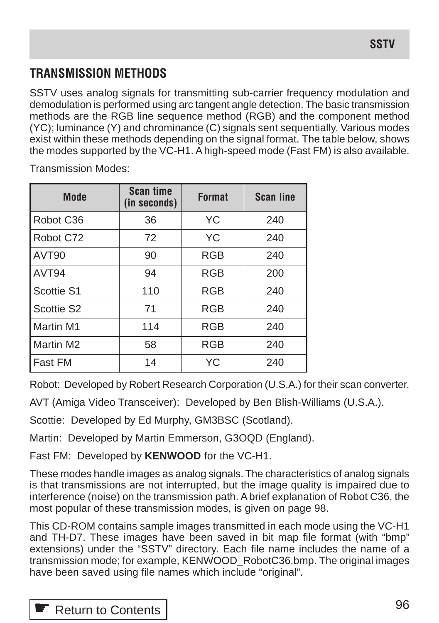# **TRANSMISSION METHODS**

SSTV uses analog signals for transmitting sub-carrier frequency modulation and demodulation is performed using arc tangent angle detection. The basic transmission methods are the RGB line sequence method (RGB) and the component method (YC); luminance (Y) and chrominance (C) signals sent sequentially. Various modes exist within these methods depending on the signal format. The table below, shows the modes supported by the VC-H1. A high-speed mode (Fast FM) is also available.

| <b>Mode</b>            | <b>Scan time</b><br>(in seconds) | <b>Format</b> | <b>Scan line</b> |  |
|------------------------|----------------------------------|---------------|------------------|--|
| Robot C <sub>36</sub>  | 36                               | YC            | 240              |  |
| Robot C72              | 72                               | <b>YC</b>     | 240              |  |
| AVT <sub>90</sub>      | 90                               | <b>RGB</b>    | 240              |  |
| AVT <sub>94</sub>      | 94                               | <b>RGB</b>    | 200              |  |
| Scottie S1             | 110                              | <b>RGB</b>    | 240              |  |
| Scottie S <sub>2</sub> | 71                               | <b>RGB</b>    | 240              |  |
| Martin M1              | 114                              | <b>RGB</b>    | 240              |  |
| Martin M2              | 58                               | <b>RGB</b>    | 240              |  |
| Fast FM                | 14                               | YC            | 240              |  |

Transmission Modes:

Robot: Developed by Robert Research Corporation (U.S.A.) for their scan converter.

AVT (Amiga Video Transceiver): Developed by Ben Blish-Williams (U.S.A.).

Scottie: Developed by Ed Murphy, GM3BSC (Scotland).

Martin: Developed by Martin Emmerson, G3OQD (England).

Fast FM: Developed by **KENWOOD** for the VC-H1.

These modes handle images as analog signals. The characteristics of analog signals is that transmissions are not interrupted, but the image quality is impaired due to interference (noise) on the transmission path. A brief explanation of Robot C36, the most popular of these transmission modes, is given on page 98.

This CD-ROM contains sample images transmitted in each mode using the VC-H1 and TH-D7. These images have been saved in bit map file format (with "bmp" extensions) under the "SSTV" directory. Each file name includes the name of a transmission mode; for example, KENWOOD\_RobotC36.bmp. The original images have been saved using file names which include "original".

# **E** [Return to Contents](#page-2-0)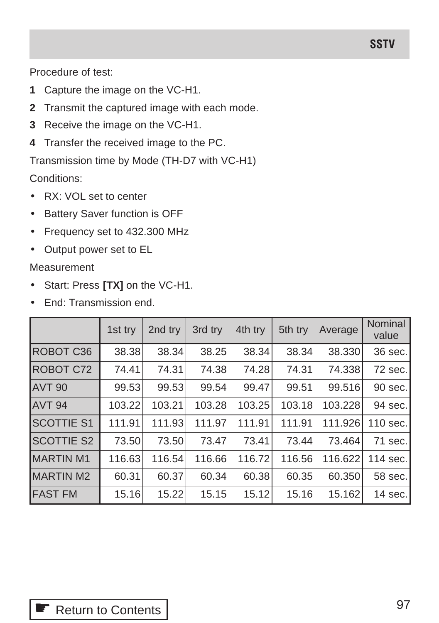Procedure of test:

- **1** Capture the image on the VC-H1.
- **2** Transmit the captured image with each mode.
- **3** Receive the image on the VC-H1.
- **4** Transfer the received image to the PC.

Transmission time by Mode (TH-D7 with VC-H1)

Conditions:

- RX: VOL set to center
- Battery Saver function is OFF
- Frequency set to 432.300 MHz
- Output power set to EL

Measurement

- Start: Press **[TX]** on the VC-H1.
- **End: Transmission end.**

|                   | 1st try | 2nd try | 3rd try | 4th try | 5th try | Average | Nominal<br>value |
|-------------------|---------|---------|---------|---------|---------|---------|------------------|
| ROBOT C36         | 38.38   | 38.34   | 38.25   | 38.34   | 38.34   | 38.330  | 36 sec.          |
| ROBOT C72         | 74.41   | 74.31   | 74.38   | 74.28   | 74.31   | 74.338  | 72 sec.          |
| AVT <sub>90</sub> | 99.53   | 99.53   | 99.54   | 99.47   | 99.51   | 99.516  | 90 sec.          |
| AVT <sub>94</sub> | 103.22  | 103.21  | 103.28  | 103.25  | 103.18  | 103.228 | 94 sec.          |
| <b>SCOTTIE S1</b> | 111.91  | 111.93  | 111.97  | 111.91  | 111.91  | 111.926 | 110 sec.         |
| <b>SCOTTIE S2</b> | 73.50   | 73.50   | 73.47   | 73.41   | 73.44   | 73.464  | 71 sec.          |
| <b>MARTIN M1</b>  | 116.63  | 116.54  | 116.66  | 116.72  | 116.56  | 116.622 | 114 sec.l        |
| MARTIN M2         | 60.31   | 60.37   | 60.34   | 60.38   | 60.35   | 60.350  | 58 sec.          |
| <b>IFAST FM</b>   | 15.16   | 15.22   | 15.15   | 15.12   | 15.16   | 15.162  | 14 sec.          |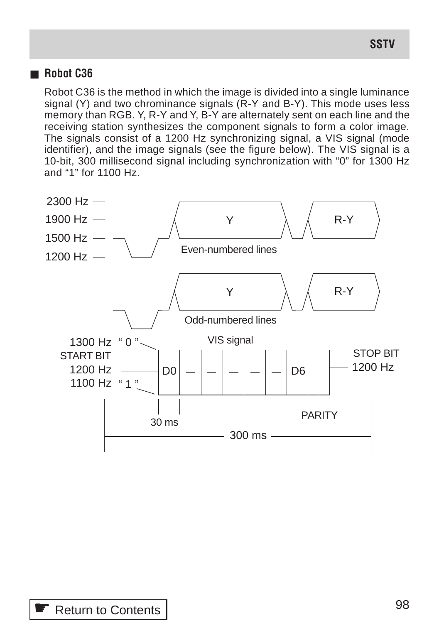## ■ **Robot C36**

Robot C36 is the method in which the image is divided into a single luminance signal (Y) and two chrominance signals (R-Y and B-Y). This mode uses less memory than RGB. Y, R-Y and Y, B-Y are alternately sent on each line and the receiving station synthesizes the component signals to form a color image. The signals consist of a 1200 Hz synchronizing signal, a VIS signal (mode identifier), and the image signals (see the figure below). The VIS signal is a 10-bit, 300 millisecond signal including synchronization with "0" for 1300 Hz and "1" for 1100 Hz.

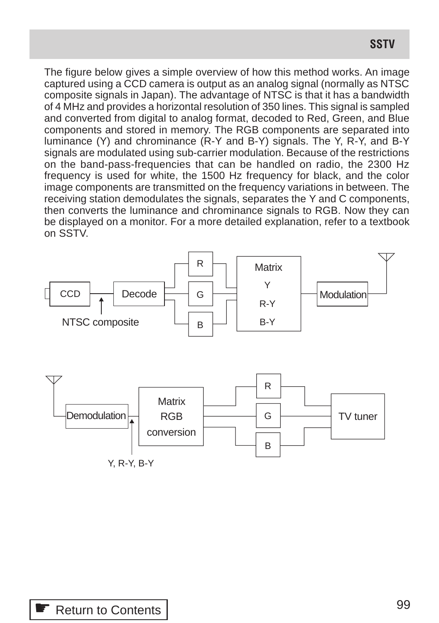The figure below gives a simple overview of how this method works. An image captured using a CCD camera is output as an analog signal (normally as NTSC composite signals in Japan). The advantage of NTSC is that it has a bandwidth of 4 MHz and provides a horizontal resolution of 350 lines. This signal is sampled and converted from digital to analog format, decoded to Red, Green, and Blue components and stored in memory. The RGB components are separated into luminance (Y) and chrominance (R-Y and B-Y) signals. The Y, R-Y, and B-Y signals are modulated using sub-carrier modulation. Because of the restrictions on the band-pass-frequencies that can be handled on radio, the 2300 Hz frequency is used for white, the 1500 Hz frequency for black, and the color image components are transmitted on the frequency variations in between. The receiving station demodulates the signals, separates the Y and C components, then converts the luminance and chrominance signals to RGB. Now they can be displayed on a monitor. For a more detailed explanation, refer to a textbook on SSTV.



Y, R-Y, B-Y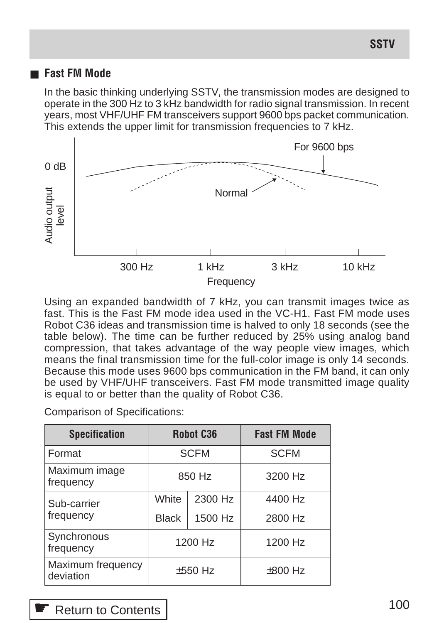## ■ **Fast FM Mode**

In the basic thinking underlying SSTV, the transmission modes are designed to operate in the 300 Hz to 3 kHz bandwidth for radio signal transmission. In recent years, most VHF/UHF FM transceivers support 9600 bps packet communication. This extends the upper limit for transmission frequencies to 7 kHz.



Using an expanded bandwidth of 7 kHz, you can transmit images twice as fast. This is the Fast FM mode idea used in the VC-H1. Fast FM mode uses Robot C36 ideas and transmission time is halved to only 18 seconds (see the table below). The time can be further reduced by 25% using analog band compression, that takes advantage of the way people view images, which means the final transmission time for the full-color image is only 14 seconds. Because this mode uses 9600 bps communication in the FM band, it can only be used by VHF/UHF transceivers. Fast FM mode transmitted image quality is equal to or better than the quality of Robot C36.

| <b>Specification</b>           | <b>Robot C36</b> |         | <b>Fast FM Mode</b> |
|--------------------------------|------------------|---------|---------------------|
| Format                         | <b>SCFM</b>      |         | <b>SCFM</b>         |
| Maximum image<br>frequency     | 850 Hz           |         | 3200 Hz             |
| Sub-carrier                    | White            | 2300 Hz | 4400 Hz             |
| frequency                      | <b>Black</b>     | 1500 Hz | 2800 Hz             |
| Synchronous<br>frequency       | 1200 Hz          |         | 1200 Hz             |
| Maximum frequency<br>deviation | $±550$ Hz        |         | $\pm 800$ Hz        |

Comparison of Specifications:

<sup>•</sup> [Return to Contents](#page-2-0)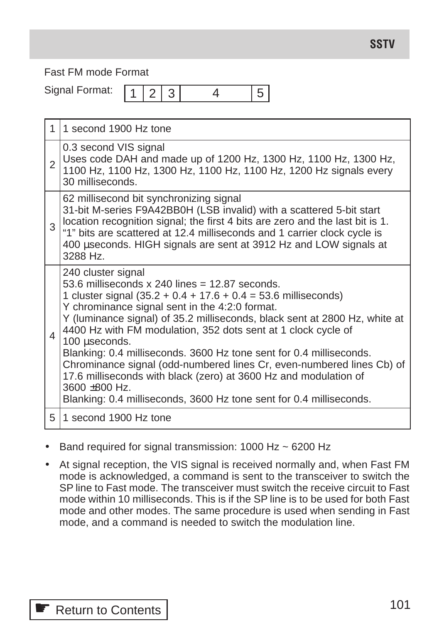Fast FM mode Format

Signal Format:

 $1 \mid 2 \mid 3 \mid 4 \mid 5$ 

|                | 1 second 1900 Hz tone                                                                                                                                                                                                                                                                                                                                                                                                                                                                                                                                                                                                                                                    |
|----------------|--------------------------------------------------------------------------------------------------------------------------------------------------------------------------------------------------------------------------------------------------------------------------------------------------------------------------------------------------------------------------------------------------------------------------------------------------------------------------------------------------------------------------------------------------------------------------------------------------------------------------------------------------------------------------|
| $\overline{2}$ | 0.3 second VIS signal<br>Uses code DAH and made up of 1200 Hz, 1300 Hz, 1100 Hz, 1300 Hz,<br>1100 Hz, 1100 Hz, 1300 Hz, 1100 Hz, 1100 Hz, 1200 Hz signals every<br>30 milliseconds.                                                                                                                                                                                                                                                                                                                                                                                                                                                                                      |
| 3              | 62 millisecond bit synchronizing signal<br>31-bit M-series F9A42BB0H (LSB invalid) with a scattered 5-bit start<br>location recognition signal; the first 4 bits are zero and the last bit is 1.<br>"1" bits are scattered at 12.4 milliseconds and 1 carrier clock cycle is<br>400 useconds. HIGH signals are sent at 3912 Hz and LOW signals at<br>3288 Hz.                                                                                                                                                                                                                                                                                                            |
| 4              | 240 cluster signal<br>53.6 milliseconds $x$ 240 lines = 12.87 seconds.<br>1 cluster signal $(35.2 + 0.4 + 17.6 + 0.4 = 53.6$ milliseconds)<br>Y chrominance signal sent in the 4:2:0 format.<br>Y (luminance signal) of 35.2 milliseconds, black sent at 2800 Hz, white at<br>4400 Hz with FM modulation, 352 dots sent at 1 clock cycle of<br>100 µseconds.<br>Blanking: 0.4 milliseconds. 3600 Hz tone sent for 0.4 milliseconds.<br>Chrominance signal (odd-numbered lines Cr, even-numbered lines Cb) of<br>17.6 milliseconds with black (zero) at 3600 Hz and modulation of<br>3600 ±800 Hz.<br>Blanking: 0.4 milliseconds, 3600 Hz tone sent for 0.4 milliseconds. |
| 5              | 1 second 1900 Hz tone                                                                                                                                                                                                                                                                                                                                                                                                                                                                                                                                                                                                                                                    |

- Band required for signal transmission: 1000 Hz ~ 6200 Hz
- At signal reception, the VIS signal is received normally and, when Fast FM mode is acknowledged, a command is sent to the transceiver to switch the SP line to Fast mode. The transceiver must switch the receive circuit to Fast mode within 10 milliseconds. This is if the SP line is to be used for both Fast mode and other modes. The same procedure is used when sending in Fast mode, and a command is needed to switch the modulation line.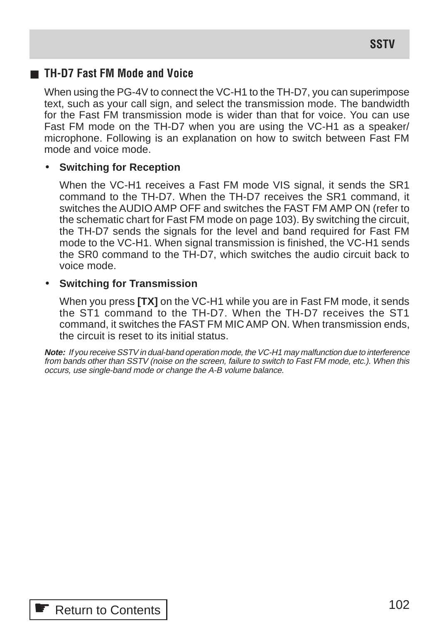## ■ **TH-D7 Fast FM Mode and Voice**

When using the PG-4V to connect the VC-H1 to the TH-D7, you can superimpose text, such as your call sign, and select the transmission mode. The bandwidth for the Fast FM transmission mode is wider than that for voice. You can use Fast FM mode on the TH-D7 when you are using the VC-H1 as a speaker/ microphone. Following is an explanation on how to switch between Fast FM mode and voice mode.

## • **Switching for Reception**

When the VC-H1 receives a Fast FM mode VIS signal, it sends the SR1 command to the TH-D7. When the TH-D7 receives the SR1 command, it switches the AUDIO AMP OFF and switches the FAST FM AMP ON (refer to the schematic chart for Fast FM mode on page 103). By switching the circuit, the TH-D7 sends the signals for the level and band required for Fast FM mode to the VC-H1. When signal transmission is finished, the VC-H1 sends the SR0 command to the TH-D7, which switches the audio circuit back to voice mode.

## • **Switching for Transmission**

When you press **[TX]** on the VC-H1 while you are in Fast FM mode, it sends the ST1 command to the TH-D7. When the TH-D7 receives the ST1 command, it switches the FAST FM MIC AMP ON. When transmission ends, the circuit is reset to its initial status.

**Note:** If you receive SSTV in dual-band operation mode, the VC-H1 may malfunction due to interference from bands other than SSTV (noise on the screen, failure to switch to Fast FM mode, etc.). When this occurs, use single-band mode or change the A-B volume balance.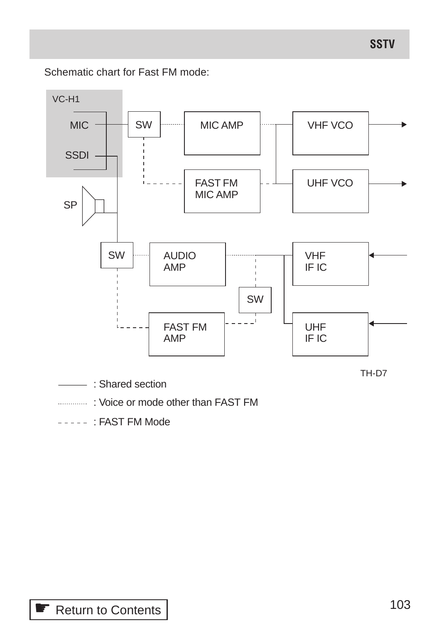Schematic chart for Fast FM mode:



 $---$  FAST FM Mode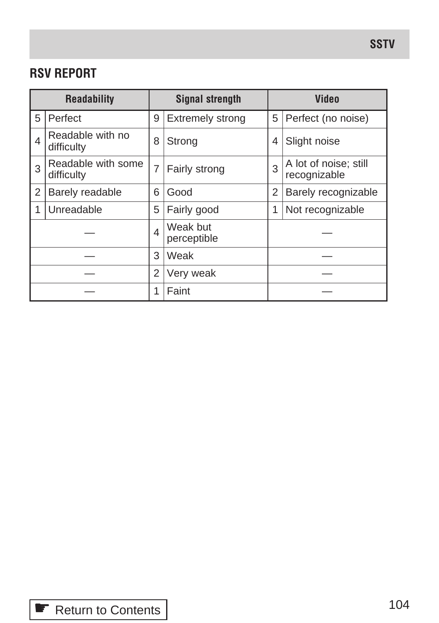# **RSV REPORT**

| <b>Readability</b> |                                  | <b>Signal strength</b>  |                         | <b>Video</b> |                                       |  |
|--------------------|----------------------------------|-------------------------|-------------------------|--------------|---------------------------------------|--|
| 5                  | Perfect                          | 9                       | <b>Extremely strong</b> |              | Perfect (no noise)                    |  |
| 4                  | Readable with no<br>difficulty   | 8                       | Strong                  |              | Slight noise                          |  |
| 3                  | Readable with some<br>difficulty | $\overline{7}$          | Fairly strong           |              | A lot of noise; still<br>recognizable |  |
| $\overline{2}$     | Barely readable                  | 6                       | Good                    | 2            | Barely recognizable                   |  |
| 1                  | Unreadable                       | 5                       | Fairly good             | 1            | Not recognizable                      |  |
|                    |                                  | $\overline{\mathbf{A}}$ | Weak but<br>perceptible |              |                                       |  |
|                    |                                  | 3                       | Weak                    |              |                                       |  |
|                    |                                  | 2                       | Very weak               |              |                                       |  |
|                    |                                  | 1                       | Faint                   |              |                                       |  |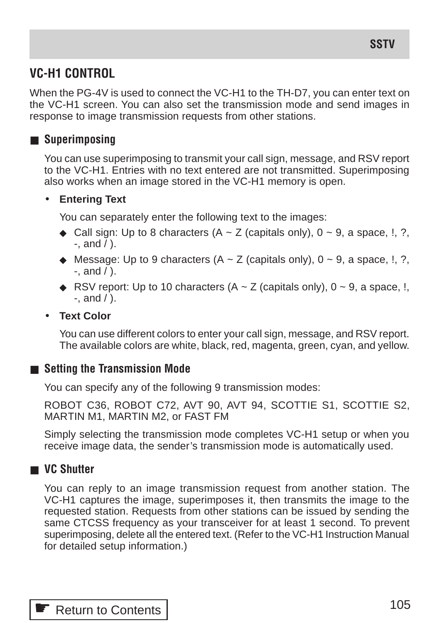# **VC-H1 CONTROL**

When the PG-4V is used to connect the VC-H1 to the TH-D7, you can enter text on the VC-H1 screen. You can also set the transmission mode and send images in response to image transmission requests from other stations.

## ■ Superimposing

You can use superimposing to transmit your call sign, message, and RSV report to the VC-H1. Entries with no text entered are not transmitted. Superimposing also works when an image stored in the VC-H1 memory is open.

## • **Entering Text**

You can separately enter the following text to the images:

- ◆ Call sign: Up to 8 characters  $(A ∼ Z$  (capitals only),  $0 ∼ 9$ , a space, !, ?,  $-$ , and  $/$ ).
- $\blacklozenge$  Message: Up to 9 characters (A  $\sim$  Z (capitals only), 0  $\sim$  9, a space, !, ?,  $-$ , and  $/$  ).
- ◆ RSV report: Up to 10 characters  $(A \sim Z \text{ (capitals only)}$ ,  $0 \sim 9$ , a space, !,  $-$ , and  $/$  ).

## • **Text Color**

You can use different colors to enter your call sign, message, and RSV report. The available colors are white, black, red, magenta, green, cyan, and yellow.

## ■ **Setting the Transmission Mode**

You can specify any of the following 9 transmission modes:

ROBOT C36, ROBOT C72, AVT 90, AVT 94, SCOTTIE S1, SCOTTIE S2, MARTIN M1, MARTIN M2, or FAST FM

Simply selecting the transmission mode completes VC-H1 setup or when you receive image data, the sender's transmission mode is automatically used.

## ■ VC Shutter

You can reply to an image transmission request from another station. The VC-H1 captures the image, superimposes it, then transmits the image to the requested station. Requests from other stations can be issued by sending the same CTCSS frequency as your transceiver for at least 1 second. To prevent superimposing, delete all the entered text. (Refer to the VC-H1 Instruction Manual for detailed setup information.)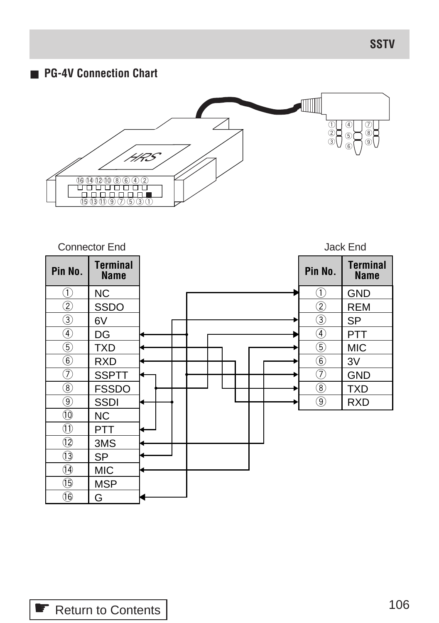## ■ **PG-4V Connection Chart**



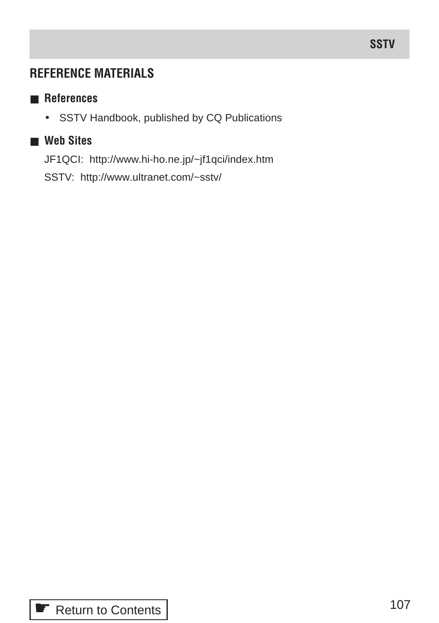# **REFERENCE MATERIALS**

## ■ **References**

• SSTV Handbook, published by CQ Publications

## ■ **Web Sites**

JF1QCI: http://www.hi-ho.ne.jp/~jf1qci/index.htm

SSTV: http://www.ultranet.com/~sstv/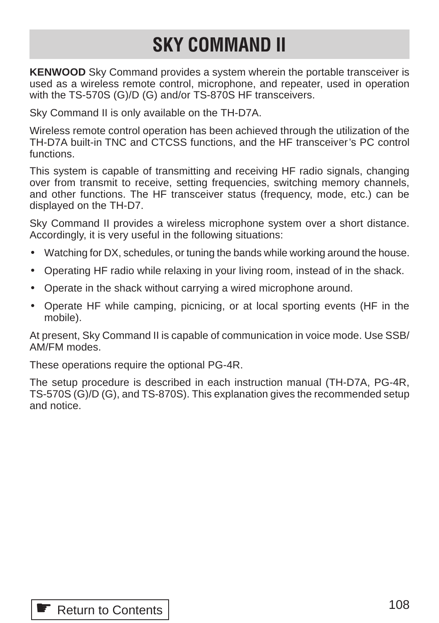# **SKY COMMAND II**

**KENWOOD** Sky Command provides a system wherein the portable transceiver is used as a wireless remote control, microphone, and repeater, used in operation with the TS-570S (G)/D (G) and/or TS-870S HF transceivers.

Sky Command II is only available on the TH-D7A.

Wireless remote control operation has been achieved through the utilization of the TH-D7A built-in TNC and CTCSS functions, and the HF transceiver's PC control functions.

This system is capable of transmitting and receiving HF radio signals, changing over from transmit to receive, setting frequencies, switching memory channels, and other functions. The HF transceiver status (frequency, mode, etc.) can be displayed on the TH-D7.

Sky Command II provides a wireless microphone system over a short distance. Accordingly, it is very useful in the following situations:

- Watching for DX, schedules, or tuning the bands while working around the house.
- Operating HF radio while relaxing in your living room, instead of in the shack.
- Operate in the shack without carrying a wired microphone around.
- Operate HF while camping, picnicing, or at local sporting events (HF in the mobile).

At present, Sky Command II is capable of communication in voice mode. Use SSB/ AM/FM modes.

These operations require the optional PG-4R.

The setup procedure is described in each instruction manual (TH-D7A, PG-4R, TS-570S (G)/D (G), and TS-870S). This explanation gives the recommended setup and notice.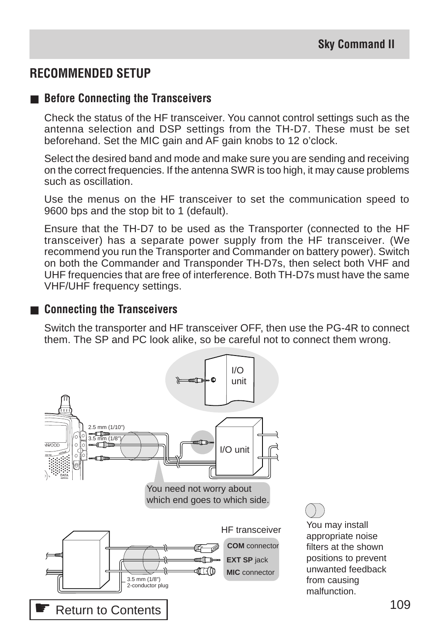# **RECOMMENDED SETUP**

#### ■ **Before Connecting the Transceivers**

Check the status of the HF transceiver. You cannot control settings such as the antenna selection and DSP settings from the TH-D7. These must be set beforehand. Set the MIC gain and AF gain knobs to 12 o'clock.

Select the desired band and mode and make sure you are sending and receiving on the correct frequencies. If the antenna SWR is too high, it may cause problems such as oscillation.

Use the menus on the HF transceiver to set the communication speed to 9600 bps and the stop bit to 1 (default).

Ensure that the TH-D7 to be used as the Transporter (connected to the HF transceiver) has a separate power supply from the HF transceiver. (We recommend you run the Transporter and Commander on battery power). Switch on both the Commander and Transponder TH-D7s, then select both VHF and UHF frequencies that are free of interference. Both TH-D7s must have the same VHF/UHF frequency settings.

#### ■ **Connecting the Transceivers**

Switch the transporter and HF transceiver OFF, then use the PG-4R to connect them. The SP and PC look alike, so be careful not to connect them wrong.

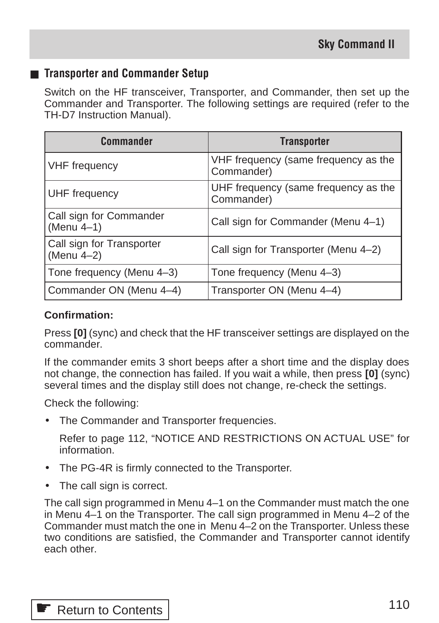#### ■ **Transporter and Commander Setup**

Switch on the HF transceiver, Transporter, and Commander, then set up the Commander and Transporter. The following settings are required (refer to the TH-D7 Instruction Manual).

| <b>Commander</b>                        | <b>Transporter</b>                                 |
|-----------------------------------------|----------------------------------------------------|
| <b>VHF</b> frequency                    | VHF frequency (same frequency as the<br>Commander) |
| UHF frequency                           | UHF frequency (same frequency as the<br>Commander) |
| Call sign for Commander<br>(Menu 4-1)   | Call sign for Commander (Menu 4-1)                 |
| Call sign for Transporter<br>(Menu 4-2) | Call sign for Transporter (Menu 4-2)               |
| Tone frequency (Menu 4-3)               | Tone frequency (Menu 4-3)                          |
| Commander ON (Menu 4-4)                 | Transporter ON (Menu 4-4)                          |

#### **Confirmation:**

Press **[0]** (sync) and check that the HF transceiver settings are displayed on the commander.

If the commander emits 3 short beeps after a short time and the display does not change, the connection has failed. If you wait a while, then press **[0]** (sync) several times and the display still does not change, re-check the settings.

Check the following:

The Commander and Transporter frequencies.

Refer to page 112, "NOTICE AND RESTRICTIONS ON ACTUAL USE" for information.

- The PG-4R is firmly connected to the Transporter.
- The call sign is correct.

The call sign programmed in Menu 4–1 on the Commander must match the one in Menu 4–1 on the Transporter. The call sign programmed in Menu 4–2 of the Commander must match the one in Menu 4–2 on the Transporter. Unless these two conditions are satisfied, the Commander and Transporter cannot identify each other.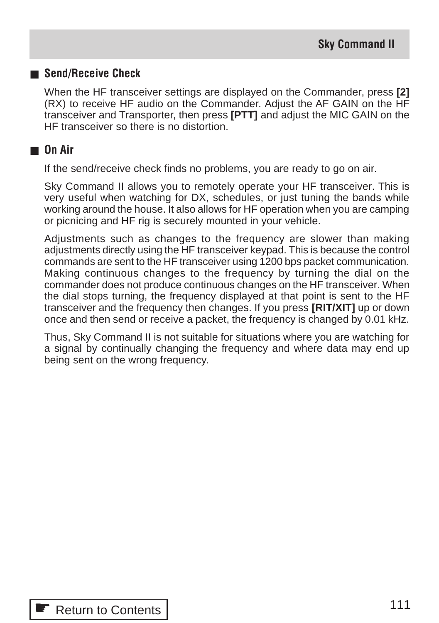#### ■ **Send/Receive Check**

When the HF transceiver settings are displayed on the Commander, press **[2]** (RX) to receive HF audio on the Commander. Adjust the AF GAIN on the HF transceiver and Transporter, then press **[PTT]** and adjust the MIC GAIN on the HF transceiver so there is no distortion.

### ■ **On Air**

If the send/receive check finds no problems, you are ready to go on air.

Sky Command II allows you to remotely operate your HF transceiver. This is very useful when watching for DX, schedules, or just tuning the bands while working around the house. It also allows for HF operation when you are camping or picnicing and HF rig is securely mounted in your vehicle.

Adjustments such as changes to the frequency are slower than making adjustments directly using the HF transceiver keypad. This is because the control commands are sent to the HF transceiver using 1200 bps packet communication. Making continuous changes to the frequency by turning the dial on the commander does not produce continuous changes on the HF transceiver. When the dial stops turning, the frequency displayed at that point is sent to the HF transceiver and the frequency then changes. If you press **[RIT/XIT]** up or down once and then send or receive a packet, the frequency is changed by 0.01 kHz.

Thus, Sky Command II is not suitable for situations where you are watching for a signal by continually changing the frequency and where data may end up being sent on the wrong frequency.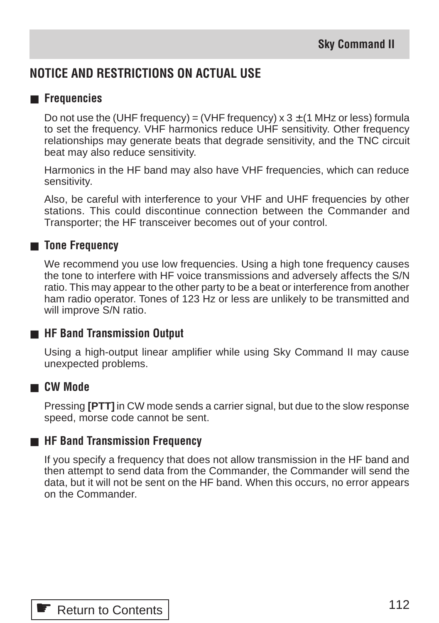# **NOTICE AND RESTRICTIONS ON ACTUAL USE**

### ■ **Frequencies**

Do not use the (UHF frequency) = (VHF frequency)  $\times$  3  $\pm$  (1 MHz or less) formula to set the frequency. VHF harmonics reduce UHF sensitivity. Other frequency relationships may generate beats that degrade sensitivity, and the TNC circuit beat may also reduce sensitivity.

Harmonics in the HF band may also have VHF frequencies, which can reduce sensitivity.

Also, be careful with interference to your VHF and UHF frequencies by other stations. This could discontinue connection between the Commander and Transporter; the HF transceiver becomes out of your control.

#### ■ **Tone Frequency**

We recommend you use low frequencies. Using a high tone frequency causes the tone to interfere with HF voice transmissions and adversely affects the S/N ratio. This may appear to the other party to be a beat or interference from another ham radio operator. Tones of 123 Hz or less are unlikely to be transmitted and will improve S/N ratio.

# ■ **HF Band Transmission Output**

Using a high-output linear amplifier while using Sky Command II may cause unexpected problems.

#### ■ **CW Mode**

Pressing **[PTT]** in CW mode sends a carrier signal, but due to the slow response speed, morse code cannot be sent.

#### ■ **HF Band Transmission Frequency**

If you specify a frequency that does not allow transmission in the HF band and then attempt to send data from the Commander, the Commander will send the data, but it will not be sent on the HF band. When this occurs, no error appears on the Commander.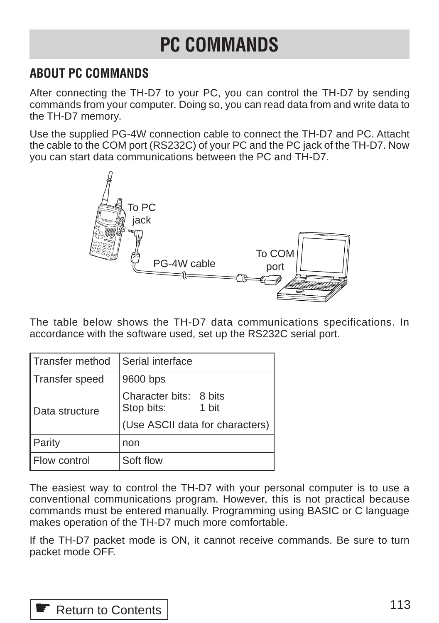# **PC COMMANDS**

# **ABOUT PC COMMANDS**

After connecting the TH-D7 to your PC, you can control the TH-D7 by sending commands from your computer. Doing so, you can read data from and write data to the TH-D7 memory.

Use the supplied PG-4W connection cable to connect the TH-D7 and PC. Attacht the cable to the COM port (RS232C) of your PC and the PC jack of the TH-D7. Now you can start data communications between the PC and TH-D7.



The table below shows the TH-D7 data communications specifications. In accordance with the software used, set up the RS232C serial port.

| Transfer method       | Serial interface                              |  |  |
|-----------------------|-----------------------------------------------|--|--|
| <b>Transfer speed</b> | 9600 bps                                      |  |  |
| Data structure        | Character bits: 8 bits<br>Stop bits:<br>1 bit |  |  |
|                       | (Use ASCII data for characters)               |  |  |
| Parity                | non                                           |  |  |
| Flow control          | Soft flow                                     |  |  |

The easiest way to control the TH-D7 with your personal computer is to use a conventional communications program. However, this is not practical because commands must be entered manually. Programming using BASIC or C language makes operation of the TH-D7 much more comfortable.

If the TH-D7 packet mode is ON, it cannot receive commands. Be sure to turn packet mode OFF.

**■ [Return to Contents](#page-2-0)**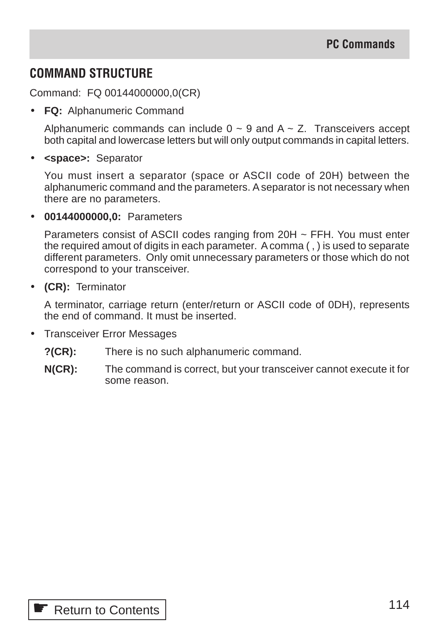# **COMMAND STRUCTURE**

Command: FQ 00144000000,0(CR)

• **FQ:** Alphanumeric Command

Alphanumeric commands can include  $0 \sim 9$  and  $A \sim Z$ . Transceivers accept both capital and lowercase letters but will only output commands in capital letters.

• **<space>:** Separator

You must insert a separator (space or ASCII code of 20H) between the alphanumeric command and the parameters. A separator is not necessary when there are no parameters.

• **00144000000,0:** Parameters

Parameters consist of ASCII codes ranging from 20H ~ FFH. You must enter the required amout of digits in each parameter. A comma ( , ) is used to separate different parameters. Only omit unnecessary parameters or those which do not correspond to your transceiver.

• **(CR):** Terminator

A terminator, carriage return (enter/return or ASCII code of 0DH), represents the end of command. It must be inserted.

- Transceiver Error Messages
	- **?(CR):** There is no such alphanumeric command.
	- **N(CR):** The command is correct, but your transceiver cannot execute it for some reason.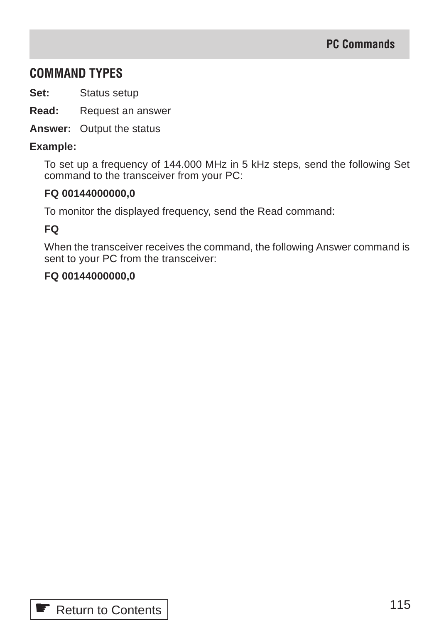# **COMMAND TYPES**

**Set:** Status setup

**Read:** Request an answer

**Answer:** Output the status

#### **Example:**

To set up a frequency of 144.000 MHz in 5 kHz steps, send the following Set command to the transceiver from your PC:

#### **FQ 00144000000,0**

To monitor the displayed frequency, send the Read command:

#### **FQ**

When the transceiver receives the command, the following Answer command is sent to your PC from the transceiver:

#### **FQ 00144000000,0**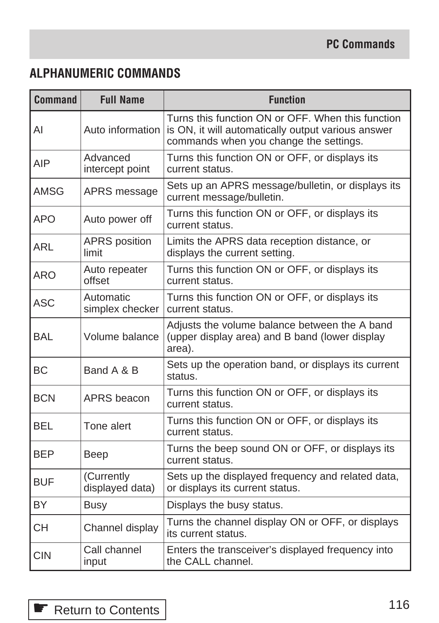# **ALPHANUMERIC COMMANDS**

| <b>Command</b> | <b>Full Name</b>              | <b>Function</b>                                                                                                                                   |  |  |  |
|----------------|-------------------------------|---------------------------------------------------------------------------------------------------------------------------------------------------|--|--|--|
| Al             | Auto information              | Turns this function ON or OFF. When this function<br>is ON, it will automatically output various answer<br>commands when you change the settings. |  |  |  |
| AIP            | Advanced<br>intercept point   | Turns this function ON or OFF, or displays its<br>current status.                                                                                 |  |  |  |
| AMSG           | APRS message                  | Sets up an APRS message/bulletin, or displays its<br>current message/bulletin.                                                                    |  |  |  |
| <b>APO</b>     | Auto power off                | Turns this function ON or OFF, or displays its<br>current status.                                                                                 |  |  |  |
| ARL            | <b>APRS</b> position<br>limit | Limits the APRS data reception distance, or<br>displays the current setting.                                                                      |  |  |  |
| ARO            | Auto repeater<br>offset       | Turns this function ON or OFF, or displays its<br>current status.                                                                                 |  |  |  |
| <b>ASC</b>     | Automatic<br>simplex checker  | Turns this function ON or OFF, or displays its<br>current status.                                                                                 |  |  |  |
| <b>BAL</b>     | Volume balance                | Adjusts the volume balance between the A band<br>(upper display area) and B band (lower display<br>area).                                         |  |  |  |
| <b>BC</b>      | Band A & B                    | Sets up the operation band, or displays its current<br>status.                                                                                    |  |  |  |
| <b>BCN</b>     | APRS beacon                   | Turns this function ON or OFF, or displays its<br>current status.                                                                                 |  |  |  |
| BEL            | Tone alert                    | Turns this function ON or OFF, or displays its<br>current status.                                                                                 |  |  |  |
| BEP            | Beep                          | Turns the beep sound ON or OFF, or displays its<br>current status.                                                                                |  |  |  |
| <b>BUF</b>     | (Currently<br>displayed data) | Sets up the displayed frequency and related data,<br>or displays its current status.                                                              |  |  |  |
| <b>BY</b>      | <b>Busy</b>                   | Displays the busy status.                                                                                                                         |  |  |  |
| CН             | Channel display               | Turns the channel display ON or OFF, or displays<br>its current status.                                                                           |  |  |  |
| <b>CIN</b>     | Call channel<br>input         | Enters the transceiver's displayed frequency into<br>the CALL channel.                                                                            |  |  |  |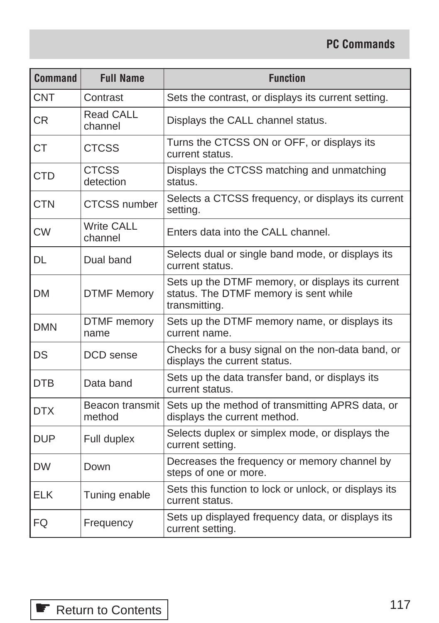| <b>Command</b> | <b>Full Name</b>             | <b>Function</b>                                                                                            |
|----------------|------------------------------|------------------------------------------------------------------------------------------------------------|
| <b>CNT</b>     | Contrast                     | Sets the contrast, or displays its current setting.                                                        |
| CR             | Read CALL<br>channel         | Displays the CALL channel status.                                                                          |
| <b>CT</b>      | <b>CTCSS</b>                 | Turns the CTCSS ON or OFF, or displays its<br>current status.                                              |
| <b>CTD</b>     | <b>CTCSS</b><br>detection    | Displays the CTCSS matching and unmatching<br>status.                                                      |
| <b>CTN</b>     | <b>CTCSS</b> number          | Selects a CTCSS frequency, or displays its current<br>setting.                                             |
| <b>CW</b>      | <b>Write CALL</b><br>channel | Enters data into the CALL channel.                                                                         |
| DL             | Dual band                    | Selects dual or single band mode, or displays its<br>current status.                                       |
| DM             | <b>DTMF Memory</b>           | Sets up the DTMF memory, or displays its current<br>status. The DTMF memory is sent while<br>transmitting. |
| DMN            | DTMF memory<br>name          | Sets up the DTMF memory name, or displays its<br>current name.                                             |
| DS             | DCD sense                    | Checks for a busy signal on the non-data band, or<br>displays the current status.                          |
| <b>DTB</b>     | Data band                    | Sets up the data transfer band, or displays its<br>current status.                                         |
| <b>DTX</b>     | Beacon transmit<br>method    | Sets up the method of transmitting APRS data, or<br>displays the current method.                           |
| DUP            | Full duplex                  | Selects duplex or simplex mode, or displays the<br>current setting.                                        |
| <b>DW</b>      | Down                         | Decreases the frequency or memory channel by<br>steps of one or more.                                      |
| ELK            | Tuning enable                | Sets this function to lock or unlock, or displays its<br>current status.                                   |
| FQ             | Frequency                    | Sets up displayed frequency data, or displays its<br>current setting.                                      |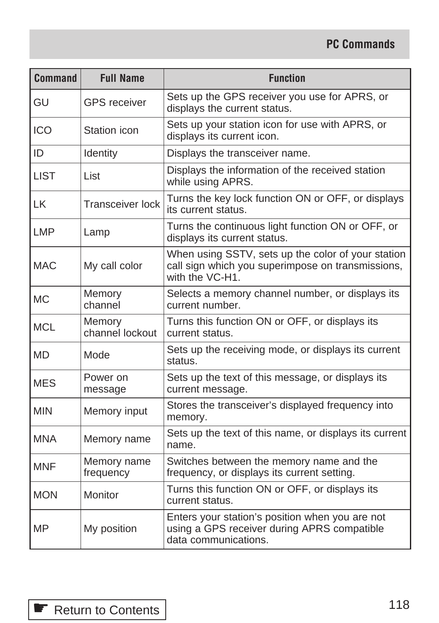| <b>Command</b> | <b>Full Name</b>          | <b>Function</b>                                                                                                            |  |  |  |
|----------------|---------------------------|----------------------------------------------------------------------------------------------------------------------------|--|--|--|
| GU             | <b>GPS</b> receiver       | Sets up the GPS receiver you use for APRS, or<br>displays the current status.                                              |  |  |  |
| <b>ICO</b>     | Station icon              | Sets up your station icon for use with APRS, or<br>displays its current icon.                                              |  |  |  |
| ID             | Identity                  | Displays the transceiver name.                                                                                             |  |  |  |
| <b>LIST</b>    | List                      | Displays the information of the received station<br>while using APRS.                                                      |  |  |  |
| LK             | Transceiver lock          | Turns the key lock function ON or OFF, or displays<br>its current status.                                                  |  |  |  |
| <b>LMP</b>     | Lamp                      | Turns the continuous light function ON or OFF, or<br>displays its current status.                                          |  |  |  |
| <b>MAC</b>     | My call color             | When using SSTV, sets up the color of your station<br>call sign which you superimpose on transmissions,<br>with the VC-H1. |  |  |  |
| <b>MC</b>      | Memory<br>channel         | Selects a memory channel number, or displays its<br>current number.                                                        |  |  |  |
| <b>MCL</b>     | Memory<br>channel lockout | Turns this function ON or OFF, or displays its<br>current status.                                                          |  |  |  |
| <b>MD</b>      | Mode                      | Sets up the receiving mode, or displays its current<br>status.                                                             |  |  |  |
| <b>MES</b>     | Power on<br>message       | Sets up the text of this message, or displays its<br>current message.                                                      |  |  |  |
| <b>MIN</b>     | Memory input              | Stores the transceiver's displayed frequency into<br>memory.                                                               |  |  |  |
| <b>MNA</b>     | Memory name               | Sets up the text of this name, or displays its current<br>name.                                                            |  |  |  |
| <b>MNF</b>     | Memory name<br>frequency  | Switches between the memory name and the<br>frequency, or displays its current setting.                                    |  |  |  |
| <b>MON</b>     | Monitor                   | Turns this function ON or OFF, or displays its<br>current status.                                                          |  |  |  |
| <b>MP</b>      | My position               | Enters your station's position when you are not<br>using a GPS receiver during APRS compatible<br>data communications.     |  |  |  |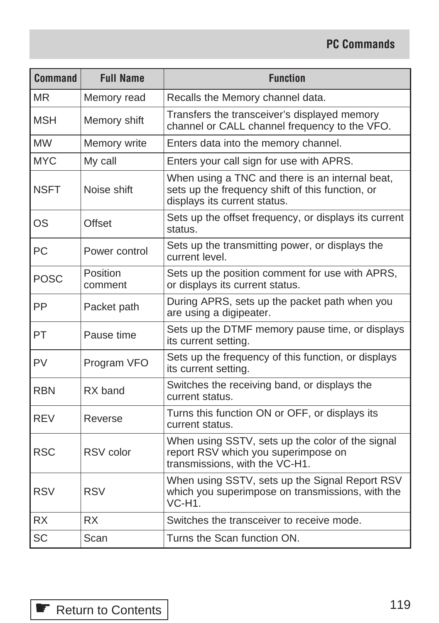| <b>Command</b> | <b>Full Name</b>    | <b>Function</b>                                                                                                                     |
|----------------|---------------------|-------------------------------------------------------------------------------------------------------------------------------------|
| MR             | Memory read         | Recalls the Memory channel data.                                                                                                    |
| <b>MSH</b>     | Memory shift        | Transfers the transceiver's displayed memory<br>channel or CALL channel frequency to the VFO.                                       |
| <b>MW</b>      | Memory write        | Enters data into the memory channel.                                                                                                |
| <b>MYC</b>     | My call             | Enters your call sign for use with APRS.                                                                                            |
| NSFT           | Noise shift         | When using a TNC and there is an internal beat,<br>sets up the frequency shift of this function, or<br>displays its current status. |
| <b>OS</b>      | Offset              | Sets up the offset frequency, or displays its current<br>status.                                                                    |
| PC             | Power control       | Sets up the transmitting power, or displays the<br>current level.                                                                   |
| <b>POSC</b>    | Position<br>comment | Sets up the position comment for use with APRS,<br>or displays its current status.                                                  |
| PP             | Packet path         | During APRS, sets up the packet path when you<br>are using a digipeater.                                                            |
| PT             | Pause time          | Sets up the DTMF memory pause time, or displays<br>its current setting.                                                             |
| PV             | Program VFO         | Sets up the frequency of this function, or displays<br>its current setting.                                                         |
| <b>RBN</b>     | RX band             | Switches the receiving band, or displays the<br>current status.                                                                     |
| REV            | Reverse             | Turns this function ON or OFF, or displays its<br>current status.                                                                   |
| <b>RSC</b>     | RSV color           | When using SSTV, sets up the color of the signal<br>report RSV which you superimpose on<br>transmissions, with the VC-H1.           |
| <b>RSV</b>     | <b>RSV</b>          | When using SSTV, sets up the Signal Report RSV<br>which you superimpose on transmissions, with the<br>VC-H1.                        |
| <b>RX</b>      | <b>RX</b>           | Switches the transceiver to receive mode.                                                                                           |
| <b>SC</b>      | Scan                | Turns the Scan function ON.                                                                                                         |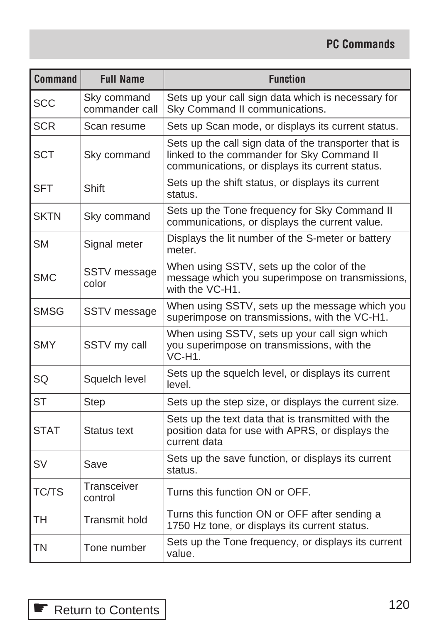| <b>Command</b> | <b>Full Name</b>              | <b>Function</b>                                                                                                                                        |
|----------------|-------------------------------|--------------------------------------------------------------------------------------------------------------------------------------------------------|
| <b>SCC</b>     | Sky command<br>commander call | Sets up your call sign data which is necessary for<br>Sky Command II communications.                                                                   |
| <b>SCR</b>     | Scan resume                   | Sets up Scan mode, or displays its current status.                                                                                                     |
| <b>SCT</b>     | Sky command                   | Sets up the call sign data of the transporter that is<br>linked to the commander for Sky Command II<br>communications, or displays its current status. |
| <b>SFT</b>     | Shift                         | Sets up the shift status, or displays its current<br>status.                                                                                           |
| SKTN           | Sky command                   | Sets up the Tone frequency for Sky Command II<br>communications, or displays the current value.                                                        |
| SM             | Signal meter                  | Displays the lit number of the S-meter or battery<br>meter.                                                                                            |
| <b>SMC</b>     | SSTV message<br>color         | When using SSTV, sets up the color of the<br>message which you superimpose on transmissions,<br>with the VC-H1.                                        |
| SMSG           | SSTV message                  | When using SSTV, sets up the message which you<br>superimpose on transmissions, with the VC-H1.                                                        |
| <b>SMY</b>     | SSTV my call                  | When using SSTV, sets up your call sign which<br>you superimpose on transmissions, with the<br>$VC-H1$ .                                               |
| SQ             | Squelch level                 | Sets up the squelch level, or displays its current<br>level.                                                                                           |
| <b>ST</b>      | <b>Step</b>                   | Sets up the step size, or displays the current size.                                                                                                   |
| <b>STAT</b>    | Status text                   | Sets up the text data that is transmitted with the<br>position data for use with APRS, or displays the<br>current data                                 |
| <b>SV</b>      | Save                          | Sets up the save function, or displays its current<br>status.                                                                                          |
| TC/TS          | Transceiver<br>control        | Turns this function ON or OFF.                                                                                                                         |
| TН             | Transmit hold                 | Turns this function ON or OFF after sending a<br>1750 Hz tone, or displays its current status.                                                         |
| ΤN             | Tone number                   | Sets up the Tone frequency, or displays its current<br>value.                                                                                          |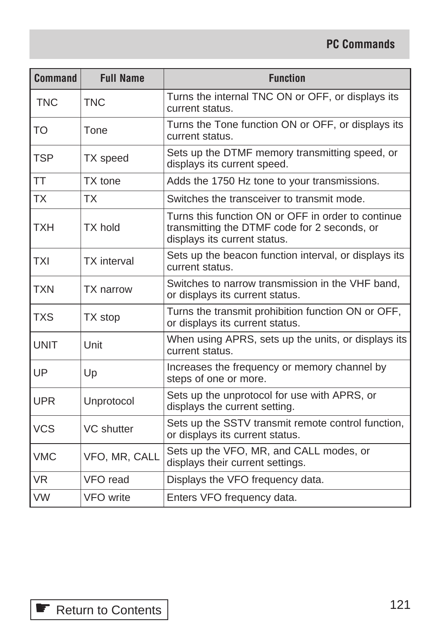| <b>Command</b> | <b>Full Name</b>   | <b>Function</b>                                                                                                                    |
|----------------|--------------------|------------------------------------------------------------------------------------------------------------------------------------|
| <b>TNC</b>     | <b>TNC</b>         | Turns the internal TNC ON or OFF, or displays its<br>current status.                                                               |
| <b>TO</b>      | Tone               | Turns the Tone function ON or OFF, or displays its<br>current status.                                                              |
| <b>TSP</b>     | TX speed           | Sets up the DTMF memory transmitting speed, or<br>displays its current speed.                                                      |
| TT             | TX tone            | Adds the 1750 Hz tone to your transmissions.                                                                                       |
| ТX             | TX                 | Switches the transceiver to transmit mode.                                                                                         |
| TXH            | <b>TX</b> hold     | Turns this function ON or OFF in order to continue<br>transmitting the DTMF code for 2 seconds, or<br>displays its current status. |
| <b>TXI</b>     | <b>TX</b> interval | Sets up the beacon function interval, or displays its<br>current status.                                                           |
| <b>TXN</b>     | <b>TX</b> narrow   | Switches to narrow transmission in the VHF band,<br>or displays its current status.                                                |
| <b>TXS</b>     | TX stop            | Turns the transmit prohibition function ON or OFF,<br>or displays its current status.                                              |
| <b>UNIT</b>    | Unit               | When using APRS, sets up the units, or displays its<br>current status.                                                             |
| UP             | Up                 | Increases the frequency or memory channel by<br>steps of one or more.                                                              |
| <b>UPR</b>     | Unprotocol         | Sets up the unprotocol for use with APRS, or<br>displays the current setting.                                                      |
| <b>VCS</b>     | <b>VC</b> shutter  | Sets up the SSTV transmit remote control function,<br>or displays its current status.                                              |
| <b>VMC</b>     | VFO, MR, CALL      | Sets up the VFO, MR, and CALL modes, or<br>displays their current settings.                                                        |
| <b>VR</b>      | VFO read           | Displays the VFO frequency data.                                                                                                   |
| <b>VW</b>      | <b>VFO</b> write   | Enters VFO frequency data.                                                                                                         |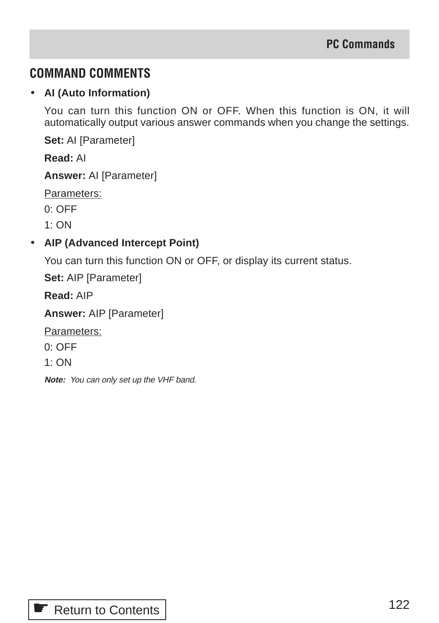# **COMMAND COMMENTS**

### • **AI (Auto Information)**

You can turn this function ON or OFF. When this function is ON, it will automatically output various answer commands when you change the settings.

**Set:** AI [Parameter]

**Read:** AI

**Answer:** AI [Parameter]

Parameters:

0: OFF

 $1:ON$ 

# • **AIP (Advanced Intercept Point)**

You can turn this function ON or OFF, or display its current status.

**Set:** AIP [Parameter]

**Read:** AIP

**Answer:** AIP [Parameter]

Parameters:

0: OFF

1: ON

**Note:** You can only set up the VHF band.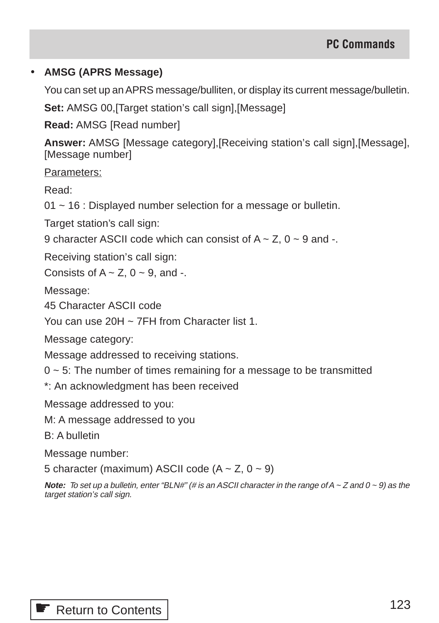#### • **AMSG (APRS Message)**

You can set up an APRS message/bulliten, or display its current message/bulletin.

**Set:** AMSG 00,[Target station's call sign],[Message]

**Read:** AMSG [Read number]

**Answer:** AMSG [Message category],[Receiving station's call sign],[Message], [Message number]

Parameters:

Read:

01 ~ 16 : Displayed number selection for a message or bulletin.

Target station's call sign:

9 character ASCII code which can consist of  $A \sim Z$ , 0  $\sim$  9 and -.

Receiving station's call sign:

Consists of  $A \sim Z$ ,  $0 \sim 9$ , and -.

Message:

45 Character ASCII code

You can use 20H ~ 7FH from Character list 1.

Message category:

Message addressed to receiving stations.

 $0 \sim 5$ : The number of times remaining for a message to be transmitted

\*: An acknowledgment has been received

Message addressed to you:

M: A message addressed to you

B: A bulletin

Message number:

5 character (maximum) ASCII code  $(A \sim Z, 0 \sim 9)$ 

**Note:** To set up a bulletin, enter "BLN#" (# is an ASCII character in the range of  $A \sim Z$  and  $0 \sim 9$ ) as the target station's call sign.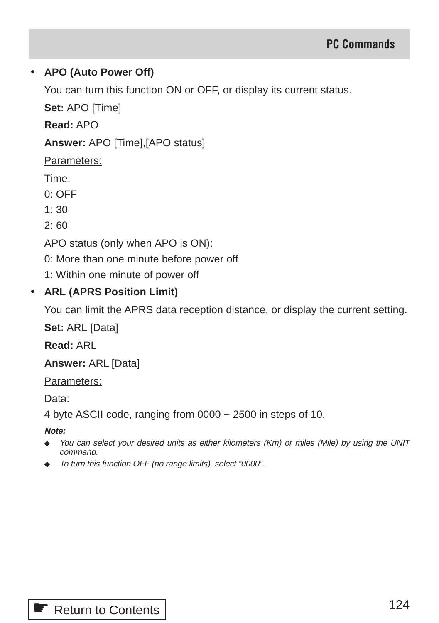# • **APO (Auto Power Off)**

You can turn this function ON or OFF, or display its current status.

**Set:** APO [Time]

**Read:** APO

**Answer:** APO [Time],[APO status]

Parameters:

Time:

0: OFF

 $1:30$ 

2: 60

APO status (only when APO is ON):

0: More than one minute before power off

1: Within one minute of power off

# • **ARL (APRS Position Limit)**

You can limit the APRS data reception distance, or display the current setting.

**Set:** ARL [Data]

**Read:** ARL

**Answer:** ARL [Data]

Parameters:

Data:

4 byte ASCII code, ranging from 0000 ~ 2500 in steps of 10.

**Note:**

- ◆ You can select your desired units as either kilometers (Km) or miles (Mile) by using the UNIT command.
- ◆ To turn this function OFF (no range limits), select "0000".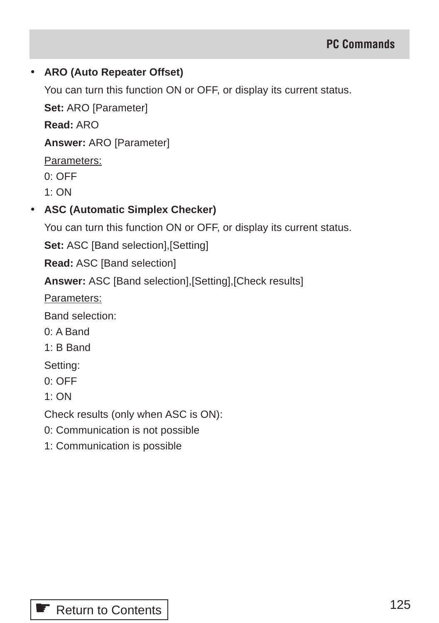### • **ARO (Auto Repeater Offset)**

You can turn this function ON or OFF, or display its current status.

**Set:** ARO [Parameter]

**Read:** ARO

**Answer:** ARO [Parameter]

Parameters:

0: OFF

1: ON

# • **ASC (Automatic Simplex Checker)**

You can turn this function ON or OFF, or display its current status.

**Set:** ASC [Band selection], [Setting]

**Read:** ASC [Band selection]

**Answer:** ASC [Band selection],[Setting],[Check results]

Parameters:

Band selection:

0: A Band

1: B Band

Setting:

0: OFF

1: ON

Check results (only when ASC is ON):

- 0: Communication is not possible
- 1: Communication is possible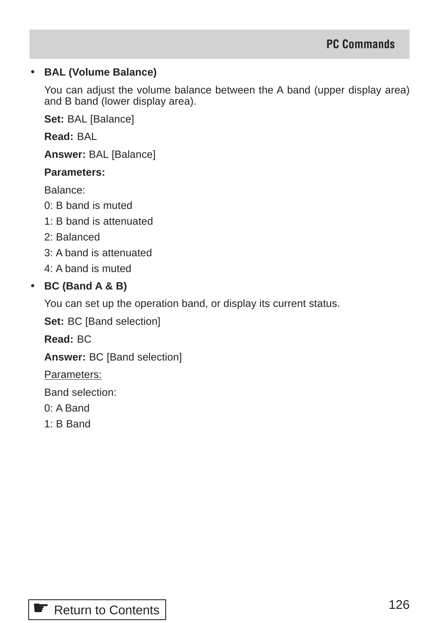#### • **BAL (Volume Balance)**

You can adjust the volume balance between the A band (upper display area) and B band (lower display area).

**Set:** BAL [Balance]

**Read:** BAL

**Answer:** BAL [Balance]

#### **Parameters:**

Balance:

- 0: B band is muted
- 1: B band is attenuated
- 2: Balanced
- 3: A band is attenuated
- 4: A band is muted

#### • **BC (Band A & B)**

You can set up the operation band, or display its current status.

**Set:** BC [Band selection]

**Read:** BC

**Answer:** BC [Band selection]

Parameters:

Band selection:

- 0: A Band
- 1: B Band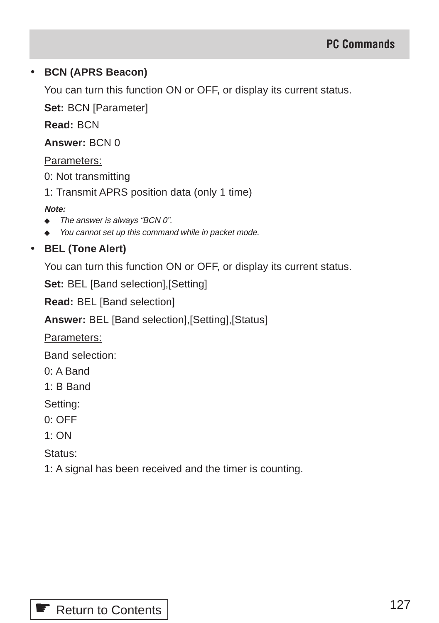### • **BCN (APRS Beacon)**

You can turn this function ON or OFF, or display its current status.

**Set:** BCN [Parameter]

**Read:** BCN

#### **Answer:** BCN 0

#### Parameters:

0: Not transmitting

1: Transmit APRS position data (only 1 time)

#### **Note:**

- ◆ The answer is always "BCN 0".
- ◆ You cannot set up this command while in packet mode.

# • **BEL (Tone Alert)**

You can turn this function ON or OFF, or display its current status.

**Set:** BEL [Band selection], [Setting]

**Read:** BEL [Band selection]

**Answer:** BEL [Band selection],[Setting],[Status]

Parameters:

Band selection:

- 0: A Band
- 1: B Band

Setting:

- 0: OFF
- 1: ON

Status:

1: A signal has been received and the timer is counting.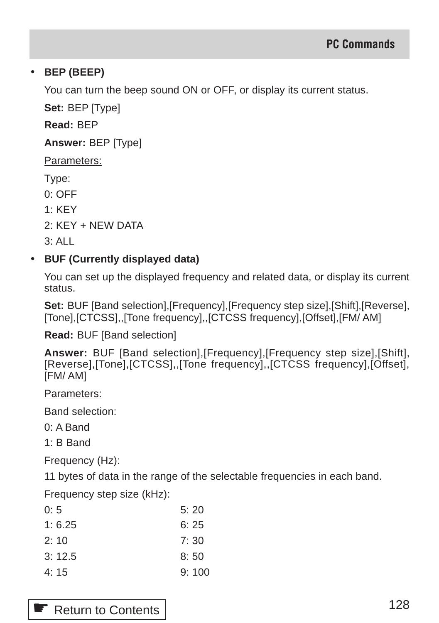# • **BEP (BEEP)**

You can turn the beep sound ON or OFF, or display its current status.

**Set:** BEP [Type]

**Read:** BEP

**Answer:** BEP [Type]

Parameters:

Type:

0: OFF

1: KEY

2: KEY + NEW DATA

 $3.41$ 

# • **BUF (Currently displayed data)**

You can set up the displayed frequency and related data, or display its current status.

**Set:** BUF [Band selection],[Frequency],[Frequency step size],[Shift],[Reverse], [Tone],[CTCSS],,[Tone frequency],,[CTCSS frequency],[Offset],[FM/ AM]

**Read:** BUF [Band selection]

**Answer:** BUF [Band selection],[Frequency],[Frequency step size],[Shift], [Reverse],[Tone],[CTCSS],,[Tone frequency],,[CTCSS frequency],[Offset], [FM/ AM]

Parameters:

Band selection:

0: A Band

1: B Band

Frequency (Hz):

11 bytes of data in the range of the selectable frequencies in each band.

Frequency step size (kHz):

| 0:5    | 5:20  |
|--------|-------|
| 1:6.25 | 6:25  |
| 2:10   | 7:30  |
| 3:12.5 | 8:50  |
| 4:15   | 9:100 |

**■ [Return to Contents](#page-3-0)**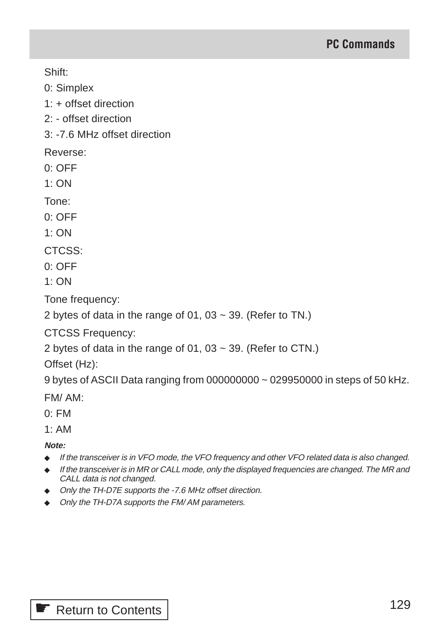Shift:

0: Simplex

1: + offset direction

2: - offset direction

3: -7.6 MHz offset direction

Reverse:

0: OFF

1: ON

Tone:

0: OFF

 $1:ON$ 

CTCSS:

0: OFF

 $1:ON$ 

Tone frequency:

2 bytes of data in the range of 01, 03  $\sim$  39. (Refer to TN.)

CTCSS Frequency:

2 bytes of data in the range of 01, 03  $\sim$  39. (Refer to CTN.)

Offset (Hz):

9 bytes of ASCII Data ranging from 000000000 ~ 029950000 in steps of 50 kHz.

FM/ AM:

0: FM

1: AM

**Note:**

- ◆ If the transceiver is in VFO mode, the VFO frequency and other VFO related data is also changed.
- ◆ If the transceiver is in MR or CALL mode, only the displayed frequencies are changed. The MR and CALL data is not changed.
- ◆ Only the TH-D7E supports the -7.6 MHz offset direction.
- ◆ Only the TH-D7A supports the FM/AM parameters.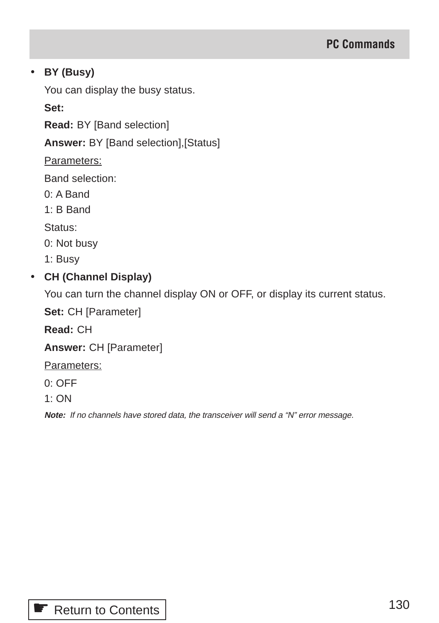### • **BY (Busy)**

You can display the busy status.

**Set:**

**Read:** BY [Band selection]

**Answer:** BY [Band selection],[Status]

Parameters:

Band selection:

0: A Band

1: B Band

Status:

0: Not busy

1: Busy

# • **CH (Channel Display)**

You can turn the channel display ON or OFF, or display its current status.

**Set:** CH [Parameter]

**Read:** CH

**Answer:** CH [Parameter]

Parameters:

0: OFF

1: ON

**Note:** If no channels have stored data, the transceiver will send a "N" error message.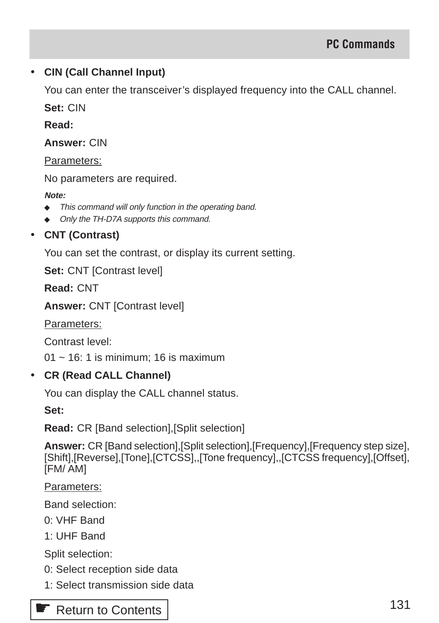### • **CIN (Call Channel Input)**

You can enter the transceiver's displayed frequency into the CALL channel.

**Set:** CIN

**Read:**

**Answer:** CIN

Parameters:

No parameters are required.

#### **Note:**

- ◆ This command will only function in the operating band.
- ◆ Only the TH-D7A supports this command.

# • **CNT (Contrast)**

You can set the contrast, or display its current setting.

**Set:** CNT [Contrast level]

**Read:** CNT

**Answer:** CNT [Contrast level]

Parameters:

Contrast level:

 $01 \sim 16$ : 1 is minimum; 16 is maximum

#### • **CR (Read CALL Channel)**

You can display the CALL channel status.

**Set:**

**Read:** CR [Band selection],[Split selection]

**Answer:** CR [Band selection],[Split selection],[Frequency],[Frequency step size], [Shift],[Reverse],[Tone],[CTCSS],,[Tone frequency],,[CTCSS frequency],[Offset], [FM/ AM]

Parameters:

Band selection:

- 0: VHF Band
- 1: UHF Band

Split selection:

- 0: Select reception side data
- 1: Select transmission side data

# **E** [Return to Contents](#page-3-0)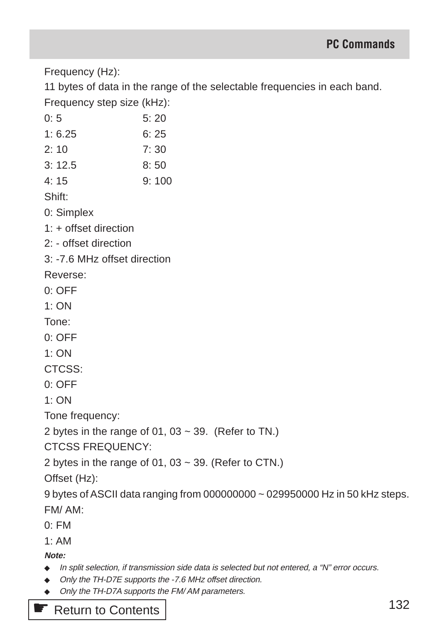Frequency (Hz):

11 bytes of data in the range of the selectable frequencies in each band. Frequency step size (kHz):

| 0:5                          | 5:20                                                                         |
|------------------------------|------------------------------------------------------------------------------|
| 1:6.25                       | 6:25                                                                         |
| 2:10                         | 7:30                                                                         |
| 3:12.5                       | 8:50                                                                         |
| 4:15                         | 9:100                                                                        |
| Shift:                       |                                                                              |
| 0: Simplex                   |                                                                              |
| 1: + offset direction        |                                                                              |
| 2: - offset direction        |                                                                              |
| 3: -7.6 MHz offset direction |                                                                              |
| Reverse:                     |                                                                              |
| $0:$ OFF                     |                                                                              |
| 1:ON                         |                                                                              |
| Tone:                        |                                                                              |
| $0:$ OFF                     |                                                                              |
| 1:ON                         |                                                                              |
| CTCSS:                       |                                                                              |
| $0:$ OFF                     |                                                                              |
| 1: ON                        |                                                                              |
| Tone frequency:              |                                                                              |
|                              | 2 bytes in the range of 01, 03 $\sim$ 39. (Refer to TN.)                     |
| <b>CTCSS FREQUENCY:</b>      |                                                                              |
|                              | 2 bytes in the range of 01, 03 $\sim$ 39. (Refer to CTN.)                    |
| Offset (Hz):                 |                                                                              |
|                              | 9 bytes of ASCII data ranging from 000000000 ~ 029950000 Hz in 50 kHz steps. |

FM/ AM:

0: FM

1: AM

**Note:**

- ◆ In split selection, if transmission side data is selected but not entered, a "N" error occurs.
- ◆ Only the TH-D7E supports the -7.6 MHz offset direction.
- ◆ Only the TH-D7A supports the FM/ AM parameters.

**■ [Return to Contents](#page-3-0)**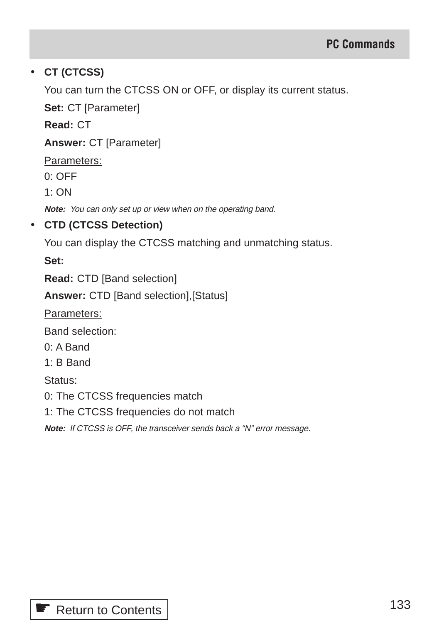# • **CT (CTCSS)**

You can turn the CTCSS ON or OFF, or display its current status.

**Set:** CT [Parameter]

**Read:** CT

**Answer:** CT [Parameter]

Parameters:

0: OFF

1: ON

**Note:** You can only set up or view when on the operating band.

# • **CTD (CTCSS Detection)**

You can display the CTCSS matching and unmatching status.

**Set:**

**Read:** CTD [Band selection]

**Answer:** CTD [Band selection],[Status]

Parameters:

Band selection:

0: A Band

1: B Band

Status:

0: The CTCSS frequencies match

1: The CTCSS frequencies do not match

**Note:** If CTCSS is OFF, the transceiver sends back a "N" error message.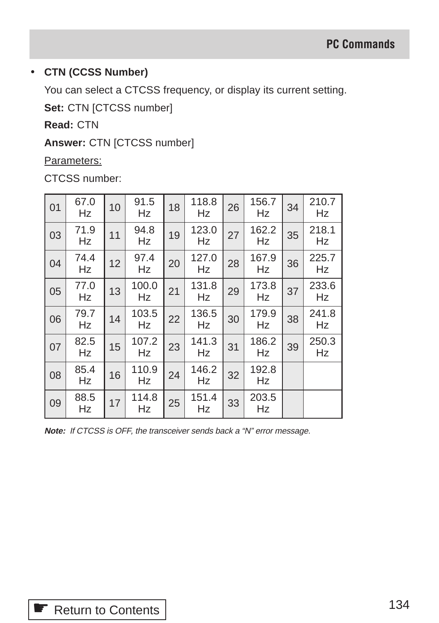### • **CTN (CCSS Number)**

You can select a CTCSS frequency, or display its current setting.

**Set:** CTN [CTCSS number]

**Read:** CTN

**Answer:** CTN [CTCSS number]

Parameters:

CTCSS number:

| 01 | 67.0<br>Hz | 10 | 91.5<br>Hz  | 18 | 118.8<br>Hz | 26 | 156.7<br>Hz | 34 | 210.7<br>Hz |
|----|------------|----|-------------|----|-------------|----|-------------|----|-------------|
| 03 | 71.9<br>Hz | 11 | 94.8<br>Hz  | 19 | 123.0<br>Hz | 27 | 162.2<br>Hz | 35 | 218.1<br>Hz |
| 04 | 74.4<br>Hz | 12 | 97.4<br>Hz  | 20 | 127.0<br>Hz | 28 | 167.9<br>Hz | 36 | 225.7<br>Hz |
| 05 | 77.0<br>Hz | 13 | 100.0<br>Hz | 21 | 131.8<br>Hz | 29 | 173.8<br>Hz | 37 | 233.6<br>Hz |
| 06 | 79.7<br>Hz | 14 | 103.5<br>Hz | 22 | 136.5<br>Hz | 30 | 179.9<br>Hz | 38 | 241.8<br>Hz |
| 07 | 82.5<br>Hz | 15 | 107.2<br>Hz | 23 | 141.3<br>Hz | 31 | 186.2<br>Hz | 39 | 250.3<br>Hz |
| 08 | 85.4<br>Hz | 16 | 110.9<br>Hz | 24 | 146.2<br>Hz | 32 | 192.8<br>Hz |    |             |
| 09 | 88.5<br>Hz | 17 | 114.8<br>Hz | 25 | 151.4<br>Hz | 33 | 203.5<br>Hz |    |             |

**Note:** If CTCSS is OFF, the transceiver sends back a "N" error message.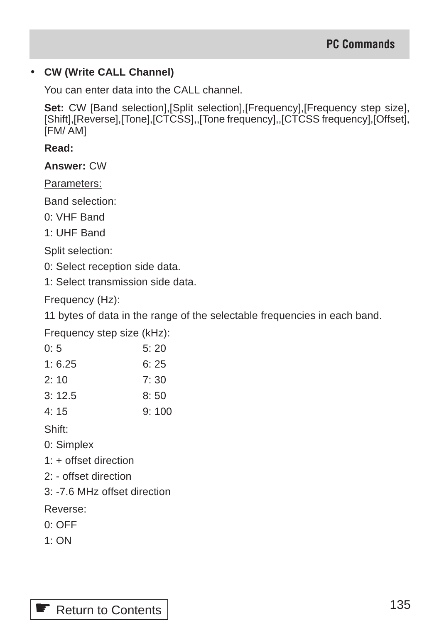### • **CW (Write CALL Channel)**

You can enter data into the CALL channel.

**Set:** CW [Band selection],[Split selection],[Frequency],[Frequency step size], [Shift],[Reverse],[Tone],[CTCSS],,[Tone frequency],,[CTCSS frequency],[Offset], [FM/ AM]

**Read:**

**Answer:** CW

Parameters:

Band selection:

0: VHF Band

1: UHF Band

Split selection:

0: Select reception side data.

1: Select transmission side data.

Frequency (Hz):

11 bytes of data in the range of the selectable frequencies in each band.

Frequency step size (kHz):

| 0: 5   | 5:20 |
|--------|------|
| 1:6.25 | 6:25 |

- 2: 10 7: 30
- 3: 12.5 8: 50
- 4: 15 9: 100

Shift:

- 0: Simplex
- 1: + offset direction
- 2: offset direction
- 3: -7.6 MHz offset direction

Reverse:

- 0: OFF
- 1: ON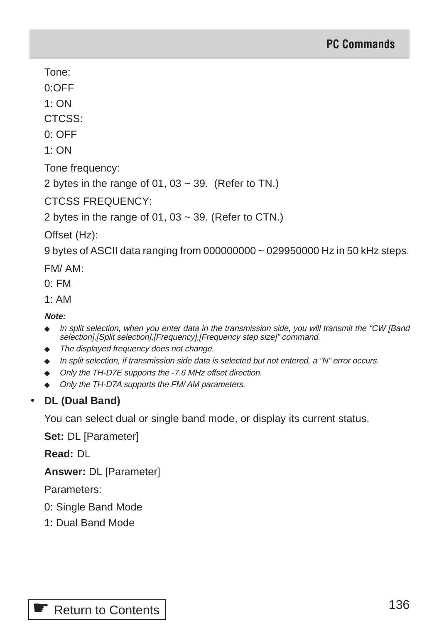Tone:

0:OFF

1: ON

CTCSS:

0: OFF

 $1:ON$ 

Tone frequency:

2 bytes in the range of 01, 03  $\sim$  39. (Refer to TN.)

CTCSS FREQUENCY:

2 bytes in the range of 01, 03  $\sim$  39. (Refer to CTN.)

Offset (Hz):

9 bytes of ASCII data ranging from 000000000 ~ 029950000 Hz in 50 kHz steps.

FM/ AM:

0: FM

 $1. A M$ 

**Note:**

- ◆ In split selection, when you enter data in the transmission side, you will transmit the "CW [Band selection],[Split selection],[Frequency],[Frequency step size]" command.
- The displayed frequency does not change.
- ◆ In split selection, if transmission side data is selected but not entered, a "N" error occurs.
- ◆ Only the TH-D7E supports the -7.6 MHz offset direction.
- ◆ Only the TH-D7A supports the FM/AM parameters.

# • **DL (Dual Band)**

You can select dual or single band mode, or display its current status.

**Set:** DL [Parameter]

**Read:** DL

**Answer:** DL [Parameter]

Parameters:

- 0: Single Band Mode
- 1: Dual Band Mode

**■ [Return to Contents](#page-3-0)**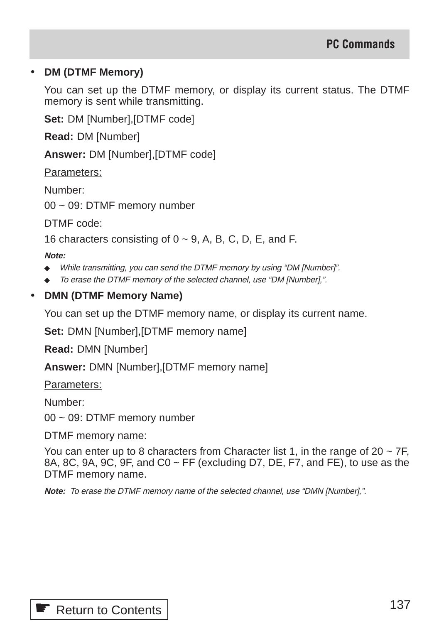#### • **DM (DTMF Memory)**

You can set up the DTMF memory, or display its current status. The DTMF memory is sent while transmitting.

**Set:** DM [Number],[DTMF code]

**Read:** DM [Number]

**Answer:** DM [Number],[DTMF code]

Parameters:

Number:

00 ~ 09: DTMF memory number

DTMF code:

16 characters consisting of  $0 \sim 9$ , A, B, C, D, E, and F.

#### **Note:**

- ◆ While transmitting, you can send the DTMF memory by using "DM [Number]".
- ◆ To erase the DTMF memory of the selected channel, use "DM [Number],".
- **DMN (DTMF Memory Name)**

You can set up the DTMF memory name, or display its current name.

**Set:** DMN [Number],[DTMF memory name]

**Read:** DMN [Number]

**Answer:** DMN [Number],[DTMF memory name]

Parameters:

Number:

00 ~ 09: DTMF memory number

DTMF memory name:

You can enter up to 8 characters from Character list 1, in the range of 20  $\sim$  7F. 8A, 8C, 9A, 9C, 9F, and C0 ~ FF (excluding D7, DE, F7, and FE), to use as the DTMF memory name.

**Note:** To erase the DTMF memory name of the selected channel, use "DMN [Number],".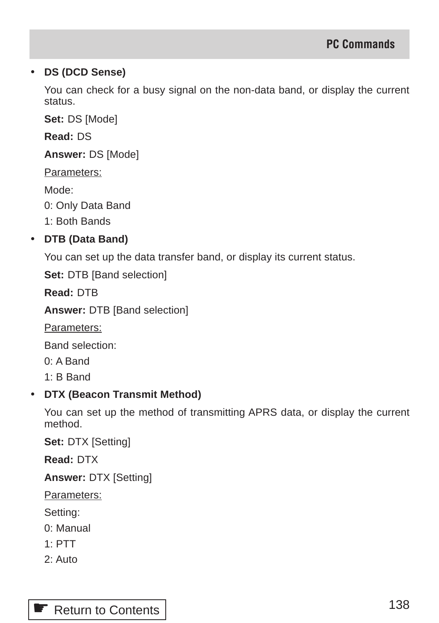### • **DS (DCD Sense)**

You can check for a busy signal on the non-data band, or display the current status.

**Set:** DS [Mode]

**Read:** DS

**Answer:** DS [Mode]

Parameters:

Mode:

0: Only Data Band

1: Both Bands

# • **DTB (Data Band)**

You can set up the data transfer band, or display its current status.

**Set:** DTB [Band selection]

**Read:** DTB

**Answer:** DTB [Band selection]

Parameters:

Band selection:

0: A Band

1: B Band

# • **DTX (Beacon Transmit Method)**

You can set up the method of transmitting APRS data, or display the current method.

**Set:** DTX [Setting]

**Read:** DTX

**Answer:** DTX [Setting]

Parameters:

Setting:

- 0: Manual
- 1: PTT
- 2: Auto

# **■ [Return to Contents](#page-3-0)**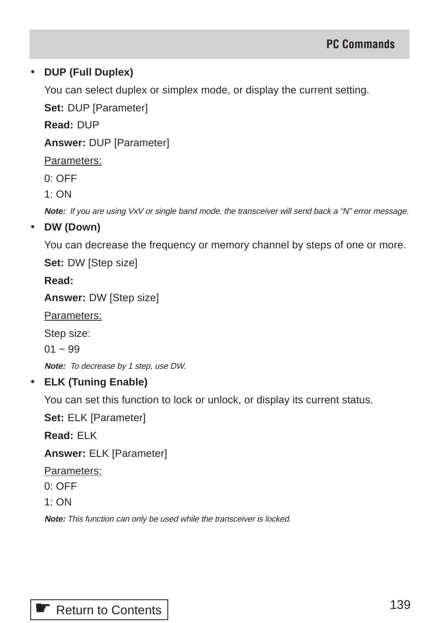### • **DUP (Full Duplex)**

You can select duplex or simplex mode, or display the current setting.

**Set:** DUP [Parameter]

**Read:** DUP

**Answer:** DUP [Parameter]

Parameters:

0: OFF

1: ON

**Note:** If you are using VxV or single band mode, the transceiver will send back a "N" error message.

#### • **DW (Down)**

You can decrease the frequency or memory channel by steps of one or more.

**Set:** DW [Step size]

**Read:**

**Answer:** DW [Step size]

Parameters:

Step size:

 $01 - 99$ 

**Note:** To decrease by 1 step, use DW.

#### • **ELK (Tuning Enable)**

You can set this function to lock or unlock, or display its current status.

**Set:** ELK [Parameter]

**Read:** ELK

**Answer:** ELK [Parameter]

Parameters:

 $0:$  OFF

 $1:ON$ 

**Note:** This function can only be used while the transceiver is locked.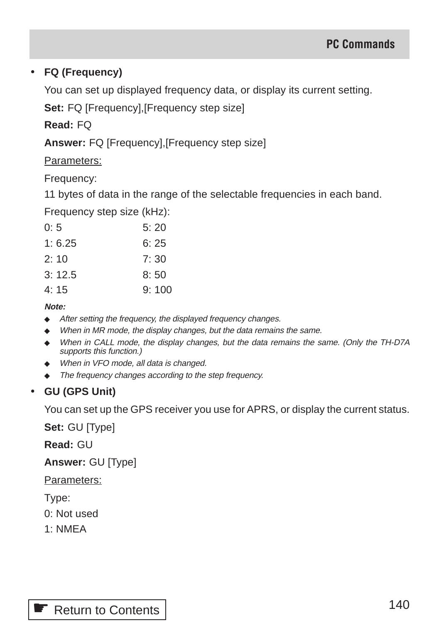# • **FQ (Frequency)**

You can set up displayed frequency data, or display its current setting.

**Set:** FQ [Frequency],[Frequency step size]

**Read:** FQ

**Answer:** FQ [Frequency],[Frequency step size]

Parameters:

Frequency:

11 bytes of data in the range of the selectable frequencies in each band.

Frequency step size (kHz):

| 0:5    | 5:20  |
|--------|-------|
| 1:6.25 | 6:25  |
| 2:10   | 7:30  |
| 3:12.5 | 8:50  |
| 4:15   | 9:100 |

#### **Note:**

- ◆ After setting the frequency, the displayed frequency changes.
- ◆ When in MR mode, the display changes, but the data remains the same.
- ◆ When in CALL mode, the display changes, but the data remains the same. (Only the TH-D7A supports this function.)
- ◆ When in VFO mode, all data is changed.
- ◆ The frequency changes according to the step frequency.

# • **GU (GPS Unit)**

You can set up the GPS receiver you use for APRS, or display the current status.

**Set:** GU [Type]

**Read:** GU

**Answer:** GU [Type]

Parameters:

Type:

0: Not used

1: NMEA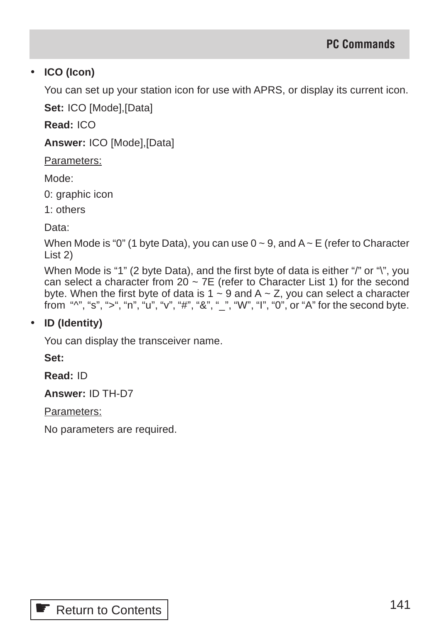### • **ICO (Icon)**

You can set up your station icon for use with APRS, or display its current icon.

**Set:** ICO [Mode],[Data]

**Read:** ICO

**Answer:** ICO [Mode],[Data]

Parameters:

Mode:

0: graphic icon

1: others

Data:

When Mode is "0" (1 byte Data), you can use  $0 \sim 9$ , and  $A \sim E$  (refer to Character List 2)

When Mode is "1" (2 byte Data), and the first byte of data is either "/" or "\", you can select a character from  $20 \sim 7E$  (refer to Character List 1) for the second byte. When the first byte of data is 1 ~ 9 and A ~ Z, you can select a character from "^", "s", ">", "n", "u", "v", "#", "&", "\_", "W", "I", "0", or "A" for the second byte.

#### • **ID (Identity)**

You can display the transceiver name.

**Set:**

**Read:** ID

**Answer:** ID TH-D7

Parameters:

No parameters are required.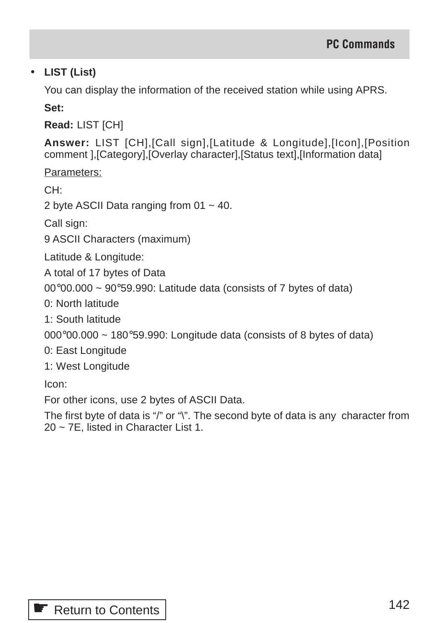# • **LIST (List)**

You can display the information of the received station while using APRS.

**Set:**

**Read:** LIST [CH]

**Answer:** LIST [CH],[Call sign],[Latitude & Longitude],[Icon],[Position comment ],[Category],[Overlay character],[Status text],[Information data]

Parameters:

CH:

2 byte ASCII Data ranging from  $01 \sim 40$ .

Call sign:

9 ASCII Characters (maximum)

Latitude & Longitude:

A total of 17 bytes of Data

00°00.000 ~ 90°59.990: Latitude data (consists of 7 bytes of data)

0: North latitude

1: South latitude

 $000^{\circ}00.000 \sim 180^{\circ}59.990$ : Longitude data (consists of 8 bytes of data)

0: East Longitude

1: West Longitude

Icon:

For other icons, use 2 bytes of ASCII Data.

The first byte of data is "/" or "\". The second byte of data is any character from 20 ~ 7E, listed in Character List 1.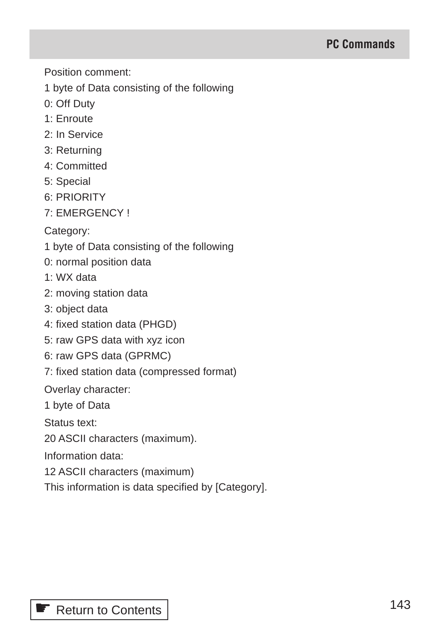Position comment:

1 byte of Data consisting of the following

- 0: Off Duty
- 1: Enroute
- 2: In Service
- 3: Returning
- 4: Committed
- 5: Special
- 6: PRIORITY
- 7: EMERGENCY !

Category:

- 1 byte of Data consisting of the following
- 0: normal position data
- 1: WX data
- 2: moving station data
- 3: object data
- 4: fixed station data (PHGD)
- 5: raw GPS data with xyz icon
- 6: raw GPS data (GPRMC)
- 7: fixed station data (compressed format)

Overlay character:

1 byte of Data

Status text:

20 ASCII characters (maximum).

Information data:

12 ASCII characters (maximum)

This information is data specified by [Category].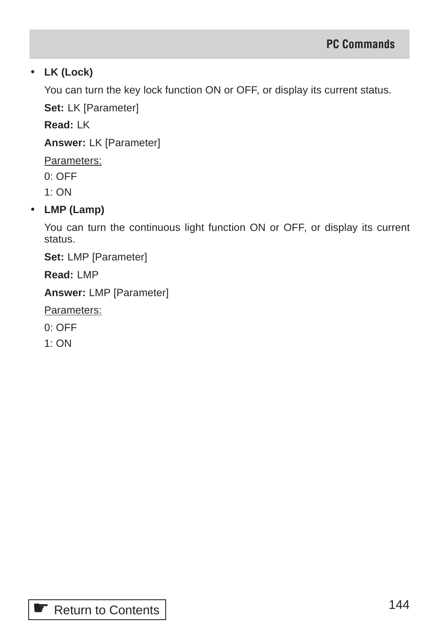# • **LK (Lock)**

You can turn the key lock function ON or OFF, or display its current status.

**Set:** LK [Parameter]

**Read:** LK

**Answer:** LK [Parameter]

Parameters:

0: OFF

1: ON

# • **LMP (Lamp)**

You can turn the continuous light function ON or OFF, or display its current status.

**Set:** LMP [Parameter]

**Read:** LMP

**Answer:** LMP [Parameter]

Parameters:

0: OFF

1: ON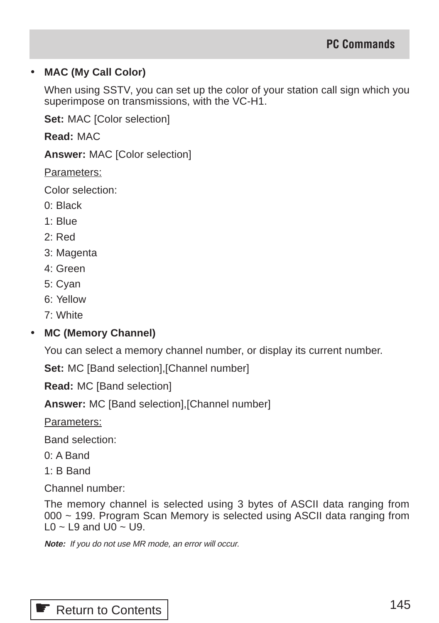#### • **MAC (My Call Color)**

When using SSTV, you can set up the color of your station call sign which you superimpose on transmissions, with the VC-H1.

**Set:** MAC [Color selection]

**Read:** MAC

**Answer:** MAC [Color selection]

Parameters:

Color selection:

- 0: Black
- 1: Blue
- 2: Red
- 3: Magenta
- 4: Green
- 5: Cyan
- 6: Yellow
- 7: White

#### • **MC (Memory Channel)**

You can select a memory channel number, or display its current number.

**Set:** MC [Band selection],[Channel number]

**Read:** MC [Band selection]

**Answer:** MC [Band selection],[Channel number]

Parameters:

Band selection:

0: A Band

1: B Band

Channel number:

The memory channel is selected using 3 bytes of ASCII data ranging from 000 ~ 199. Program Scan Memory is selected using ASCII data ranging from  $10 - 19$  and  $110 - 119$ .

**Note:** If you do not use MR mode, an error will occur.

| Return to Contents |
|--------------------|
|                    |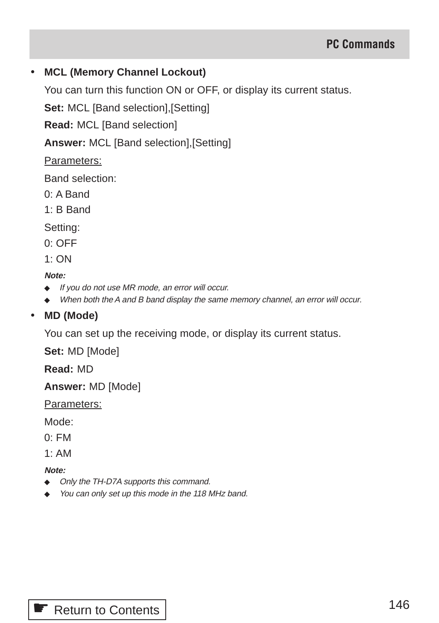#### • **MCL (Memory Channel Lockout)**

You can turn this function ON or OFF, or display its current status.

**Set:** MCL [Band selection],[Setting]

**Read:** MCL [Band selection]

**Answer:** MCL [Band selection],[Setting]

#### Parameters:

Band selection:

- 0: A Band
- 1: B Band

Setting:

0: OFF

1: ON

#### **Note:**

- ◆ If you do not use MR mode, an error will occur.
- ◆ When both the A and B band display the same memory channel, an error will occur.

#### • **MD (Mode)**

You can set up the receiving mode, or display its current status.

**Set:** MD [Mode]

**Read:** MD

**Answer:** MD [Mode]

Parameters:

Mode:

 $0.$  FM

 $1: AM$ 

- ◆ Only the TH-D7A supports this command.
- ◆ You can only set up this mode in the 118 MHz band.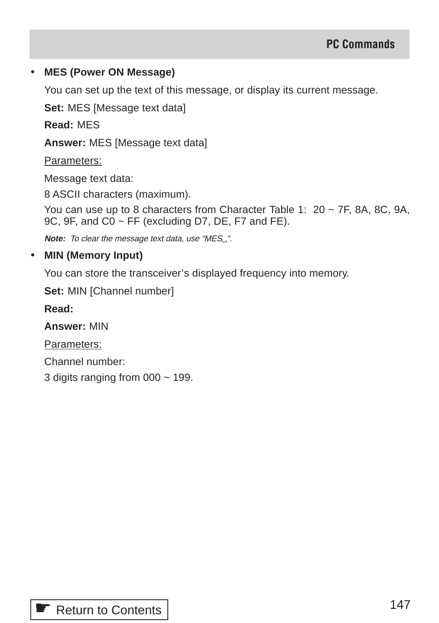#### • **MES (Power ON Message)**

You can set up the text of this message, or display its current message.

**Set:** MES [Message text data]

**Read:** MES

**Answer:** MES [Message text data]

Parameters:

Message text data:

8 ASCII characters (maximum).

You can use up to 8 characters from Character Table 1:  $20 \sim 7F$ , 8A, 8C, 9A, 9C, 9F, and  $\overline{CO} \sim \overline{FF}$  (excluding D7, DE, F7 and FE).

**Note:** To clear the message text data, use "MES\_".

#### • **MIN (Memory Input)**

You can store the transceiver's displayed frequency into memory.

**Set:** MIN [Channel number]

**Read:**

**Answer:** MIN

Parameters:

Channel number:

3 digits ranging from  $000 \sim 199$ .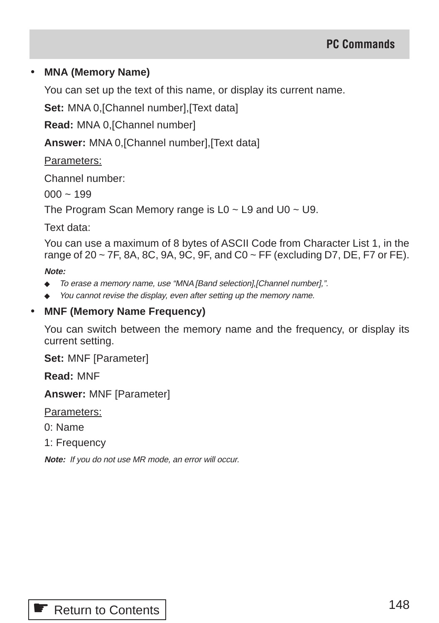#### • **MNA (Memory Name)**

You can set up the text of this name, or display its current name.

**Set:** MNA 0,[Channel number],[Text data]

**Read:** MNA 0,[Channel number]

**Answer:** MNA 0,[Channel number],[Text data]

Parameters:

Channel number:

 $000 - 199$ 

The Program Scan Memory range is  $L0 \sim L9$  and  $U0 \sim U9$ .

Text data:

You can use a maximum of 8 bytes of ASCII Code from Character List 1, in the range of 20  $\sim$  7F, 8A, 8C, 9A, 9C, 9F, and C0  $\sim$  FF (excluding D7, DE, F7 or FE).

**Note:**

- ◆ To erase a memory name, use "MNA [Band selection],[Channel number],".
- ◆ You cannot revise the display, even after setting up the memory name.

#### • **MNF (Memory Name Frequency)**

You can switch between the memory name and the frequency, or display its current setting.

**Set:** MNF [Parameter]

**Read:** MNF

**Answer:** MNF [Parameter]

Parameters:

- 0: Name
- 1: Frequency

**Note:** If you do not use MR mode, an error will occur.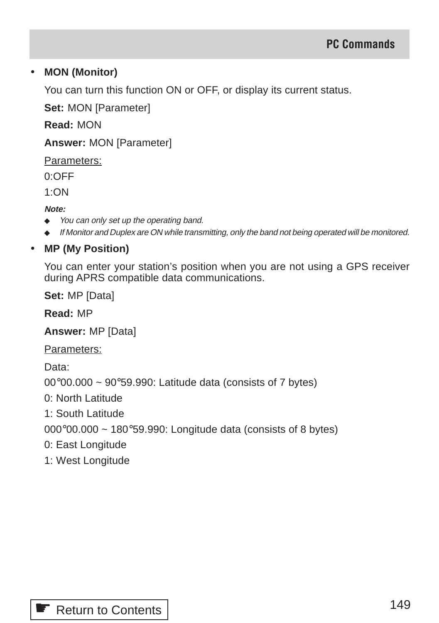#### • **MON (Monitor)**

You can turn this function ON or OFF, or display its current status.

**Set:** MON [Parameter]

**Read:** MON

**Answer:** MON [Parameter]

Parameters:

0:OFF

1:ON

**Note:**

- ◆ You can only set up the operating band.
- ◆ If Monitor and Duplex are ON while transmitting, only the band not being operated will be monitored.

## • **MP (My Position)**

You can enter your station's position when you are not using a GPS receiver during APRS compatible data communications.

**Set:** MP [Data]

**Read:** MP

**Answer:** MP [Data]

Parameters:

Data:

 $00^{\circ}00.000 \sim 90^{\circ}59.990$ : Latitude data (consists of 7 bytes)

0: North Latitude

1: South Latitude

000°00.000 ~ 180°59.990: Longitude data (consists of 8 bytes)

- 0: East Longitude
- 1: West Longitude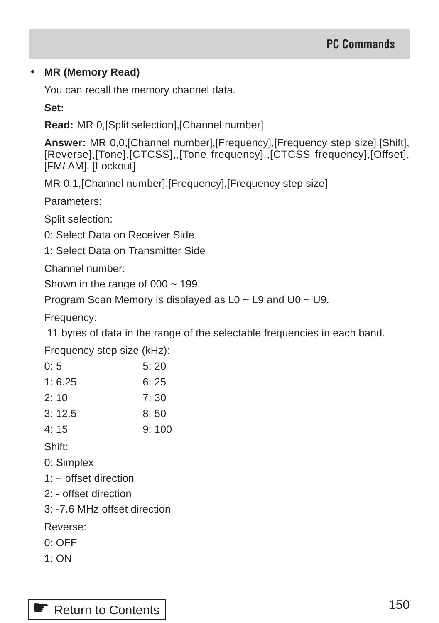#### • **MR (Memory Read)**

You can recall the memory channel data.

**Set:**

**Read:** MR 0,[Split selection],[Channel number]

**Answer:** MR 0,0,[Channel number],[Frequency],[Frequency step size],[Shift], [Reverse],[Tone],[CTCSS],,[Tone frequency],,[CTCSS frequency],[Offset], [FM/ AM], [Lockout]

MR 0,1,[Channel number],[Frequency],[Frequency step size]

Parameters:

Split selection:

- 0: Select Data on Receiver Side
- 1: Select Data on Transmitter Side

Channel number:

Shown in the range of  $000 \sim 199$ .

Program Scan Memory is displayed as L0 ~ L9 and U0 ~ U9.

Frequency:

11 bytes of data in the range of the selectable frequencies in each band.

Frequency step size (kHz):

| 0:5    | 5:20  |
|--------|-------|
| 1:6.25 | 6:25  |
| 2:10   | 7: 30 |
| 3:12.5 | 8:50  |
| 4:15   | 9:100 |
| Shift: |       |

- 0: Simplex
- $1 \div +$  offset direction
- 2: offset direction
- 3: -7.6 MHz offset direction

Reverse:

- 0: OFF
- $1:ON$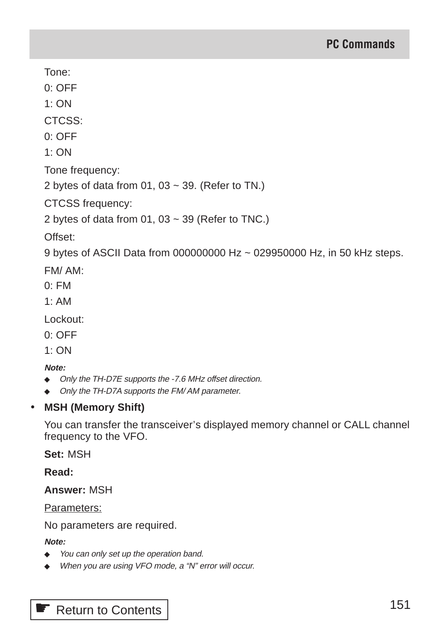Tone:

0: OFF

1: ON

CTCSS:

0: OFF

1: ON

Tone frequency:

2 bytes of data from 01, 03  $\sim$  39. (Refer to TN.)

CTCSS frequency:

2 bytes of data from 01, 03  $\sim$  39 (Refer to TNC.)

Offset:

9 bytes of ASCII Data from 000000000 Hz ~ 029950000 Hz, in 50 kHz steps.

FM/ AM:

- 0: FM
- $1. A M$

Lockout:

0: OFF

1: ON

#### **Note:**

- ◆ Only the TH-D7E supports the -7.6 MHz offset direction.
- ◆ Only the TH-D7A supports the FM/AM parameter.

#### • **MSH (Memory Shift)**

You can transfer the transceiver's displayed memory channel or CALL channel frequency to the VFO.

**Set:** MSH

**Read:**

**Answer:** MSH

Parameters:

No parameters are required.

#### **Note:**

- ◆ You can only set up the operation band.
- ◆ When you are using VFO mode, a "N" error will occur.

**■ [Return to Contents](#page-3-0)**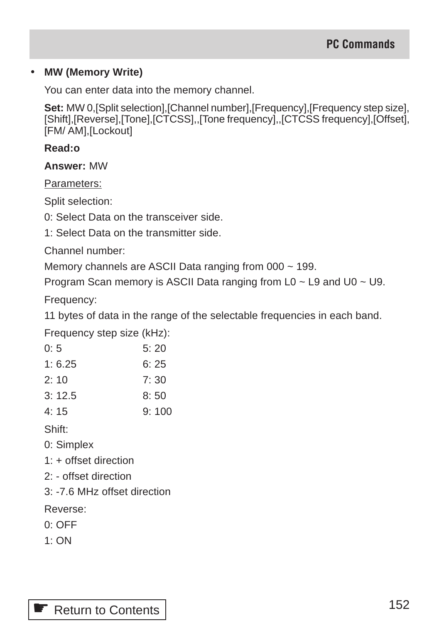#### • **MW (Memory Write)**

You can enter data into the memory channel.

**Set:** MW 0,[Split selection],[Channel number],[Frequency],[Frequency step size], [Shift],[Reverse],[Tone],[CTCSS],,[Tone frequency],,[CTCSS frequency],[Offset], [FM/ AM], [Lockout]

#### **Read:o**

**Answer:** MW

Parameters:

Split selection:

0: Select Data on the transceiver side.

1: Select Data on the transmitter side.

Channel number:

Memory channels are ASCII Data ranging from 000 ~ 199.

Program Scan memory is ASCII Data ranging from  $L0 \sim L9$  and  $U0 \sim U9$ .

Frequency:

11 bytes of data in the range of the selectable frequencies in each band.

Frequency step size (kHz):

| 0: 5    | 5:20 |
|---------|------|
| 1: 6.25 | 6:25 |
| 2: 10   | 7:30 |
| 3: 12.5 | 8:50 |

4: 15 9: 100

Shift:

- 0: Simplex
- 1: + offset direction
- 2: offset direction
- 3: -7.6 MHz offset direction

Reverse:

- 0: OFF
- 1: ON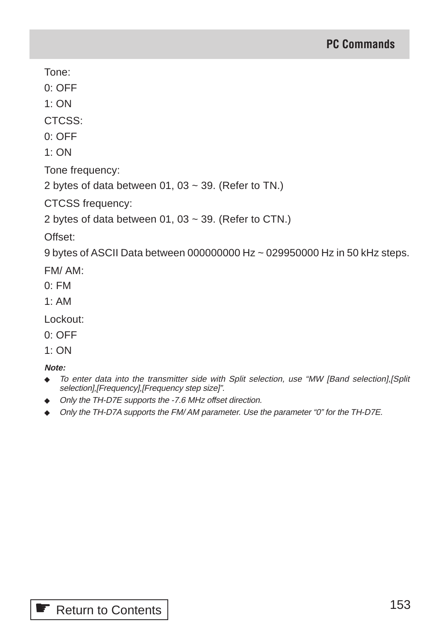Tone:

0: OFF

1: ON

CTCSS:

0: OFF

1: ON

Tone frequency:

2 bytes of data between 01, 03  $\sim$  39. (Refer to TN.)

CTCSS frequency:

2 bytes of data between  $01, 03 \sim 39$ . (Refer to CTN.)

Offset:

9 bytes of ASCII Data between 000000000 Hz ~ 029950000 Hz in 50 kHz steps.

FM/ AM:

- 0: FM
- 1: AM

Lockout:

0: OFF

1: ON

- ◆ To enter data into the transmitter side with Split selection, use "MW [Band selection],[Split selection],[Frequency],[Frequency step size]".
- ◆ Only the TH-D7E supports the -7.6 MHz offset direction.
- ◆ Only the TH-D7A supports the FM/ AM parameter. Use the parameter "0" for the TH-D7E.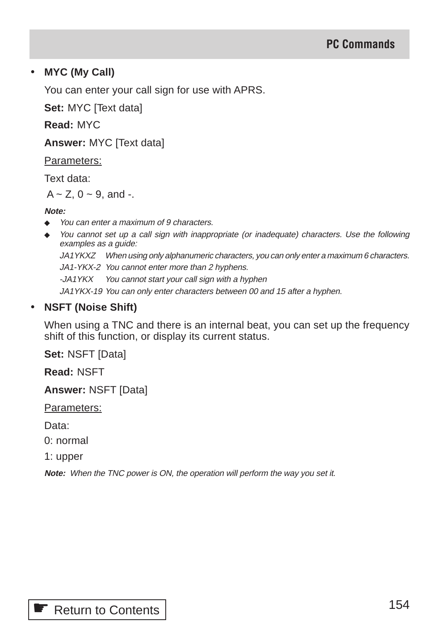#### • **MYC (My Call)**

You can enter your call sign for use with APRS.

**Set:** MYC [Text data]

**Read:** MYC

**Answer:** MYC [Text data]

Parameters:

Text data:

 $A \sim Z$ ,  $0 \sim 9$ , and -.

#### **Note:**

- ◆ You can enter a maximum of 9 characters.
- You cannot set up a call sign with inappropriate (or inadequate) characters. Use the following examples as a guide:

JA1YKXZ When using only alphanumeric characters, you can only enter a maximum 6 characters. JA1-YKX-2 You cannot enter more than 2 hyphens.

-JA1YKX You cannot start your call sign with a hyphen

JA1YKX-19 You can only enter characters between 00 and 15 after a hyphen.

#### • **NSFT (Noise Shift)**

When using a TNC and there is an internal beat, you can set up the frequency shift of this function, or display its current status.

**Set:** NSFT [Data]

**Read:** NSFT

**Answer:** NSFT [Data]

Parameters:

Data:

0: normal

1: upper

**Note:** When the TNC power is ON, the operation will perform the way you set it.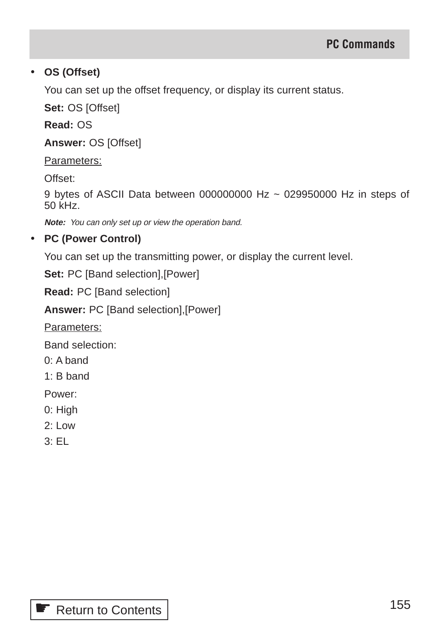## • **OS (Offset)**

You can set up the offset frequency, or display its current status.

**Set:** OS [Offset]

**Read:** OS

**Answer:** OS [Offset]

Parameters:

Offset:

9 bytes of ASCII Data between 000000000 Hz ~ 029950000 Hz in steps of 50 kHz.

**Note:** You can only set up or view the operation band.

## • **PC (Power Control)**

You can set up the transmitting power, or display the current level.

Set: PC [Band selection], [Power]

**Read:** PC [Band selection]

**Answer:** PC [Band selection],[Power]

Parameters:

Band selection:

- 0: A band
- 1: B band

Power:

- 0: High
- 2: Low
- 3: EL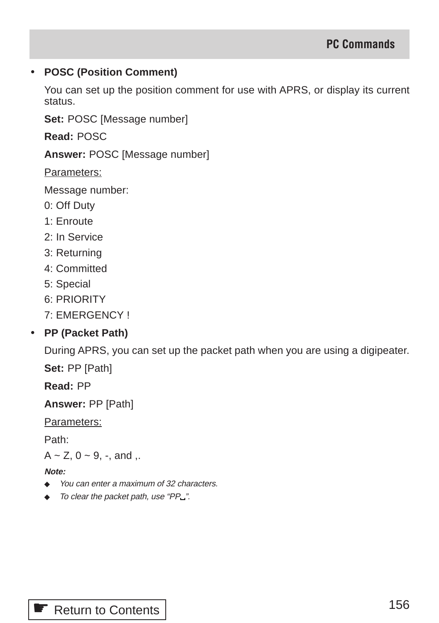#### • **POSC (Position Comment)**

You can set up the position comment for use with APRS, or display its current status.

**Set:** POSC [Message number]

**Read:** POSC

**Answer:** POSC [Message number]

Parameters:

Message number:

- 0: Off Duty
- 1: Enroute
- 2: In Service
- 3: Returning
- 4: Committed
- 5: Special
- 6: PRIORITY
- 7: EMERGENCY !

# • **PP (Packet Path)**

During APRS, you can set up the packet path when you are using a digipeater.

**Set:** PP [Path]

**Read:** PP

**Answer:** PP [Path]

Parameters:

Path:

 $A \sim Z$ ,  $0 \sim 9$ , -, and ,.

- ◆ You can enter a maximum of 32 characters.
- ◆ To clear the packet path, use "PP\_".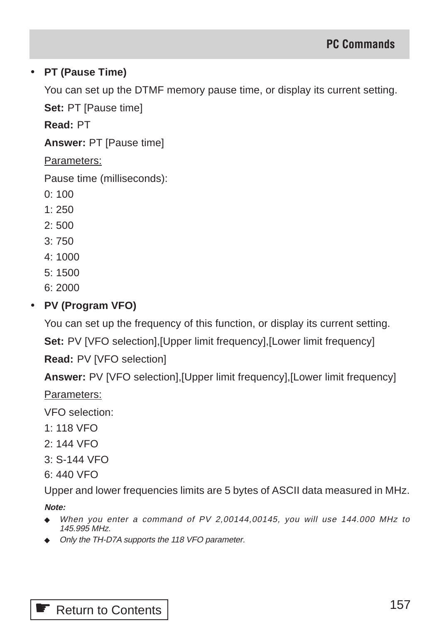## • **PT (Pause Time)**

You can set up the DTMF memory pause time, or display its current setting.

**Set:** PT [Pause time]

**Read:** PT

**Answer:** PT [Pause time]

Parameters:

Pause time (milliseconds):

- 0: 100
- $1:250$
- 2: 500
- 3: 750
- 4: 1000
- 5: 1500
- 6: 2000

## • **PV (Program VFO)**

You can set up the frequency of this function, or display its current setting.

**Set:** PV [VFO selection],[Upper limit frequency],[Lower limit frequency]

**Read:** PV [VFO selection]

**Answer:** PV [VFO selection],[Upper limit frequency],[Lower limit frequency]

Parameters:

VFO selection:

- 1: 118 VFO
- 2: 144 VFO
- 3: S-144 VFO
- 6: 440 VFO

Upper and lower frequencies limits are 5 bytes of ASCII data measured in MHz.

- ◆ When you enter a command of PV 2,00144,00145, you will use 144.000 MHz to 145.995 MHz.
- ◆ Only the TH-D7A supports the 118 VFO parameter.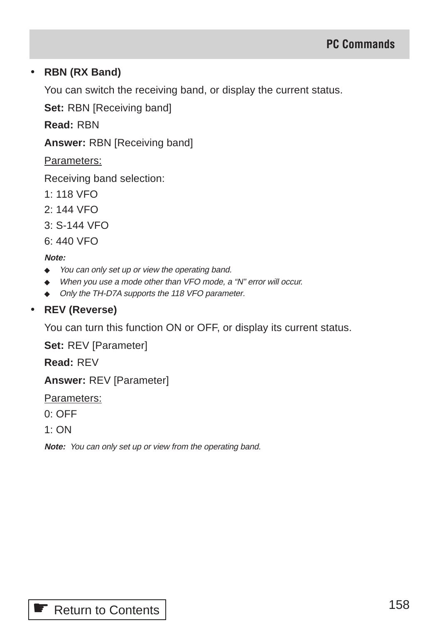#### • **RBN (RX Band)**

You can switch the receiving band, or display the current status.

**Set:** RBN [Receiving band]

**Read:** RBN

**Answer:** RBN [Receiving band]

Parameters:

Receiving band selection:

- 1: 118 VFO
- 2: 144 VFO
- 3: S-144 VFO
- 6: 440 VFO

#### **Note:**

- ◆ You can only set up or view the operating band.
- ◆ When you use a mode other than VFO mode, a "N" error will occur.
- ◆ Only the TH-D7A supports the 118 VFO parameter.

## • **REV (Reverse)**

You can turn this function ON or OFF, or display its current status.

**Set:** REV [Parameter]

**Read:** REV

**Answer:** REV [Parameter]

Parameters:

- 0: OFF
- $1:ON$

**Note:** You can only set up or view from the operating band.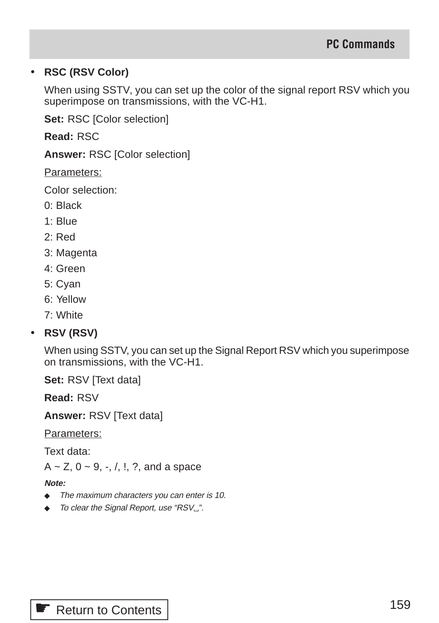## • **RSC (RSV Color)**

When using SSTV, you can set up the color of the signal report RSV which you superimpose on transmissions, with the VC-H1.

**Set:** RSC [Color selection]

**Read:** RSC

**Answer:** RSC [Color selection]

Parameters:

Color selection:

- 0: Black
- 1: Blue
- 2: Red
- 3: Magenta
- 4: Green
- 5: Cyan
- 6: Yellow
- 7: White

# • **RSV (RSV)**

When using SSTV, you can set up the Signal Report RSV which you superimpose on transmissions, with the VC-H1.

**Set:** RSV [Text data]

**Read:** RSV

**Answer:** RSV [Text data]

Parameters:

Text data:

 $A \sim Z$ ,  $0 \sim 9$ ,  $-$ ,  $/$ ,  $\ldots$ ,  $\ldots$ , and a space

- ◆ The maximum characters you can enter is 10.
- ◆ To clear the Signal Report, use "RSV...".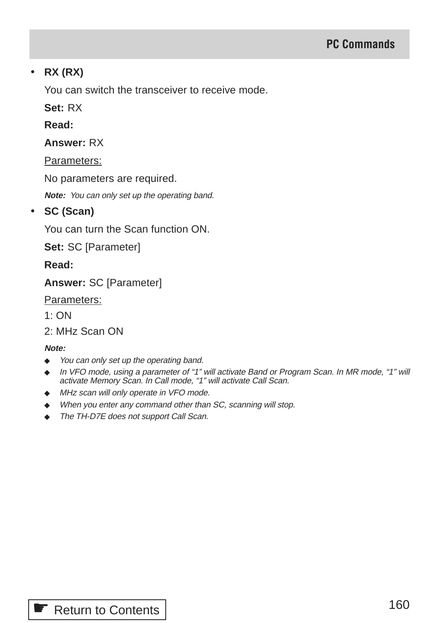#### • **RX (RX)**

You can switch the transceiver to receive mode.

**Set:** RX

**Read:**

**Answer:** RX

Parameters:

No parameters are required.

**Note:** You can only set up the operating band.

#### • **SC (Scan)**

You can turn the Scan function ON.

**Set:** SC [Parameter]

**Read:**

**Answer:** SC [Parameter]

Parameters:

1: ON

2: MHz Scan ON

- ◆ You can only set up the operating band.
- ◆ In VFO mode, using a parameter of "1" will activate Band or Program Scan. In MR mode, "1" will activate Memory Scan. In Call mode, "1" will activate Call Scan.
- ◆ MHz scan will only operate in VFO mode.
- ◆ When you enter any command other than SC, scanning will stop.
- ◆ The TH-D7E does not support Call Scan.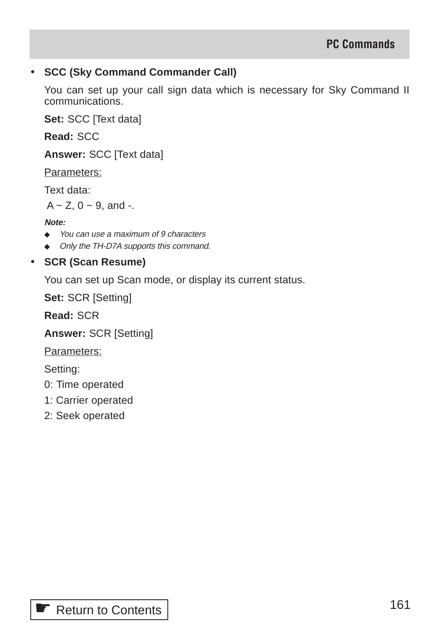#### • **SCC (Sky Command Commander Call)**

You can set up your call sign data which is necessary for Sky Command II communications.

**Set:** SCC [Text data]

**Read:** SCC

**Answer:** SCC [Text data]

Parameters:

Text data:

 $A \sim Z$ ,  $0 \sim 9$ , and -.

#### **Note:**

- ◆ You can use a maximum of 9 characters
- ◆ Only the TH-D7A supports this command.
- **SCR (Scan Resume)**

You can set up Scan mode, or display its current status.

**Set:** SCR [Setting]

**Read:** SCR

**Answer:** SCR [Setting]

Parameters:

Setting:

- 0: Time operated
- 1: Carrier operated
- 2: Seek operated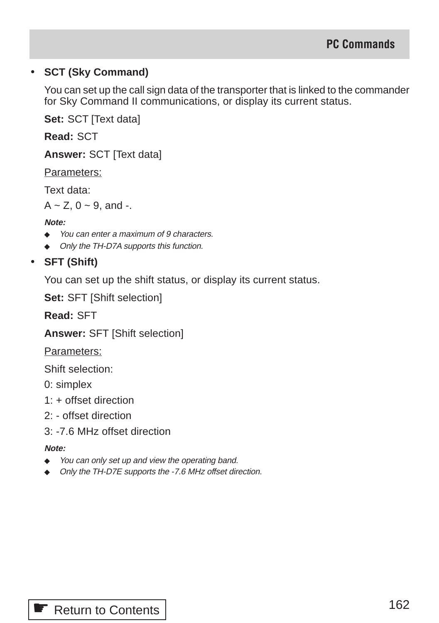## • **SCT (Sky Command)**

You can set up the call sign data of the transporter that is linked to the commander for Sky Command II communications, or display its current status.

**Set:** SCT [Text data]

**Read:** SCT

**Answer:** SCT [Text data]

Parameters:

Text data:

 $A \sim Z$ , 0  $\sim$  9, and -.

#### **Note:**

- ◆ You can enter a maximum of 9 characters.
- ◆ Only the TH-D7A supports this function.

# • **SFT (Shift)**

You can set up the shift status, or display its current status.

**Set:** SFT [Shift selection]

**Read:** SFT

**Answer:** SFT [Shift selection]

Parameters:

Shift selection:

0: simplex

- 1: + offset direction
- 2: offset direction
- 3: -7.6 MHz offset direction

- ◆ You can only set up and view the operating band.
- ◆ Only the TH-D7E supports the -7.6 MHz offset direction.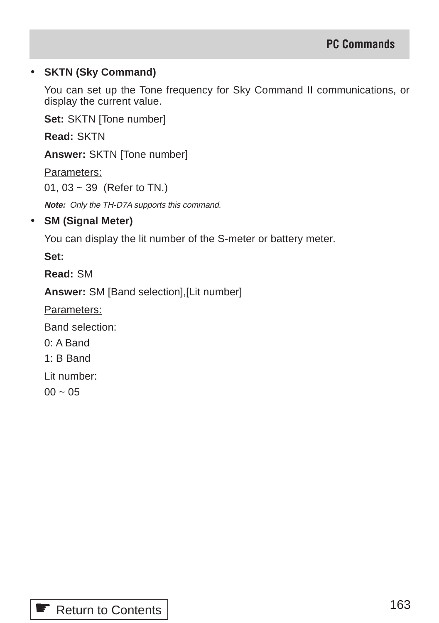#### • **SKTN (Sky Command)**

You can set up the Tone frequency for Sky Command II communications, or display the current value.

**Set:** SKTN [Tone number]

**Read:** SKTN

**Answer:** SKTN [Tone number]

Parameters:

01, 03 ~ 39 (Refer to TN.)

**Note:** Only the TH-D7A supports this command.

# • **SM (Signal Meter)**

You can display the lit number of the S-meter or battery meter.

**Set:**

**Read:** SM

**Answer:** SM [Band selection],[Lit number]

Parameters:

Band selection:

0: A Band

1: B Band

Lit number:

 $00 \sim 05$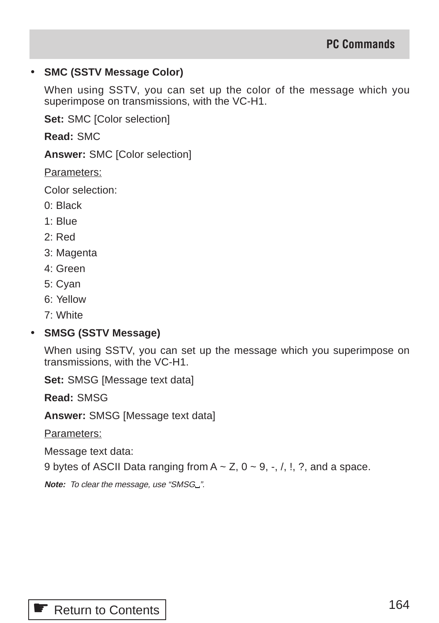#### • **SMC (SSTV Message Color)**

When using SSTV, you can set up the color of the message which you superimpose on transmissions, with the VC-H1.

**Set:** SMC [Color selection]

**Read:** SMC

**Answer:** SMC [Color selection]

Parameters:

Color selection:

- 0: Black
- 1: Blue
- 2: Red
- 3: Magenta
- 4: Green
- 5: Cyan
- 6: Yellow
- 7: White

#### • **SMSG (SSTV Message)**

When using SSTV, you can set up the message which you superimpose on transmissions, with the VC-H1.

**Set:** SMSG [Message text data]

**Read:** SMSG

**Answer:** SMSG [Message text data]

Parameters:

Message text data:

9 bytes of ASCII Data ranging from  $A \sim Z$ ,  $0 \sim 9$ ,  $\sim$ ,  $\land$ ,  $\land$ ,  $\land$ , and a space.

Note: To clear the message, use "SMSG\_".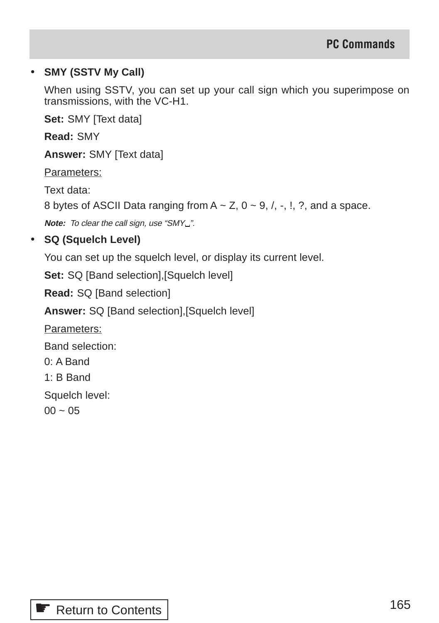#### • **SMY (SSTV My Call)**

When using SSTV, you can set up your call sign which you superimpose on transmissions, with the VC-H1.

**Set:** SMY [Text data]

**Read:** SMY

**Answer:** SMY [Text data]

Parameters:

Text data:

8 bytes of ASCII Data ranging from  $A \sim Z$ ,  $0 \sim 9$ ,  $/$ ,  $\sim$ ,  $\ldots$ ,  $\ldots$  and a space.

**Note:** To clear the call sign, use "SMY\_".

## • **SQ (Squelch Level)**

You can set up the squelch level, or display its current level.

**Set:** SQ [Band selection], [Squelch level]

**Read:** SQ [Band selection]

**Answer:** SQ [Band selection],[Squelch level]

Parameters:

Band selection:

0: A Band

1: B Band

Squelch level:

 $00 \sim 05$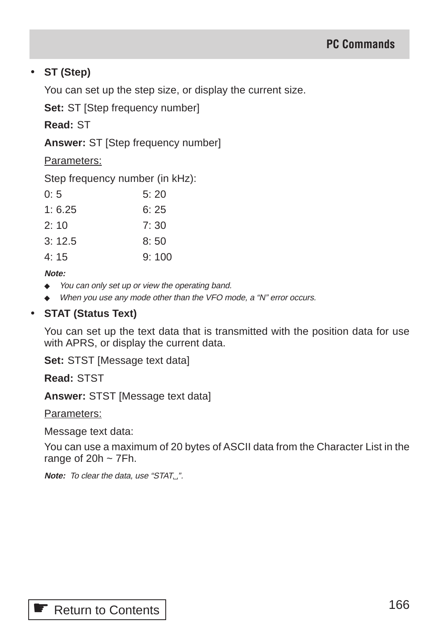#### • **ST (Step)**

You can set up the step size, or display the current size.

**Set:** ST [Step frequency number]

**Read:** ST

**Answer:** ST [Step frequency number]

Parameters:

Step frequency number (in kHz):

| 0:5    | 5:20  |
|--------|-------|
| 1:6.25 | 6:25  |
| 2: 10  | 7:30  |
| 3:12.5 | 8:50  |
| 4:15   | 9:100 |
|        |       |

**Note:**

- ◆ You can only set up or view the operating band.
- ◆ When you use any mode other than the VFO mode, a "N" error occurs.

#### • **STAT (Status Text)**

You can set up the text data that is transmitted with the position data for use with APRS, or display the current data.

**Set:** STST [Message text data]

**Read:** STST

**Answer:** STST [Message text data]

Parameters:

Message text data:

You can use a maximum of 20 bytes of ASCII data from the Character List in the range of  $20h \sim 7Fh$ .

**Note:** To clear the data, use "STAT\_".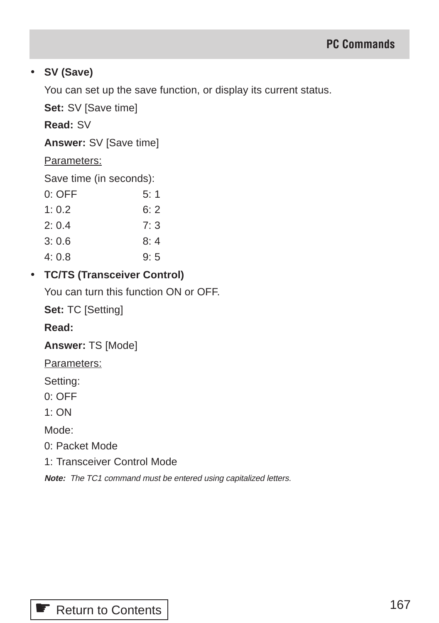#### • **SV (Save)**

You can set up the save function, or display its current status.

**Set:** SV [Save time]

**Read:** SV

**Answer:** SV [Save time]

#### Parameters:

Save time (in seconds):

| $0:$ OFF | 5:1 |
|----------|-----|
| 1:0.2    | 6:2 |
| 2:0.4    | 7:3 |
| 3: 0.6   | 8:4 |
| 4: 0.8   | 9:5 |

# • **TC/TS (Transceiver Control)**

You can turn this function ON or OFF.

**Set:** TC [Setting]

#### **Read:**

**Answer:** TS [Mode]

Parameters:

Setting:

0: OFF

 $1:ON$ 

Mode:

- 0: Packet Mode
- 1: Transceiver Control Mode

**Note:** The TC1 command must be entered using capitalized letters.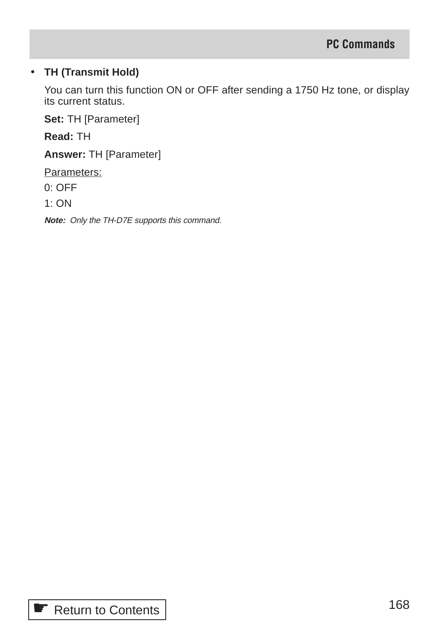#### • **TH (Transmit Hold)**

You can turn this function ON or OFF after sending a 1750 Hz tone, or display its current status.

**Set:** TH [Parameter]

**Read:** TH

**Answer:** TH [Parameter]

Parameters:

0: OFF

1: ON

**Note:** Only the TH-D7E supports this command.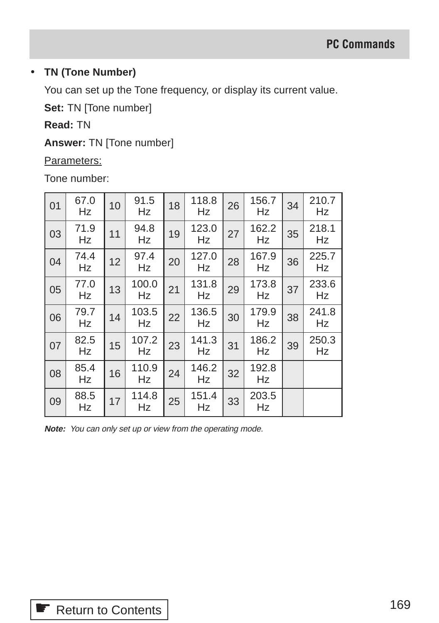#### • **TN (Tone Number)**

You can set up the Tone frequency, or display its current value.

**Set:** TN [Tone number]

# **Read:** TN

**Answer:** TN [Tone number]

Parameters:

Tone number:

| 01 | 67.0<br>Hz | 10 | 91.5<br>Hz  | 18 | 118.8<br>Hz | 26 | 156.7<br>Hz | 34 | 210.7<br>Hz |
|----|------------|----|-------------|----|-------------|----|-------------|----|-------------|
| 03 | 71.9<br>Hz | 11 | 94.8<br>Hz  | 19 | 123.0<br>Hz | 27 | 162.2<br>Hz | 35 | 218.1<br>Hz |
| 04 | 74.4<br>Hz | 12 | 97.4<br>Hz  | 20 | 127.0<br>Hz | 28 | 167.9<br>Hz | 36 | 225.7<br>Hz |
| 05 | 77.0<br>Hz | 13 | 100.0<br>Hz | 21 | 131.8<br>Hz | 29 | 173.8<br>Hz | 37 | 233.6<br>Hz |
| 06 | 79.7<br>Hz | 14 | 103.5<br>Hz | 22 | 136.5<br>Hz | 30 | 179.9<br>Hz | 38 | 241.8<br>Hz |
| 07 | 82.5<br>Hz | 15 | 107.2<br>Hz | 23 | 141.3<br>Hz | 31 | 186.2<br>Hz | 39 | 250.3<br>Hz |
| 08 | 85.4<br>Hz | 16 | 110.9<br>Hz | 24 | 146.2<br>Hz | 32 | 192.8<br>Hz |    |             |
| 09 | 88.5<br>Hz | 17 | 114.8<br>Hz | 25 | 151.4<br>Hz | 33 | 203.5<br>Hz |    |             |

**Note:** You can only set up or view from the operating mode.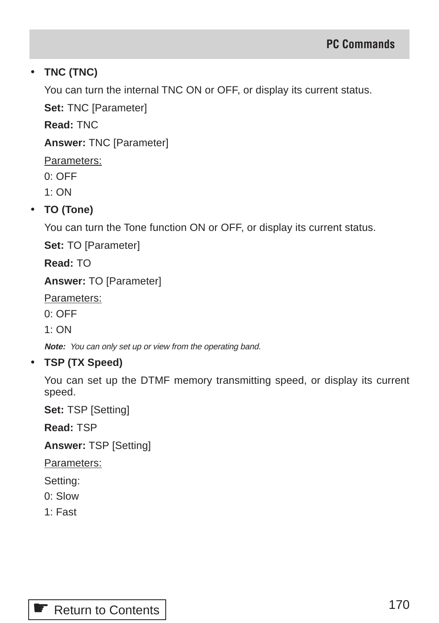# • **TNC (TNC)**

You can turn the internal TNC ON or OFF, or display its current status.

**Set:** TNC [Parameter]

**Read:** TNC

**Answer:** TNC [Parameter]

Parameters:

0: OFF

1: ON

# • **TO (Tone)**

You can turn the Tone function ON or OFF, or display its current status.

**Set:** TO [Parameter]

**Read:** TO

**Answer:** TO [Parameter]

Parameters:

0: OFF

1: ON

**Note:** You can only set up or view from the operating band.

# • **TSP (TX Speed)**

You can set up the DTMF memory transmitting speed, or display its current speed.

**Set:** TSP [Setting]

**Read:** TSP

**Answer:** TSP [Setting]

Parameters:

Setting:

- 0: Slow
- 1: Fast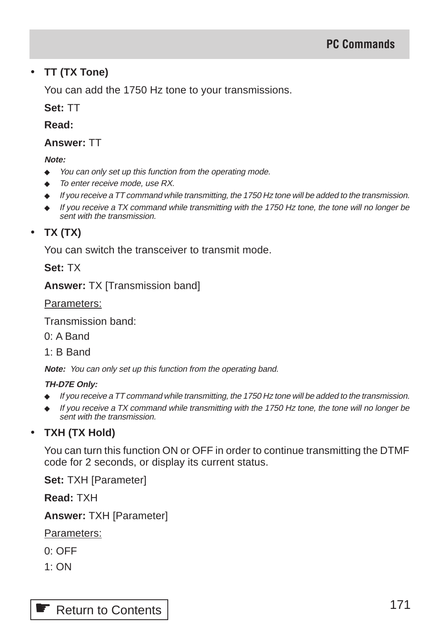#### • **TT (TX Tone)**

You can add the 1750 Hz tone to your transmissions.

**Set:** TT

**Read:**

#### **Answer:** TT

**Note:**

- ◆ You can only set up this function from the operating mode.
- To enter receive mode, use RX.
- ◆ If you receive a TT command while transmitting, the 1750 Hz tone will be added to the transmission.
- $\bullet$  If you receive a TX command while transmitting with the 1750 Hz tone, the tone will no longer be sent with the transmission.

# • **TX (TX)**

You can switch the transceiver to transmit mode.

**Set:** TX

**Answer:** TX [Transmission band]

Parameters:

Transmission band:

0: A Band

1: B Band

**Note:** You can only set up this function from the operating band.

#### **TH-D7E Only:**

- If you receive a TT command while transmitting, the 1750 Hz tone will be added to the transmission.
- ◆ If you receive a TX command while transmitting with the 1750 Hz tone, the tone will no longer be sent with the transmission.

# • **TXH (TX Hold)**

You can turn this function ON or OFF in order to continue transmitting the DTMF code for 2 seconds, or display its current status.

**Set:** TXH [Parameter]

**Read:** TXH

**Answer:** TXH [Parameter]

Parameters:

- 0: OFF
- $1:ON$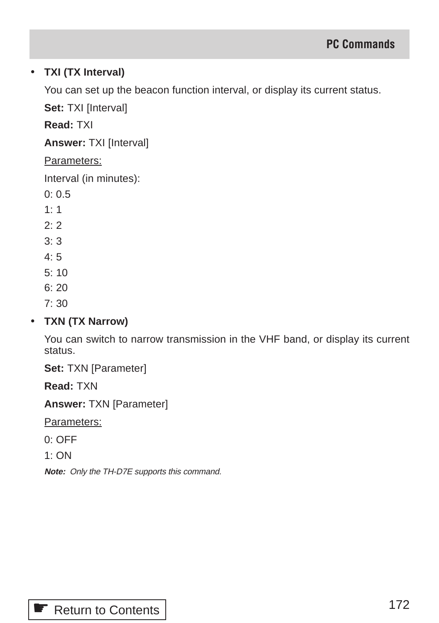# • **TXI (TX Interval)**

You can set up the beacon function interval, or display its current status.

**Set: TXI [Interval]** 

**Read:** TXI

**Answer:** TXI [Interval]

#### Parameters:

Interval (in minutes):

- 0: 0.5
- $1: 1$
- $2.2$
- $3 \cdot 3$
- 4: 5
- 5: 10
- 6: 20
- 7: 30

# • **TXN (TX Narrow)**

You can switch to narrow transmission in the VHF band, or display its current status.

**Set:** TXN [Parameter]

**Read:** TXN

**Answer:** TXN [Parameter]

Parameters:

0: OFF

1: ON

**Note:** Only the TH-D7E supports this command.

☛ [Return to Contents](#page-3-0)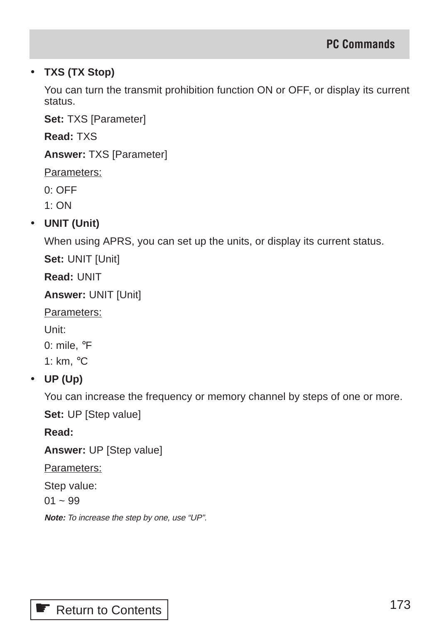# • **TXS (TX Stop)**

You can turn the transmit prohibition function ON or OFF, or display its current status.

**Set:** TXS [Parameter]

**Read:** TXS

**Answer:** TXS [Parameter]

Parameters:

0: OFF

1: ON

# • **UNIT (Unit)**

When using APRS, you can set up the units, or display its current status.

**Set:** UNIT [Unit]

**Read:** UNIT

**Answer:** UNIT [Unit]

Parameters:

Unit:

0: mile, °F

1: km, °C

# • **UP (Up)**

You can increase the frequency or memory channel by steps of one or more.

**Set:** UP [Step value]

**Read:**

**Answer:** UP [Step value]

Parameters:

Step value:

 $01 - 99$ 

**Note:** To increase the step by one, use "UP".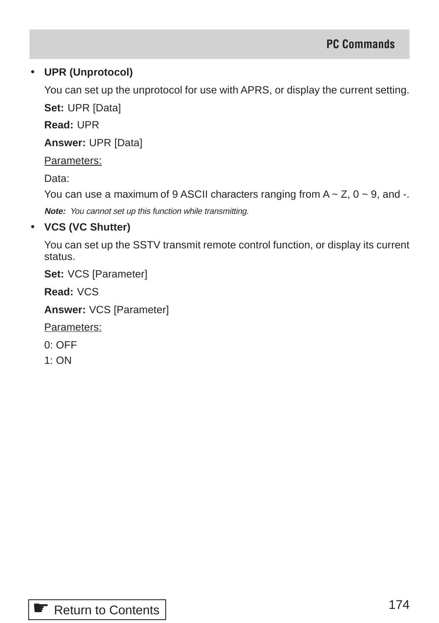## • **UPR (Unprotocol)**

You can set up the unprotocol for use with APRS, or display the current setting.

**Set:** UPR [Data]

**Read:** UPR

**Answer:** UPR [Data]

Parameters:

Data:

You can use a maximum of 9 ASCII characters ranging from  $A \sim Z$ ,  $0 \sim 9$ , and -.

**Note:** You cannot set up this function while transmitting.

## • **VCS (VC Shutter)**

You can set up the SSTV transmit remote control function, or display its current status.

**Set:** VCS [Parameter]

**Read:** VCS

**Answer:** VCS [Parameter]

Parameters:

0: OFF

1: ON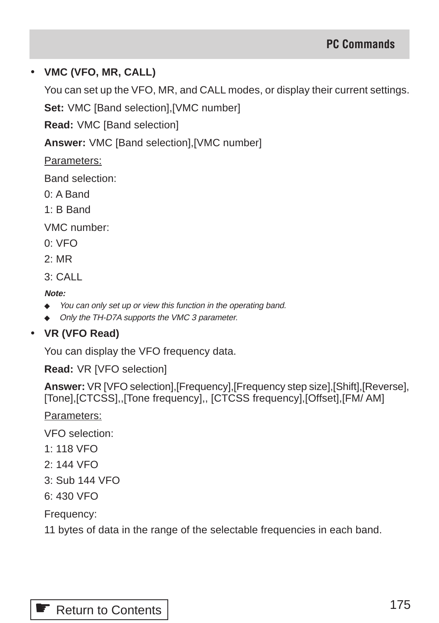## • **VMC (VFO, MR, CALL)**

You can set up the VFO, MR, and CALL modes, or display their current settings.

**Set:** VMC [Band selection],[VMC number]

**Read:** VMC [Band selection]

**Answer:** VMC [Band selection],[VMC number]

Parameters:

Band selection:

- 0: A Band
- 1: B Band

VMC number:

- 0: VFO
- 2: MR

 $3:$  CALL

**Note:**

- ◆ You can only set up or view this function in the operating band.
- ◆ Only the TH-D7A supports the VMC 3 parameter.

# • **VR (VFO Read)**

You can display the VFO frequency data.

**Read:** VR [VFO selection]

**Answer:** VR [VFO selection],[Frequency],[Frequency step size],[Shift],[Reverse], [Tone],[CTCSS],,[Tone frequency],, [CTCSS frequency],[Offset],[FM/ AM]

Parameters:

VFO selection:

- 1: 118 VFO
- 2: 144 VFO
- 3: Sub 144 VFO
- 6: 430 VFO

Frequency:

11 bytes of data in the range of the selectable frequencies in each band.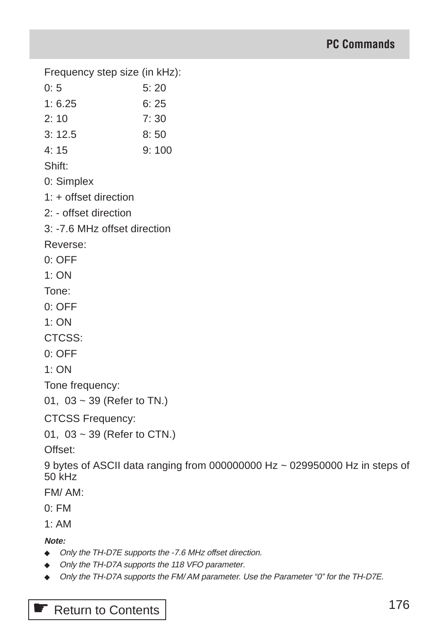Frequency step size (in kHz):

- $0: 5$  5: 20
- 1: 6.25 6: 25
- 2: 10 7: 30
- 3: 12.5 8: 50
- 4: 15 9: 100

Shift:

- 0: Simplex
- 1: + offset direction
- 2: offset direction
- 3: -7.6 MHz offset direction

Reverse:

- 0: OFF
- $1:ON$

Tone:

- 0: OFF
- $1:ON$

CTCSS:

0: OFF

1: ON

Tone frequency:

```
01, 03 ~ 39 (Refer to TN.)
```
CTCSS Frequency:

```
01, 03 ~ 39 (Refer to CTN.)
```
Offset:

9 bytes of ASCII data ranging from 000000000 Hz ~ 029950000 Hz in steps of 50 kHz

FM/ AM:

 $0.$  FM

 $1. A M$ 

**Note:**

- ◆ Only the TH-D7E supports the -7.6 MHz offset direction.
- ◆ Only the TH-D7A supports the 118 VFO parameter.
- ◆ Only the TH-D7A supports the FM/AM parameter. Use the Parameter "0" for the TH-D7E.

**■ [Return to Contents](#page-3-0)**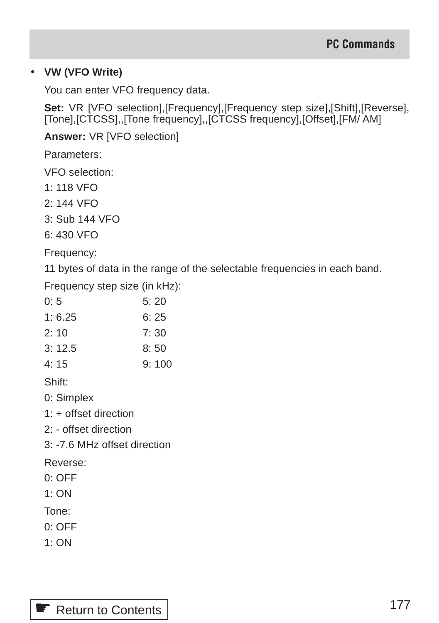## • **VW (VFO Write)**

You can enter VFO frequency data.

Set: VR [VFO selection], [Frequency], [Frequency step size], [Shift], [Reverse], [Tone],[CTCSS],,[Tone frequency],,[CTCSS frequency],[Offset],[FM/ AM]

**Answer:** VR [VFO selection]

Parameters:

VFO selection:

- 1: 118 VFO
- 2: 144 VFO
- 3: Sub 144 VFO

6: 430 VFO

Frequency:

11 bytes of data in the range of the selectable frequencies in each band.

Frequency step size (in kHz):

| 0:5    | 5:20  |
|--------|-------|
| 1:6.25 | 6:25  |
| 2:10   | 7: 30 |
| 3:12.5 | 8:50  |
| 4: 15  | 9:100 |

Shift:

0: Simplex

1: + offset direction

2: - offset direction

3: -7.6 MHz offset direction

Reverse:

0: OFF

1: ON

Tone:

- 0: OFF
- 1: ON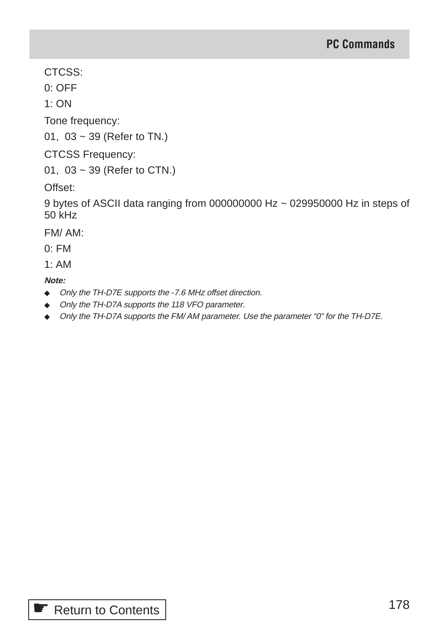CTCSS:

0: OFF

1: ON

Tone frequency:

01, 03 ~ 39 (Refer to TN.)

CTCSS Frequency:

01, 03 ~ 39 (Refer to CTN.)

Offset:

9 bytes of ASCII data ranging from 000000000 Hz ~ 029950000 Hz in steps of 50 kHz

FM/ AM:

 $0.$  FM

 $1. A M$ 

- ◆ Only the TH-D7E supports the -7.6 MHz offset direction.
- ◆ Only the TH-D7A supports the 118 VFO parameter.
- ◆ Only the TH-D7A supports the FM/AM parameter. Use the parameter "0" for the TH-D7E.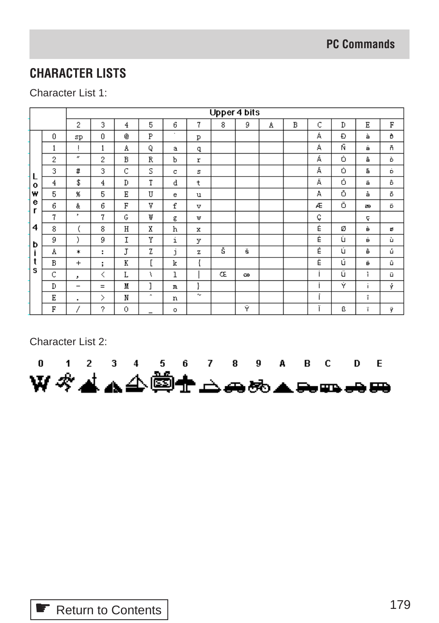# **CHARACTER LISTS**

# Character List 1:

|              |   | Upper 4 bits             |        |   |        |                               |        |   |   |   |   |   |   |                           |    |
|--------------|---|--------------------------|--------|---|--------|-------------------------------|--------|---|---|---|---|---|---|---------------------------|----|
|              |   | 2                        | 3      | 4 | 5      | 6                             | 7      | 8 | 9 | A | B | С | D | Ε                         | F  |
|              | 0 | sp                       | 0      | ® | P      | ٠                             | P      |   |   |   |   | Á | Ð | à                         | ð  |
|              |   |                          | 1      | A | Q      | a                             | q      |   |   |   |   | Á | Ñ | á                         | ň  |
|              | 2 | $\alpha$                 | 2      | B | R      | Ъ                             | r      |   |   |   |   | Á | Ó | â                         | ò  |
| L            | 3 | #                        | 3      | C | S      | с                             | s      |   |   |   |   | Ā | Ó | ã                         | Ď. |
| $\mathbf{o}$ | 4 | \$                       | 4      | D | T      | d                             | t      |   |   |   |   | Ä | Ó | ä                         | ô  |
| w            | 5 | $\chi$                   | 5      | Ε | U      | е                             | u      |   |   |   |   | A | Ô | à                         | ŏ  |
| е<br>г       | 6 | &                        | 6      | F | V      | £                             | v      |   |   |   |   | Æ | Ő | æ                         | ö  |
|              | 7 | ,                        | 7      | G | ₩      | g                             | w      |   |   |   |   | Ç |   | ę                         |    |
| 4            | 8 |                          | 8      | H | X      | h                             | x      |   |   |   |   | Ė | Ø | è                         | ₫  |
| b            | 9 | ĭ                        | 9      | I | Y      | i                             | у      |   |   |   |   | Ė | Ù | é                         | ù  |
| İ            | Α | *                        | ÷      | J | Z      | $\overline{\phantom{a}}$<br>j | z      | Ŝ | š |   |   | Ė | Ú | ê                         | ú  |
|              | В | $^{+}$                   | ٠<br>÷ | K | L      | k                             |        |   |   |   |   | Ë | ú | ë                         | û  |
| s            | C | ,                        | ≺      | L | ١      | 1                             |        | Œ | œ |   |   |   | ű | ĩ                         | ü  |
|              | D | $\overline{\phantom{m}}$ | $=$    | M | ٦      | $\mathbf{m}$                  | ł      |   |   |   |   |   | Ý | $\bullet$<br>$\mathbf{I}$ | ŷ  |
|              | Ε | ٠                        | ⋋      | N | $\sim$ | n                             | $\sim$ |   |   |   |   | ٠ |   | î                         |    |
|              | F |                          | 2      | 0 | -      | $\circ$                       |        |   | Ÿ |   |   | ÷ | ß | ï                         | ÿ  |

Character List 2:

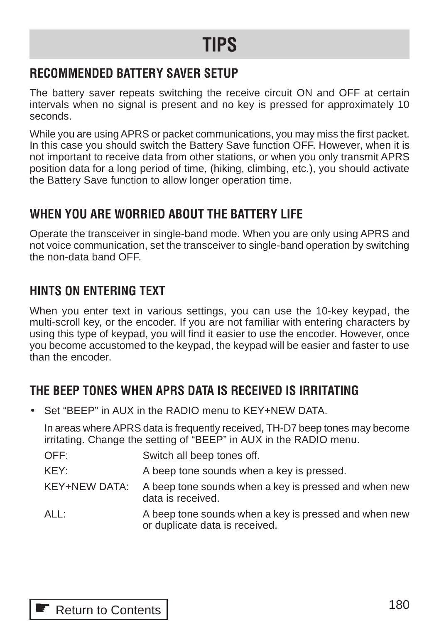# **TIPS**

# **RECOMMENDED BATTERY SAVER SETUP**

The battery saver repeats switching the receive circuit ON and OFF at certain intervals when no signal is present and no key is pressed for approximately 10 seconds.

While you are using APRS or packet communications, you may miss the first packet. In this case you should switch the Battery Save function OFF. However, when it is not important to receive data from other stations, or when you only transmit APRS position data for a long period of time, (hiking, climbing, etc.), you should activate the Battery Save function to allow longer operation time.

# **WHEN YOU ARE WORRIED ABOUT THE BATTERY LIFE**

Operate the transceiver in single-band mode. When you are only using APRS and not voice communication, set the transceiver to single-band operation by switching the non-data band OFF.

# **HINTS ON ENTERING TEXT**

When you enter text in various settings, you can use the 10-key keypad, the multi-scroll key, or the encoder. If you are not familiar with entering characters by using this type of keypad, you will find it easier to use the encoder. However, once you become accustomed to the keypad, the keypad will be easier and faster to use than the encoder.

# **THE BEEP TONES WHEN APRS DATA IS RECEIVED IS IRRITATING**

• Set "BEEP" in AUX in the RADIO menu to KEY+NEW DATA.

In areas where APRS data is frequently received, TH-D7 beep tones may become irritating. Change the setting of "BEEP" in AUX in the RADIO menu.

| OFF:          | Switch all beep tones off.                                                              |
|---------------|-----------------------------------------------------------------------------------------|
| KEY:          | A beep tone sounds when a key is pressed.                                               |
| KEY+NEW DATA: | A beep tone sounds when a key is pressed and when new<br>data is received.              |
| ALL:          | A beep tone sounds when a key is pressed and when new<br>or duplicate data is received. |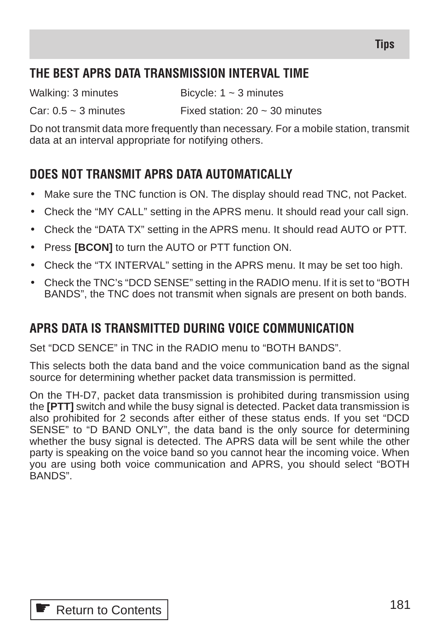## **THE BEST APRS DATA TRANSMISSION INTERVAL TIME**

Walking: 3 minutes Bicycle:  $1 \approx 3$  minutes

Car:  $0.5 \sim 3$  minutes Fixed station:  $20 \sim 30$  minutes

Do not transmit data more frequently than necessary. For a mobile station, transmit data at an interval appropriate for notifying others.

## **DOES NOT TRANSMIT APRS DATA AUTOMATICALLY**

- Make sure the TNC function is ON. The display should read TNC, not Packet.
- Check the "MY CALL" setting in the APRS menu. It should read your call sign.
- Check the "DATA TX" setting in the APRS menu. It should read AUTO or PTT.
- Press **[BCON]** to turn the AUTO or PTT function ON.
- Check the "TX INTERVAL" setting in the APRS menu. It may be set too high.
- Check the TNC's "DCD SENSE" setting in the RADIO menu. If it is set to "BOTH BANDS", the TNC does not transmit when signals are present on both bands.

## **APRS DATA IS TRANSMITTED DURING VOICE COMMUNICATION**

Set "DCD SENCE" in TNC in the RADIO menu to "BOTH BANDS".

This selects both the data band and the voice communication band as the signal source for determining whether packet data transmission is permitted.

On the TH-D7, packet data transmission is prohibited during transmission using the **[PTT]** switch and while the busy signal is detected. Packet data transmission is also prohibited for 2 seconds after either of these status ends. If you set "DCD SENSE" to "D BAND ONLY", the data band is the only source for determining whether the busy signal is detected. The APRS data will be sent while the other party is speaking on the voice band so you cannot hear the incoming voice. When you are using both voice communication and APRS, you should select "BOTH BANDS".